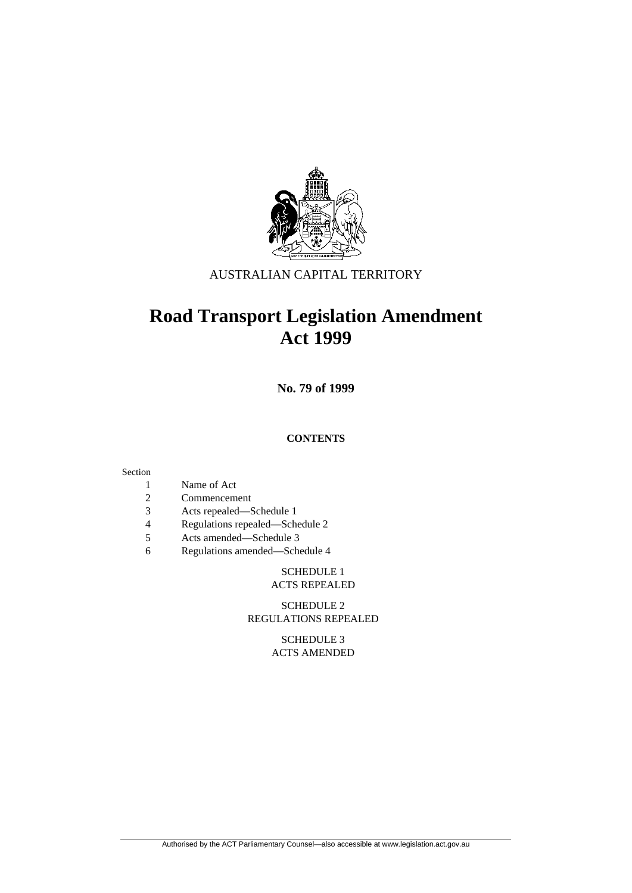

# AUSTRALIAN CAPITAL TERRITORY

# **Road Transport Legislation Amendment Act 1999**

**No. 79 of 1999** 

#### **CONTENTS**

#### Section

- 1 Name of Act
- 2 Commencement
- 3 Acts repealed—Schedule 1
- 4 Regulations repealed—Schedule 2
- 5 Acts amended—Schedule 3
- 6 Regulations amended—Schedule 4

# SCHEDULE 1

# ACTS REPEALED

#### SCHEDULE 2 REGULATIONS REPEALED

 SCHEDULE 3 ACTS AMENDED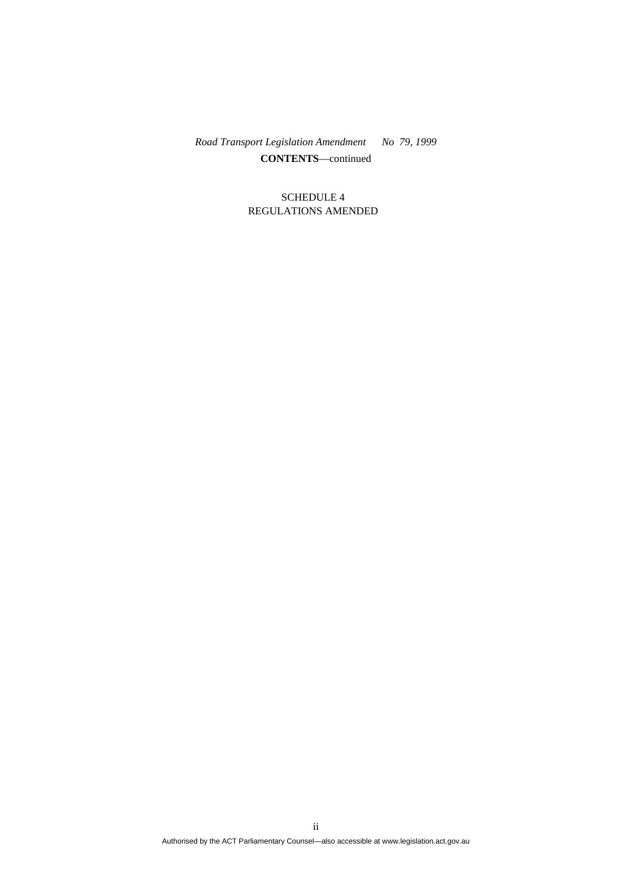*Road Transport Legislation Amendment No 79, 1999*  **CONTENTS**—continued

#### SCHEDULE 4 REGULATIONS AMENDED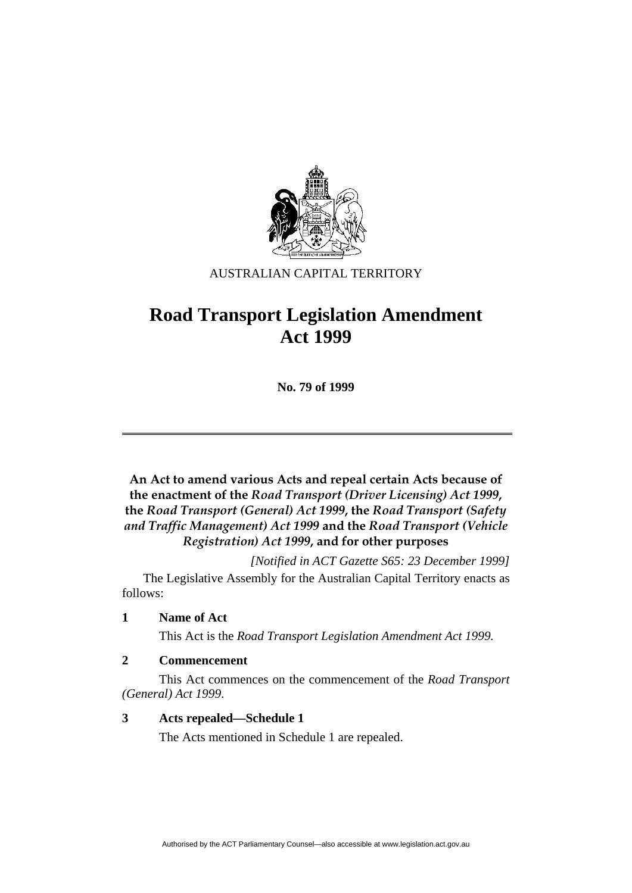

# AUSTRALIAN CAPITAL TERRITORY

# **Road Transport Legislation Amendment Act 1999**

**No. 79 of 1999** 

**An Act to amend various Acts and repeal certain Acts because of the enactment of the** *Road Transport (Driver Licensing) Act 1999***, the** *Road Transport (General) Act 1999***, the** *Road Transport (Safety and Traffic Management) Act 1999* **and the** *Road Transport (Vehicle Registration) Act 1999***, and for other purposes**

*[Notified in ACT Gazette S65: 23 December 1999]* 

 The Legislative Assembly for the Australian Capital Territory enacts as follows:

## **1 Name of Act**

This Act is the *Road Transport Legislation Amendment Act 1999.*

## **2 Commencement**

 This Act commences on the commencement of the *Road Transport (General) Act 1999*.

## **3 Acts repealed—Schedule 1**

The Acts mentioned in Schedule 1 are repealed.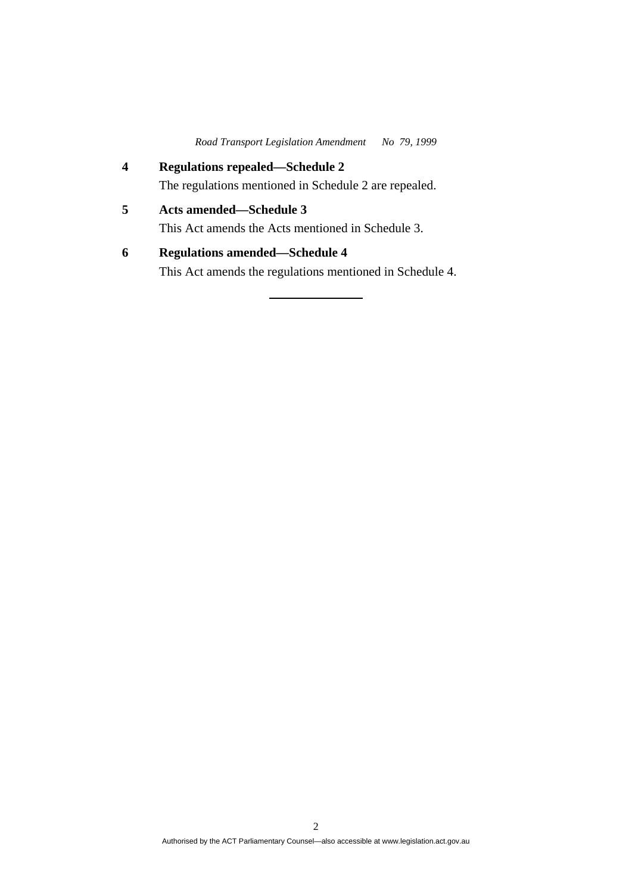*Road Transport Legislation Amendment No 79, 1999* 

- **4 Regulations repealed—Schedule 2**  The regulations mentioned in Schedule 2 are repealed. **5 Acts amended—Schedule 3**  This Act amends the Acts mentioned in Schedule 3.
- **6 Regulations amended—Schedule 4**  This Act amends the regulations mentioned in Schedule 4.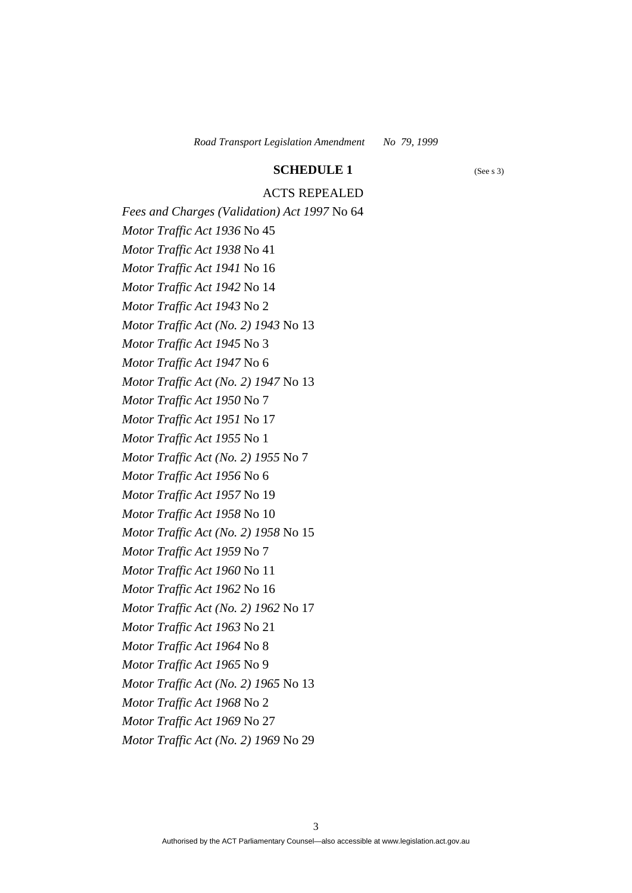#### **SCHEDULE 1** (See s 3)

## ACTS REPEALED

*Fees and Charges (Validation) Act 1997* No 64 *Motor Traffic Act 1936* No 45 *Motor Traffic Act 1938* No 41 *Motor Traffic Act 1941* No 16 *Motor Traffic Act 1942* No 14 *Motor Traffic Act 1943* No 2 *Motor Traffic Act (No. 2) 1943* No 13 *Motor Traffic Act 1945* No 3 *Motor Traffic Act 1947* No 6 *Motor Traffic Act (No. 2) 1947* No 13 *Motor Traffic Act 1950* No 7 *Motor Traffic Act 1951* No 17 *Motor Traffic Act 1955* No 1 *Motor Traffic Act (No. 2) 1955* No 7 *Motor Traffic Act 1956* No 6 *Motor Traffic Act 1957* No 19 *Motor Traffic Act 1958* No 10 *Motor Traffic Act (No. 2) 1958* No 15 *Motor Traffic Act 1959* No 7 *Motor Traffic Act 1960* No 11 *Motor Traffic Act 1962* No 16 *Motor Traffic Act (No. 2) 1962* No 17 *Motor Traffic Act 1963* No 21 *Motor Traffic Act 1964* No 8 *Motor Traffic Act 1965* No 9 *Motor Traffic Act (No. 2) 1965* No 13 *Motor Traffic Act 1968* No 2 *Motor Traffic Act 1969* No 27 *Motor Traffic Act (No. 2) 1969* No 29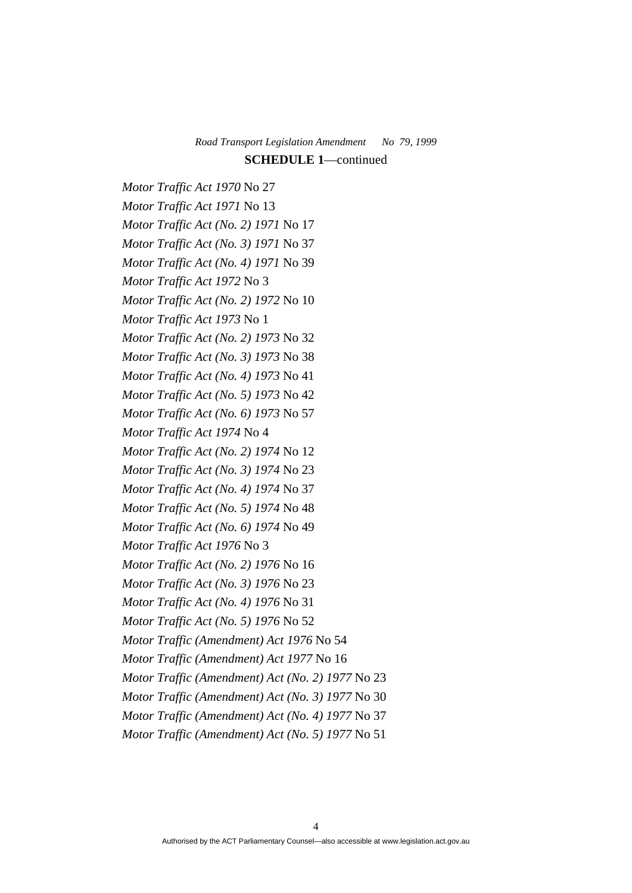*Motor Traffic Act 1970* No 27 *Motor Traffic Act 1971* No 13 *Motor Traffic Act (No. 2) 1971* No 17 *Motor Traffic Act (No. 3) 1971* No 37 *Motor Traffic Act (No. 4) 1971* No 39 *Motor Traffic Act 1972* No 3 *Motor Traffic Act (No. 2) 1972* No 10 *Motor Traffic Act 1973* No 1 *Motor Traffic Act (No. 2) 1973* No 32 *Motor Traffic Act (No. 3) 1973* No 38 *Motor Traffic Act (No. 4) 1973* No 41 *Motor Traffic Act (No. 5) 1973* No 42 *Motor Traffic Act (No. 6) 1973* No 57 *Motor Traffic Act 1974* No 4 *Motor Traffic Act (No. 2) 1974* No 12 *Motor Traffic Act (No. 3) 1974* No 23 *Motor Traffic Act (No. 4) 1974* No 37 *Motor Traffic Act (No. 5) 1974* No 48 *Motor Traffic Act (No. 6) 1974* No 49 *Motor Traffic Act 1976* No 3 *Motor Traffic Act (No. 2) 1976* No 16 *Motor Traffic Act (No. 3) 1976* No 23 *Motor Traffic Act (No. 4) 1976* No 31 *Motor Traffic Act (No. 5) 1976* No 52 *Motor Traffic (Amendment) Act 1976* No 54 *Motor Traffic (Amendment) Act 1977* No 16 *Motor Traffic (Amendment) Act (No. 2) 1977* No 23 *Motor Traffic (Amendment) Act (No. 3) 1977* No 30 *Motor Traffic (Amendment) Act (No. 4) 1977* No 37 *Motor Traffic (Amendment) Act (No. 5) 1977* No 51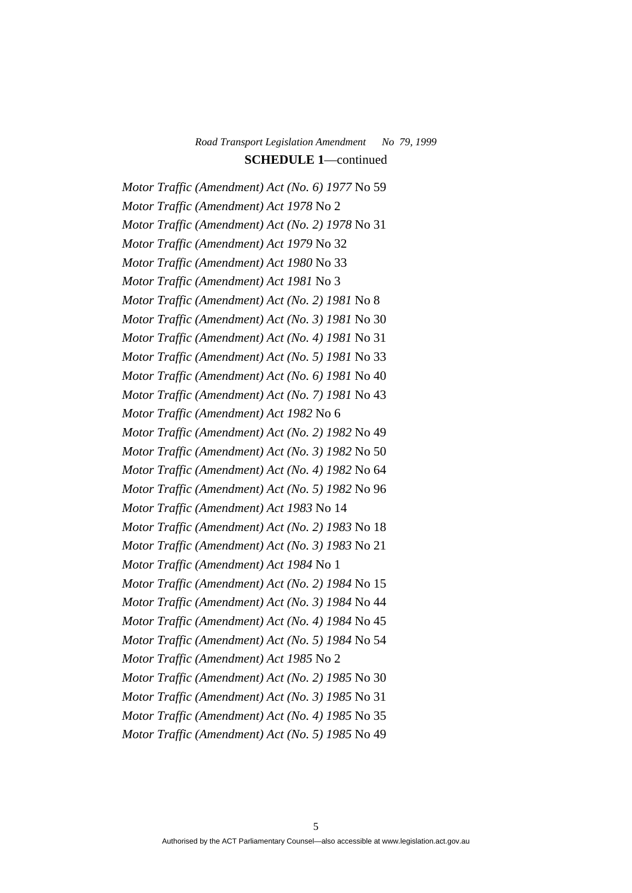*Motor Traffic (Amendment) Act (No. 6) 1977* No 59 *Motor Traffic (Amendment) Act 1978* No 2 *Motor Traffic (Amendment) Act (No. 2) 1978* No 31 *Motor Traffic (Amendment) Act 1979* No 32 *Motor Traffic (Amendment) Act 1980* No 33 *Motor Traffic (Amendment) Act 1981* No 3 *Motor Traffic (Amendment) Act (No. 2) 1981* No 8 *Motor Traffic (Amendment) Act (No. 3) 1981* No 30 *Motor Traffic (Amendment) Act (No. 4) 1981* No 31 *Motor Traffic (Amendment) Act (No. 5) 1981* No 33 *Motor Traffic (Amendment) Act (No. 6) 1981* No 40 *Motor Traffic (Amendment) Act (No. 7) 1981* No 43 *Motor Traffic (Amendment) Act 1982* No 6 *Motor Traffic (Amendment) Act (No. 2) 1982* No 49 *Motor Traffic (Amendment) Act (No. 3) 1982* No 50 *Motor Traffic (Amendment) Act (No. 4) 1982* No 64 *Motor Traffic (Amendment) Act (No. 5) 1982* No 96 *Motor Traffic (Amendment) Act 1983* No 14 *Motor Traffic (Amendment) Act (No. 2) 1983* No 18 *Motor Traffic (Amendment) Act (No. 3) 1983* No 21 *Motor Traffic (Amendment) Act 1984* No 1 *Motor Traffic (Amendment) Act (No. 2) 1984* No 15 *Motor Traffic (Amendment) Act (No. 3) 1984* No 44 *Motor Traffic (Amendment) Act (No. 4) 1984* No 45 *Motor Traffic (Amendment) Act (No. 5) 1984* No 54 *Motor Traffic (Amendment) Act 1985* No 2 *Motor Traffic (Amendment) Act (No. 2) 1985* No 30 *Motor Traffic (Amendment) Act (No. 3) 1985* No 31 *Motor Traffic (Amendment) Act (No. 4) 1985* No 35 *Motor Traffic (Amendment) Act (No. 5) 1985* No 49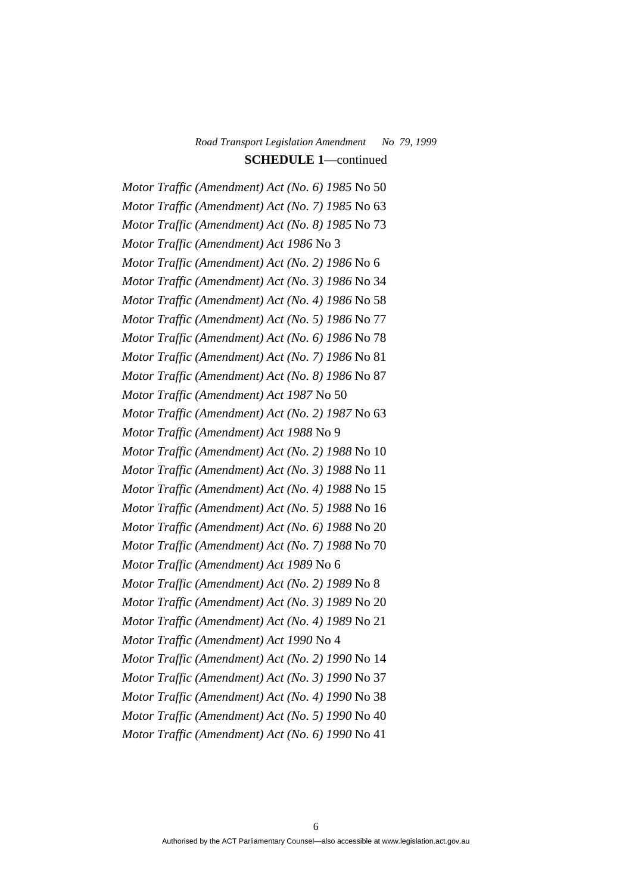*Motor Traffic (Amendment) Act (No. 6) 1985* No 50 *Motor Traffic (Amendment) Act (No. 7) 1985* No 63 *Motor Traffic (Amendment) Act (No. 8) 1985* No 73 *Motor Traffic (Amendment) Act 1986* No 3 *Motor Traffic (Amendment) Act (No. 2) 1986* No 6 *Motor Traffic (Amendment) Act (No. 3) 1986* No 34 *Motor Traffic (Amendment) Act (No. 4) 1986* No 58 *Motor Traffic (Amendment) Act (No. 5) 1986* No 77 *Motor Traffic (Amendment) Act (No. 6) 1986* No 78 *Motor Traffic (Amendment) Act (No. 7) 1986* No 81 *Motor Traffic (Amendment) Act (No. 8) 1986* No 87 *Motor Traffic (Amendment) Act 1987* No 50 *Motor Traffic (Amendment) Act (No. 2) 1987* No 63 *Motor Traffic (Amendment) Act 1988* No 9 *Motor Traffic (Amendment) Act (No. 2) 1988* No 10 *Motor Traffic (Amendment) Act (No. 3) 1988* No 11 *Motor Traffic (Amendment) Act (No. 4) 1988* No 15 *Motor Traffic (Amendment) Act (No. 5) 1988* No 16 *Motor Traffic (Amendment) Act (No. 6) 1988* No 20 *Motor Traffic (Amendment) Act (No. 7) 1988* No 70 *Motor Traffic (Amendment) Act 1989* No 6 *Motor Traffic (Amendment) Act (No. 2) 1989* No 8 *Motor Traffic (Amendment) Act (No. 3) 1989* No 20 *Motor Traffic (Amendment) Act (No. 4) 1989* No 21 *Motor Traffic (Amendment) Act 1990* No 4 *Motor Traffic (Amendment) Act (No. 2) 1990* No 14 *Motor Traffic (Amendment) Act (No. 3) 1990* No 37 *Motor Traffic (Amendment) Act (No. 4) 1990* No 38 *Motor Traffic (Amendment) Act (No. 5) 1990* No 40 *Motor Traffic (Amendment) Act (No. 6) 1990* No 41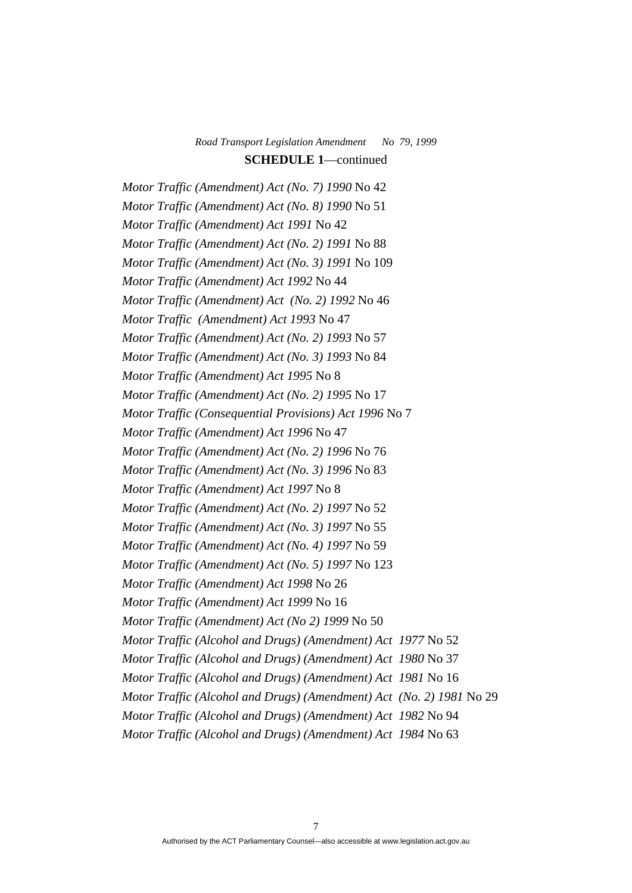*Motor Traffic (Amendment) Act (No. 7) 1990* No 42 *Motor Traffic (Amendment) Act (No. 8) 1990* No 51 *Motor Traffic (Amendment) Act 1991* No 42 *Motor Traffic (Amendment) Act (No. 2) 1991* No 88 *Motor Traffic (Amendment) Act (No. 3) 1991* No 109 *Motor Traffic (Amendment) Act 1992* No 44 *Motor Traffic (Amendment) Act (No. 2) 1992* No 46 *Motor Traffic (Amendment) Act 1993* No 47 *Motor Traffic (Amendment) Act (No. 2) 1993* No 57 *Motor Traffic (Amendment) Act (No. 3) 1993* No 84 *Motor Traffic (Amendment) Act 1995* No 8 *Motor Traffic (Amendment) Act (No. 2) 1995* No 17 *Motor Traffic (Consequential Provisions) Act 1996* No 7 *Motor Traffic (Amendment) Act 1996* No 47 *Motor Traffic (Amendment) Act (No. 2) 1996* No 76 *Motor Traffic (Amendment) Act (No. 3) 1996* No 83 *Motor Traffic (Amendment) Act 1997* No 8 *Motor Traffic (Amendment) Act (No. 2) 1997* No 52 *Motor Traffic (Amendment) Act (No. 3) 1997* No 55 *Motor Traffic (Amendment) Act (No. 4) 1997* No 59 *Motor Traffic (Amendment) Act (No. 5) 1997* No 123 *Motor Traffic (Amendment) Act 1998* No 26 *Motor Traffic (Amendment) Act 1999* No 16 *Motor Traffic (Amendment) Act (No 2) 1999* No 50 *Motor Traffic (Alcohol and Drugs) (Amendment) Act 1977* No 52 *Motor Traffic (Alcohol and Drugs) (Amendment) Act 1980* No 37 *Motor Traffic (Alcohol and Drugs) (Amendment) Act 1981* No 16 *Motor Traffic (Alcohol and Drugs) (Amendment) Act (No. 2) 1981* No 29 *Motor Traffic (Alcohol and Drugs) (Amendment) Act 1982* No 94 *Motor Traffic (Alcohol and Drugs) (Amendment) Act 1984* No 63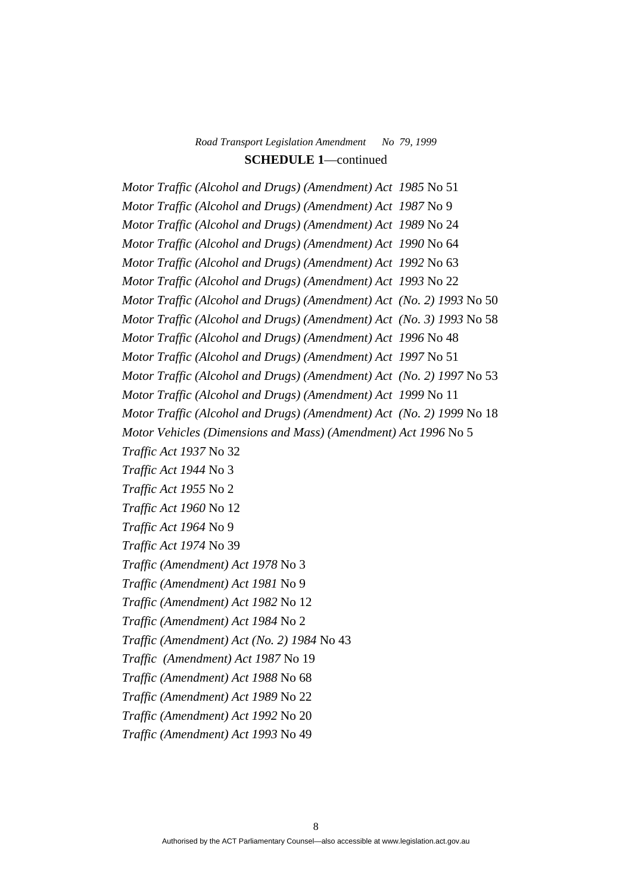*Motor Traffic (Alcohol and Drugs) (Amendment) Act 1985* No 51 *Motor Traffic (Alcohol and Drugs) (Amendment) Act 1987* No 9 *Motor Traffic (Alcohol and Drugs) (Amendment) Act 1989* No 24 *Motor Traffic (Alcohol and Drugs) (Amendment) Act 1990* No 64 *Motor Traffic (Alcohol and Drugs) (Amendment) Act 1992* No 63 *Motor Traffic (Alcohol and Drugs) (Amendment) Act 1993* No 22 *Motor Traffic (Alcohol and Drugs) (Amendment) Act (No. 2) 1993* No 50 *Motor Traffic (Alcohol and Drugs) (Amendment) Act (No. 3) 1993* No 58 *Motor Traffic (Alcohol and Drugs) (Amendment) Act 1996* No 48 *Motor Traffic (Alcohol and Drugs) (Amendment) Act 1997* No 51 *Motor Traffic (Alcohol and Drugs) (Amendment) Act (No. 2) 1997* No 53 *Motor Traffic (Alcohol and Drugs) (Amendment) Act 1999* No 11 *Motor Traffic (Alcohol and Drugs) (Amendment) Act (No. 2) 1999* No 18 *Motor Vehicles (Dimensions and Mass) (Amendment) Act 1996* No 5 *Traffic Act 1937* No 32 *Traffic Act 1944* No 3 *Traffic Act 1955* No 2 *Traffic Act 1960* No 12 *Traffic Act 1964* No 9 *Traffic Act 1974* No 39 *Traffic (Amendment) Act 1978* No 3 *Traffic (Amendment) Act 1981* No 9 *Traffic (Amendment) Act 1982* No 12 *Traffic (Amendment) Act 1984* No 2 *Traffic (Amendment) Act (No. 2) 1984* No 43 *Traffic (Amendment) Act 1987* No 19 *Traffic (Amendment) Act 1988* No 68 *Traffic (Amendment) Act 1989* No 22 *Traffic (Amendment) Act 1992* No 20 *Traffic (Amendment) Act 1993* No 49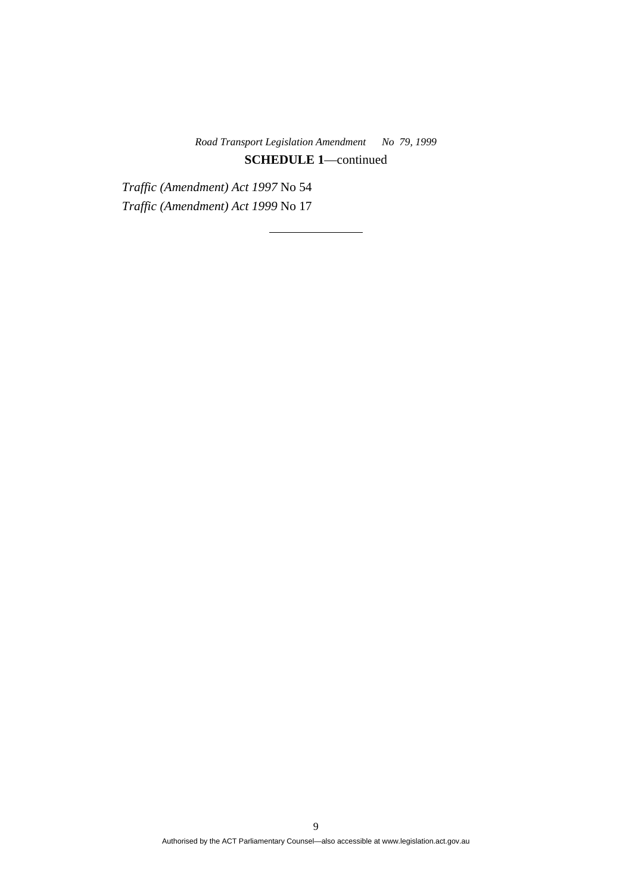*Traffic (Amendment) Act 1997* No 54 *Traffic (Amendment) Act 1999* No 17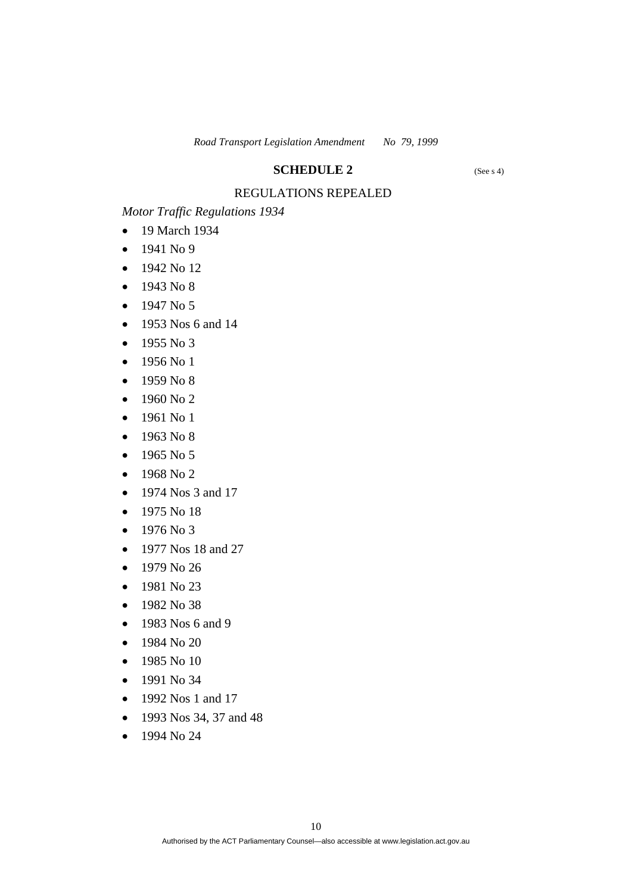#### **SCHEDULE 2** (See s 4)

# REGULATIONS REPEALED

*Motor Traffic Regulations 1934*

- 19 March 1934
- 1941 No 9
- 1942 No 12
- 1943 No 8
- $-1947 N<sub>0</sub> 5$
- 1953 Nos 6 and 14
- $-1955 N<sub>0</sub>3$
- $-1956$  No 1
- 1959 No 8
- $-1960$  No 2
- 1961 No 1
- $-1963$  No 8
- 1965 No 5
- 1968 No 2
- 1974 Nos 3 and 17
- 1975 No 18
- $-1976$  No 3
- 1977 Nos 18 and 27
- $-1979$  No 26
- $-1981$  No 23
- 1982 No 38
- 1983 Nos 6 and 9
- 1984 No 20
- $-1985$  No 10
- 1991 No 34
- 1992 Nos 1 and 17
- 1993 Nos 34, 37 and 48
- $-1994$  No 24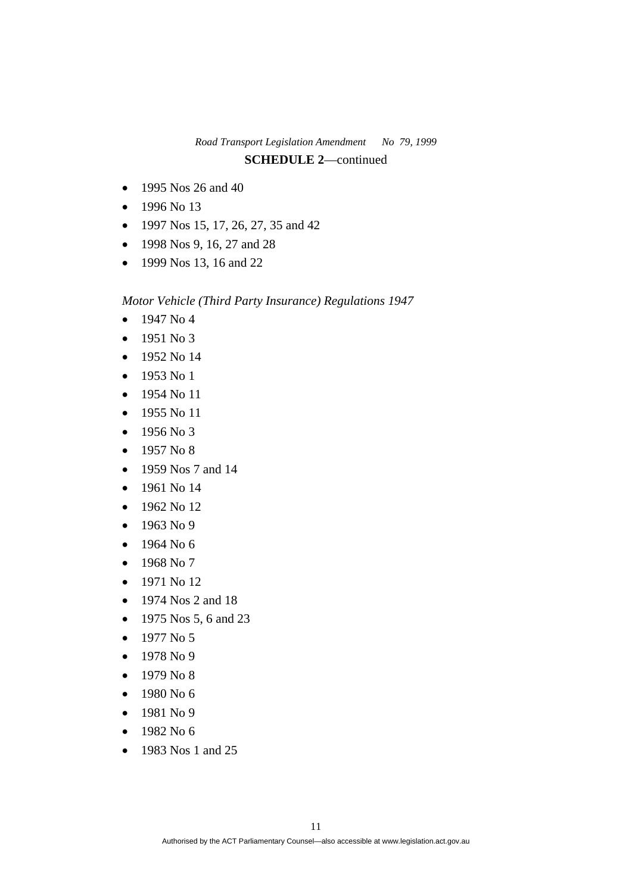- 1995 Nos 26 and 40
- $-1996$  No 13
- $\bullet$  1997 Nos 15, 17, 26, 27, 35 and 42
- 1998 Nos 9, 16, 27 and 28
- 1999 Nos 13, 16 and 22

*Motor Vehicle (Third Party Insurance) Regulations 1947*

- $-1947$  No 4
- $-1951$  No 3
- 1952 No 14
- 1953 No 1
- 1954 No 11
- $-1955$  No 11
- $-1956$  No 3
- $\bullet$  1957 No 8
- 1959 Nos 7 and 14
- 1961 No 14
- $-1962$  No 12
- $-1963$  No 9
- $-1964$  No 6
- 1968 No 7
- 1971 No 12
- $\bullet$  1974 Nos 2 and 18
- 1975 Nos 5, 6 and 23
- $\bullet$  1977 No 5
- $-1978$  No 9
- $-1979$  No 8
- $-1980$  No 6
- $-1981$  No 9
- $-1982$  No 6
- 1983 Nos 1 and 25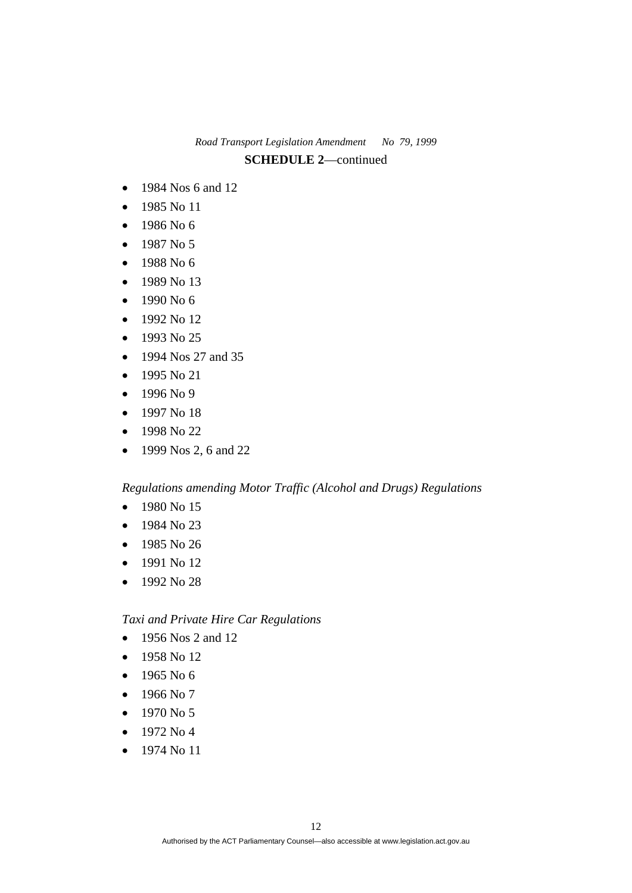- 1984 Nos 6 and 12
- 1985 No 11
- 1986 No 6
- 1987 No 5
- 1988 No 6
- $-1989$  No 13
- 1990 No 6
- 1992 No 12
- $-1993$  No 25
- 1994 Nos 27 and 35
- 1995 No 21
- 1996 No 9
- $-1997$  No 18
- 1998 No 22
- 1999 Nos 2, 6 and 22

*Regulations amending Motor Traffic (Alcohol and Drugs) Regulations* 

- 1980 No 15
- $-1984$  No 23
- 1985 No 26
- 1991 No 12
- 1992 No 28

*Taxi and Private Hire Car Regulations* 

- 1956 Nos 2 and 12
- $-1958$  No 12
- $-1965$  No 6
- $-1966$  No 7
- $-1970 N<sub>0</sub> 5$
- 1972 No 4
- 1974 No 11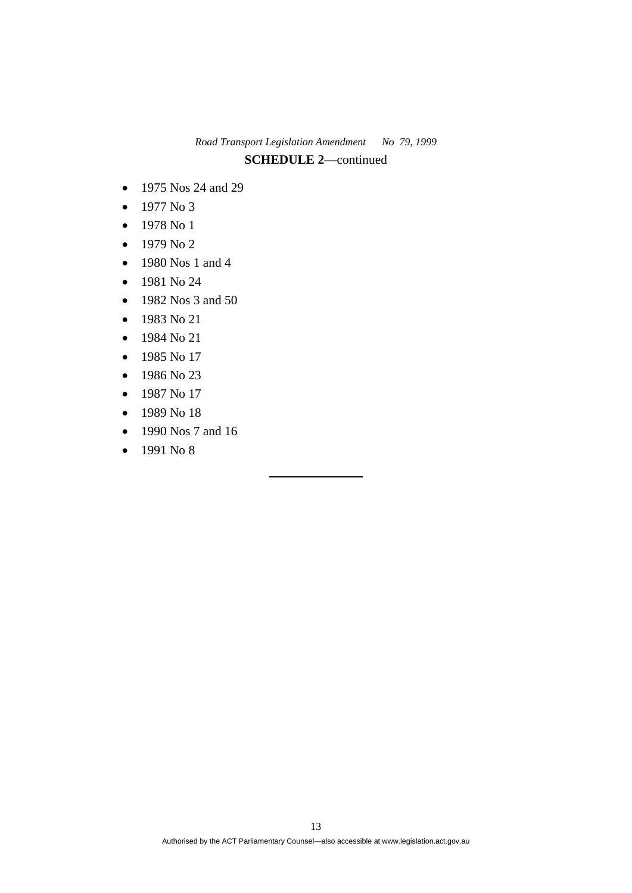- 1975 Nos 24 and 29
- $\bullet$  1977 No 3
- 1978 No 1
- $\bullet$  1979 No 2
- 1980 Nos 1 and 4
- 1981 No 24
- 1982 Nos 3 and 50
- $-1983$  No 21
- 1984 No 21
- $-1985$  No 17
- $-1986$  No 23
- $-1987$  No 17
- $-1989$  No 18
- 1990 Nos 7 and 16
- $-1991$  No 8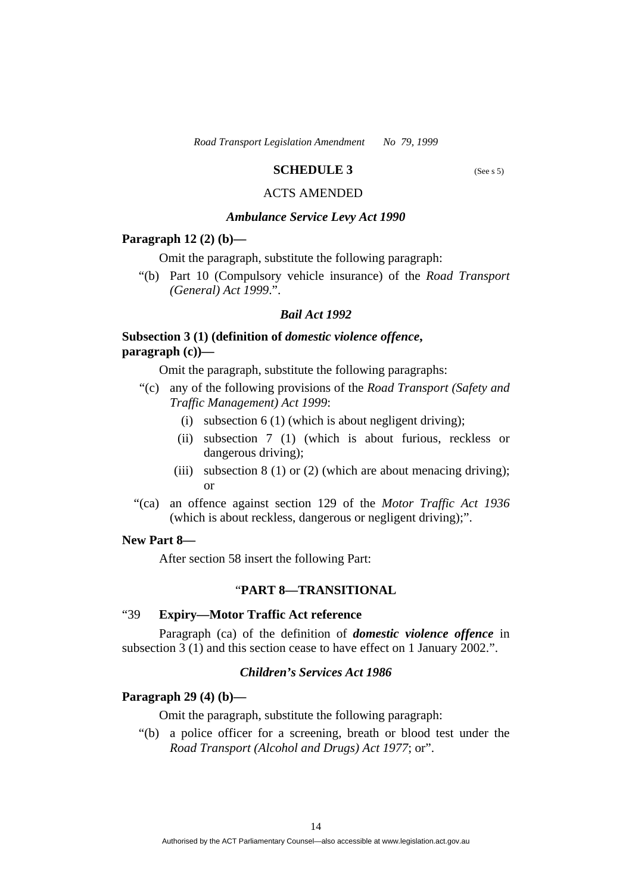### **SCHEDULE 3** (See s 5)

# ACTS AMENDED

#### *Ambulance Service Levy Act 1990*

#### **Paragraph 12 (2) (b)—**

Omit the paragraph, substitute the following paragraph:

 "(b) Part 10 (Compulsory vehicle insurance) of the *Road Transport (General) Act 1999*.".

#### *Bail Act 1992*

## **Subsection 3 (1) (definition of** *domestic violence offence***, paragraph (c))—**

Omit the paragraph, substitute the following paragraphs:

- "(c) any of the following provisions of the *Road Transport (Safety and Traffic Management) Act 1999*:
	- (i) subsection  $6(1)$  (which is about negligent driving);
	- (ii) subsection 7 (1) (which is about furious, reckless or dangerous driving);
	- (iii) subsection  $8(1)$  or  $(2)$  (which are about menacing driving); or
- "(ca) an offence against section 129 of the *Motor Traffic Act 1936*  (which is about reckless, dangerous or negligent driving);".

## **New Part 8—**

After section 58 insert the following Part:

## "**PART 8—TRANSITIONAL**

#### "39 **Expiry—Motor Traffic Act reference**

 Paragraph (ca) of the definition of *domestic violence offence* in subsection 3 (1) and this section cease to have effect on 1 January 2002.".

#### *Children's Services Act 1986*

## **Paragraph 29 (4) (b)—**

Omit the paragraph, substitute the following paragraph:

 "(b) a police officer for a screening, breath or blood test under the *Road Transport (Alcohol and Drugs) Act 1977*; or".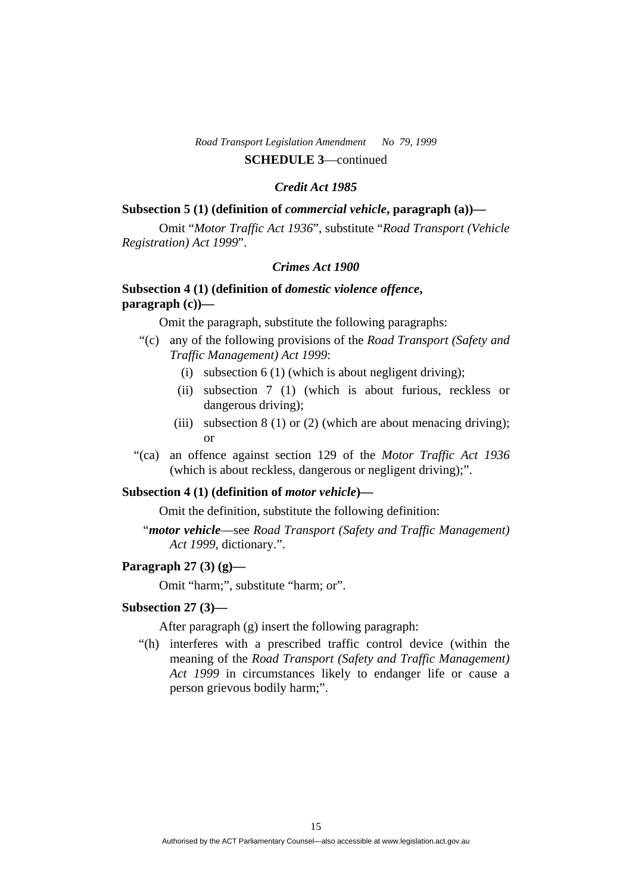#### *Credit Act 1985*

#### **Subsection 5 (1) (definition of** *commercial vehicle***, paragraph (a))—**

 Omit "*Motor Traffic Act 1936*", substitute "*Road Transport (Vehicle Registration) Act 1999*".

## *Crimes Act 1900*

# **Subsection 4 (1) (definition of** *domestic violence offence***, paragraph (c))—**

Omit the paragraph, substitute the following paragraphs:

- "(c) any of the following provisions of the *Road Transport (Safety and Traffic Management) Act 1999*:
	- (i) subsection  $6(1)$  (which is about negligent driving);
	- (ii) subsection 7 (1) (which is about furious, reckless or dangerous driving);
	- (iii) subsection  $8(1)$  or  $(2)$  (which are about menacing driving); or
- "(ca) an offence against section 129 of the *Motor Traffic Act 1936*  (which is about reckless, dangerous or negligent driving);".

#### **Subsection 4 (1) (definition of** *motor vehicle***)—**

Omit the definition, substitute the following definition:

"*motor vehicle*—see *Road Transport (Safety and Traffic Management) Act 1999*, dictionary.".

### **Paragraph 27 (3) (g)—**

Omit "harm;", substitute "harm; or".

#### **Subsection 27 (3)—**

After paragraph (g) insert the following paragraph:

 "(h) interferes with a prescribed traffic control device (within the meaning of the *Road Transport (Safety and Traffic Management) Act 1999* in circumstances likely to endanger life or cause a person grievous bodily harm;".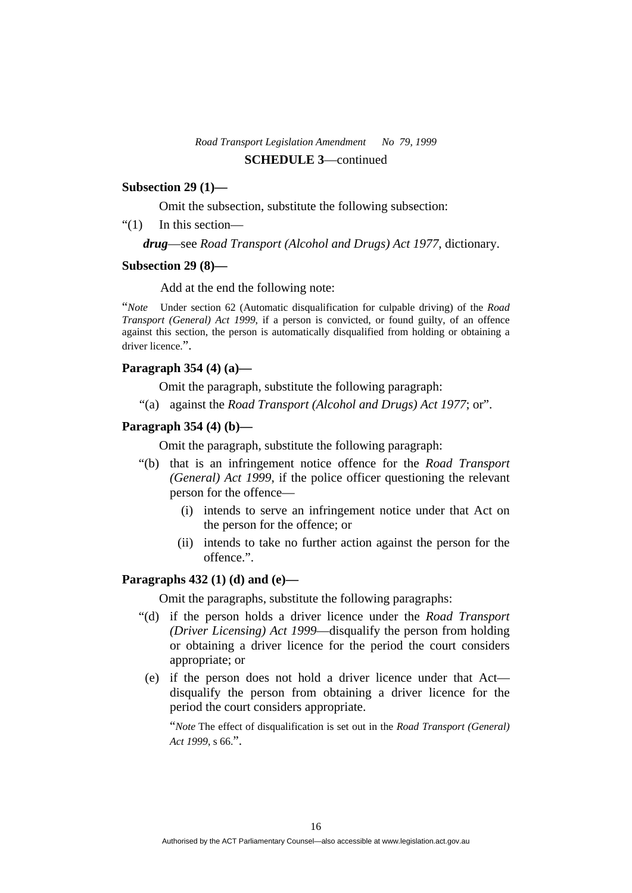#### **Subsection 29 (1)***—*

Omit the subsection, substitute the following subsection:

"(1) In this section—

*drug*—see *Road Transport (Alcohol and Drugs) Act 1977*, dictionary.

#### **Subsection 29 (8)—**

Add at the end the following note:

"*Note* Under section 62 (Automatic disqualification for culpable driving) of the *Road Transport (General) Act 1999*, if a person is convicted, or found guilty, of an offence against this section, the person is automatically disqualified from holding or obtaining a driver licence.".

#### **Paragraph 354 (4) (a)—**

Omit the paragraph, substitute the following paragraph:

"(a) against the *Road Transport (Alcohol and Drugs) Act 1977*; or".

## **Paragraph 354 (4) (b)—**

Omit the paragraph, substitute the following paragraph:

- "(b) that is an infringement notice offence for the *Road Transport (General) Act 1999*, if the police officer questioning the relevant person for the offence—
	- (i) intends to serve an infringement notice under that Act on the person for the offence; or
	- (ii) intends to take no further action against the person for the offence.".

#### **Paragraphs 432 (1) (d) and (e)—**

Omit the paragraphs, substitute the following paragraphs:

- "(d) if the person holds a driver licence under the *Road Transport (Driver Licensing) Act 1999*—disqualify the person from holding or obtaining a driver licence for the period the court considers appropriate; or
- (e) if the person does not hold a driver licence under that Act disqualify the person from obtaining a driver licence for the period the court considers appropriate.

"*Note* The effect of disqualification is set out in the *Road Transport (General) Act 1999*, s 66.".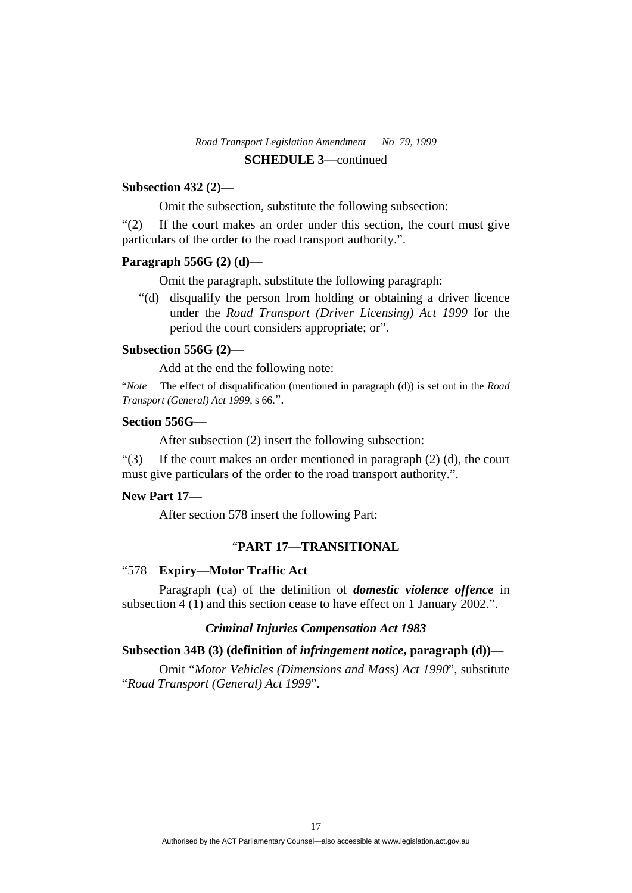## **Subsection 432 (2)—**

Omit the subsection, substitute the following subsection:

"(2) If the court makes an order under this section, the court must give particulars of the order to the road transport authority.".

## **Paragraph 556G (2) (d)—**

Omit the paragraph, substitute the following paragraph:

 "(d) disqualify the person from holding or obtaining a driver licence under the *Road Transport (Driver Licensing) Act 1999* for the period the court considers appropriate; or".

## **Subsection 556G (2)—**

Add at the end the following note:

"*Note* The effect of disqualification (mentioned in paragraph (d)) is set out in the *Road Transport (General) Act 1999*, s 66.".

#### **Section 556G—**

After subsection (2) insert the following subsection:

"(3) If the court makes an order mentioned in paragraph  $(2)$  (d), the court must give particulars of the order to the road transport authority.".

## **New Part 17***—*

After section 578 insert the following Part:

## "**PART 17—TRANSITIONAL**

#### "578 **Expiry—Motor Traffic Act**

 Paragraph (ca) of the definition of *domestic violence offence* in subsection 4 (1) and this section cease to have effect on 1 January 2002.".

#### *Criminal Injuries Compensation Act 1983*

#### **Subsection 34B (3) (definition of** *infringement notice***, paragraph (d))—**

 Omit "*Motor Vehicles (Dimensions and Mass) Act 1990*", substitute "*Road Transport (General) Act 1999*".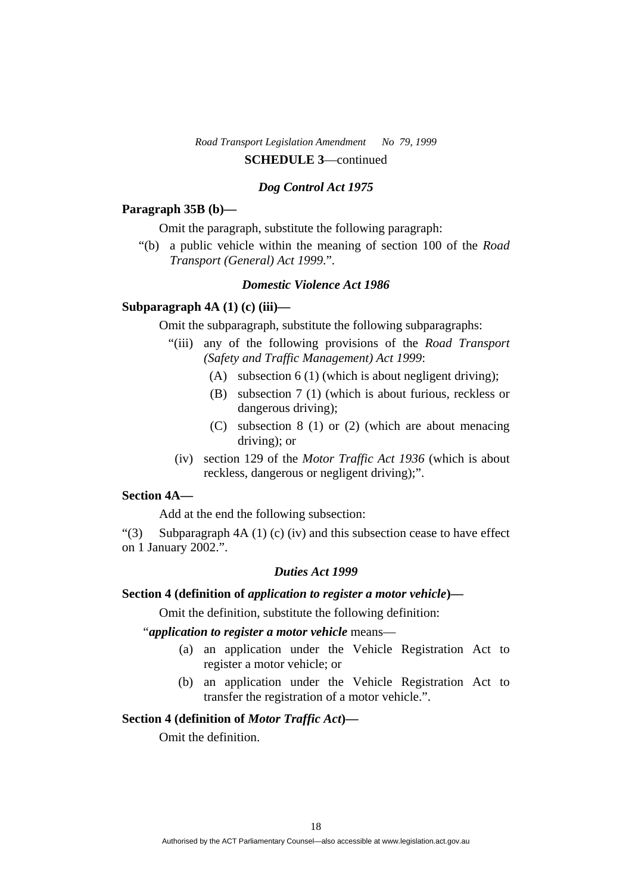#### *Dog Control Act 1975*

#### **Paragraph 35B (b)—**

Omit the paragraph, substitute the following paragraph:

 "(b) a public vehicle within the meaning of section 100 of the *Road Transport (General) Act 1999*.".

## *Domestic Violence Act 1986*

## **Subparagraph 4A (1) (c) (iii)—**

Omit the subparagraph, substitute the following subparagraphs:

- "(iii) any of the following provisions of the *Road Transport (Safety and Traffic Management) Act 1999*:
	- (A) subsection 6 (1) (which is about negligent driving);
	- (B) subsection 7 (1) (which is about furious, reckless or dangerous driving);
	- (C) subsection 8 (1) or (2) (which are about menacing driving); or
	- (iv) section 129 of the *Motor Traffic Act 1936* (which is about reckless, dangerous or negligent driving);".

# **Section 4A—**

Add at the end the following subsection:

"(3) Subparagraph 4A (1) (c) (iv) and this subsection cease to have effect on 1 January 2002.".

#### *Duties Act 1999*

#### **Section 4 (definition of** *application to register a motor vehicle***)—**

Omit the definition, substitute the following definition:

# "*application to register a motor vehicle* means—

- (a) an application under the Vehicle Registration Act to register a motor vehicle; or
- (b) an application under the Vehicle Registration Act to transfer the registration of a motor vehicle.".

## **Section 4 (definition of** *Motor Traffic Act***)—**

Omit the definition.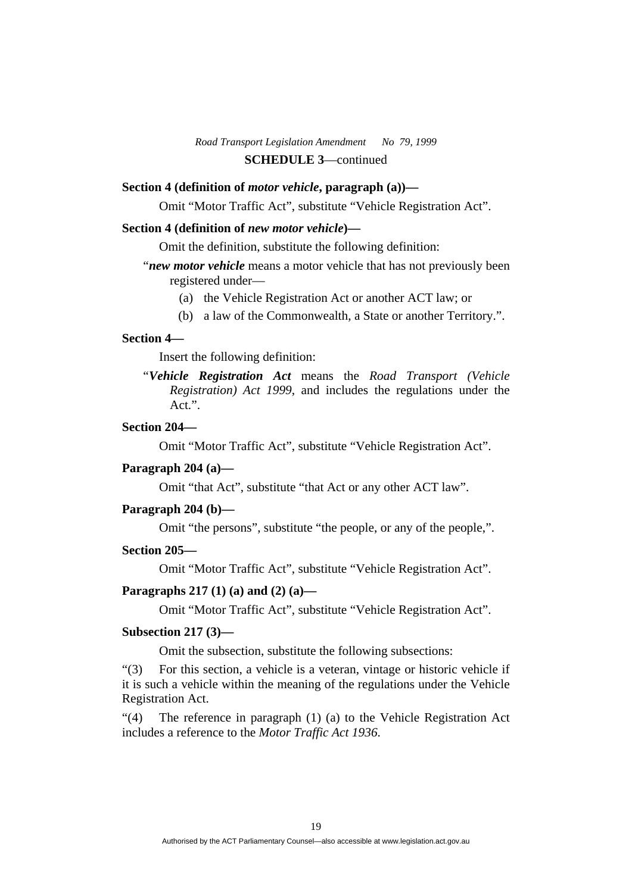## **Section 4 (definition of** *motor vehicle***, paragraph (a))—**

Omit "Motor Traffic Act", substitute "Vehicle Registration Act".

#### **Section 4 (definition of** *new motor vehicle***)—**

Omit the definition, substitute the following definition:

- "*new motor vehicle* means a motor vehicle that has not previously been registered under—
	- (a) the Vehicle Registration Act or another ACT law; or
	- (b) a law of the Commonwealth, a State or another Territory.".

#### **Section 4—**

Insert the following definition:

"*Vehicle Registration Act* means the *Road Transport (Vehicle Registration) Act 1999*, and includes the regulations under the Act.".

# **Section 204—**

Omit "Motor Traffic Act", substitute "Vehicle Registration Act".

#### **Paragraph 204 (a)—**

Omit "that Act", substitute "that Act or any other ACT law".

#### **Paragraph 204 (b)—**

Omit "the persons", substitute "the people, or any of the people,".

#### **Section 205—**

Omit "Motor Traffic Act", substitute "Vehicle Registration Act".

#### **Paragraphs 217 (1) (a) and (2) (a)—**

Omit "Motor Traffic Act", substitute "Vehicle Registration Act".

#### **Subsection 217 (3)—**

Omit the subsection, substitute the following subsections:

"(3) For this section, a vehicle is a veteran, vintage or historic vehicle if it is such a vehicle within the meaning of the regulations under the Vehicle Registration Act.

"(4) The reference in paragraph (1) (a) to the Vehicle Registration Act includes a reference to the *Motor Traffic Act 1936*.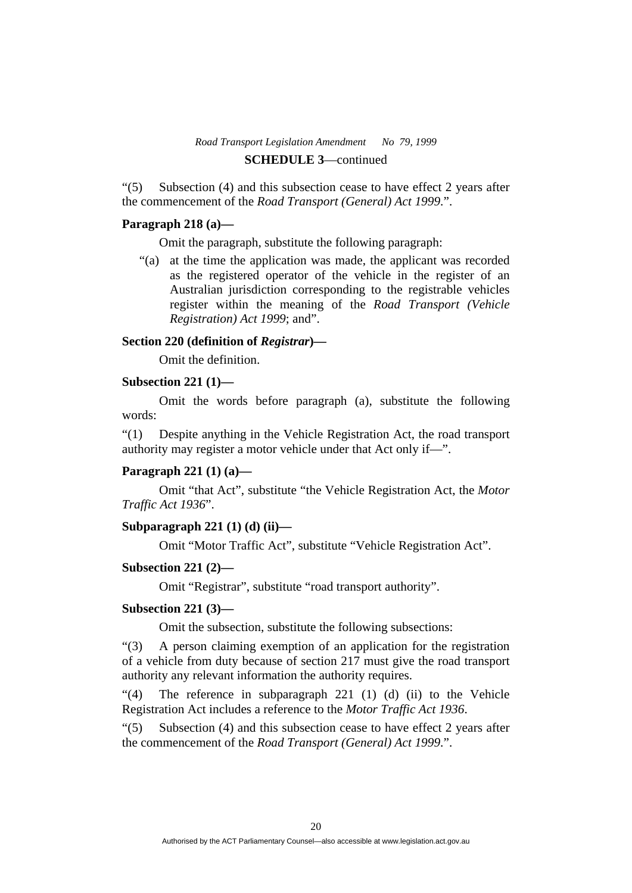"(5) Subsection (4) and this subsection cease to have effect 2 years after the commencement of the *Road Transport (General) Act 1999*.".

#### **Paragraph 218 (a)—**

Omit the paragraph, substitute the following paragraph:

 "(a) at the time the application was made, the applicant was recorded as the registered operator of the vehicle in the register of an Australian jurisdiction corresponding to the registrable vehicles register within the meaning of the *Road Transport (Vehicle Registration) Act 1999*; and".

#### **Section 220 (definition of** *Registrar***)—**

Omit the definition.

#### **Subsection 221 (1)—**

 Omit the words before paragraph (a), substitute the following words:

"(1) Despite anything in the Vehicle Registration Act, the road transport authority may register a motor vehicle under that Act only if—".

#### **Paragraph 221 (1) (a)—**

 Omit "that Act", substitute "the Vehicle Registration Act, the *Motor Traffic Act 1936*".

## **Subparagraph 221 (1) (d) (ii)—**

Omit "Motor Traffic Act", substitute "Vehicle Registration Act".

#### **Subsection 221 (2)—**

Omit "Registrar", substitute "road transport authority".

#### **Subsection 221 (3)—**

Omit the subsection, substitute the following subsections:

"(3) A person claiming exemption of an application for the registration of a vehicle from duty because of section 217 must give the road transport authority any relevant information the authority requires.

"(4) The reference in subparagraph 221 (1) (d) (ii) to the Vehicle Registration Act includes a reference to the *Motor Traffic Act 1936*.

"(5) Subsection (4) and this subsection cease to have effect 2 years after the commencement of the *Road Transport (General) Act 1999*.".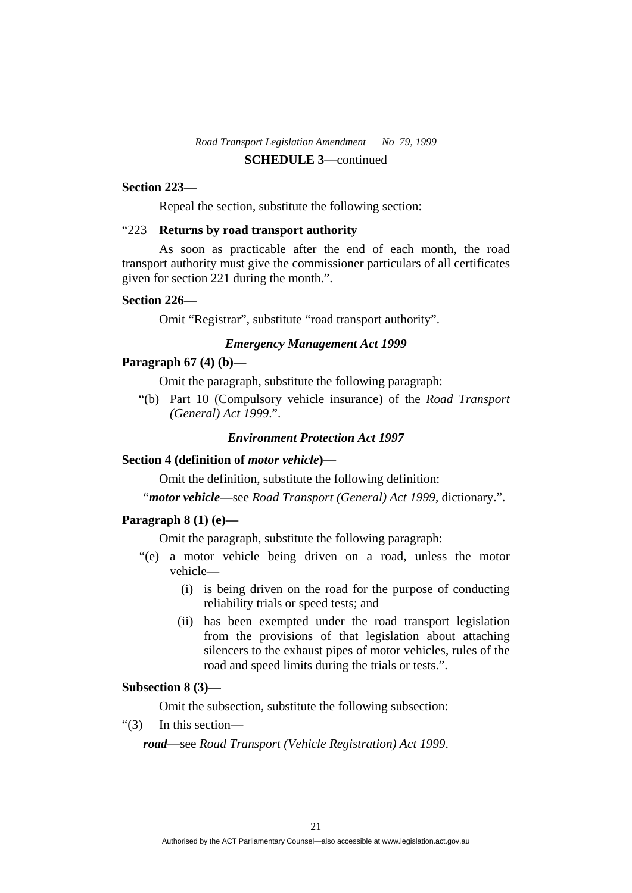#### **Section 223—**

Repeal the section, substitute the following section:

#### "223 **Returns by road transport authority**

 As soon as practicable after the end of each month, the road transport authority must give the commissioner particulars of all certificates given for section 221 during the month.".

#### **Section 226—**

Omit "Registrar", substitute "road transport authority".

## *Emergency Management Act 1999*

#### **Paragraph 67 (4) (b)—**

Omit the paragraph, substitute the following paragraph:

 "(b) Part 10 (Compulsory vehicle insurance) of the *Road Transport (General) Act 1999*.".

#### *Environment Protection Act 1997*

#### **Section 4 (definition of** *motor vehicle***)—**

Omit the definition, substitute the following definition:

"*motor vehicle*—see *Road Transport (General) Act 1999*, dictionary.".

## **Paragraph 8 (1) (e)—**

Omit the paragraph, substitute the following paragraph:

- "(e) a motor vehicle being driven on a road, unless the motor vehicle—
	- (i) is being driven on the road for the purpose of conducting reliability trials or speed tests; and
	- (ii) has been exempted under the road transport legislation from the provisions of that legislation about attaching silencers to the exhaust pipes of motor vehicles, rules of the road and speed limits during the trials or tests.".

#### **Subsection 8 (3)—**

Omit the subsection, substitute the following subsection:

"(3) In this section—

*road*—see *Road Transport (Vehicle Registration) Act 1999*.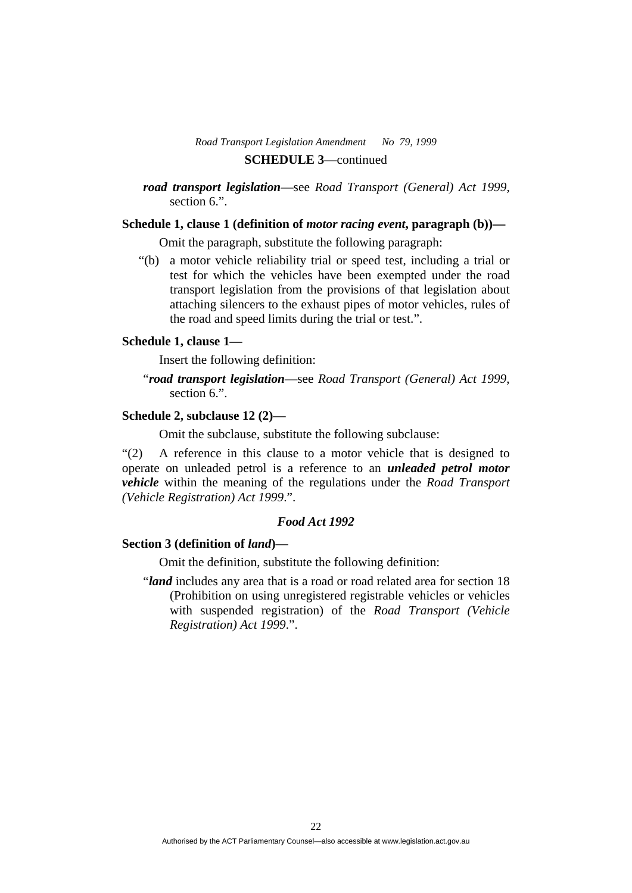*road transport legislation*—see *Road Transport (General) Act 1999*, section 6.".

## **Schedule 1, clause 1 (definition of** *motor racing event***, paragraph (b))—**

Omit the paragraph, substitute the following paragraph:

 "(b) a motor vehicle reliability trial or speed test, including a trial or test for which the vehicles have been exempted under the road transport legislation from the provisions of that legislation about attaching silencers to the exhaust pipes of motor vehicles, rules of the road and speed limits during the trial or test.".

#### **Schedule 1, clause 1—**

Insert the following definition:

"*road transport legislation*—see *Road Transport (General) Act 1999*, section 6.".

## **Schedule 2, subclause 12 (2)—**

Omit the subclause, substitute the following subclause:

"(2) A reference in this clause to a motor vehicle that is designed to operate on unleaded petrol is a reference to an *unleaded petrol motor vehicle* within the meaning of the regulations under the *Road Transport (Vehicle Registration) Act 1999*.".

## *Food Act 1992*

#### **Section 3 (definition of** *land***)—**

Omit the definition, substitute the following definition:

"*land* includes any area that is a road or road related area for section 18 (Prohibition on using unregistered registrable vehicles or vehicles with suspended registration) of the *Road Transport (Vehicle Registration) Act 1999*.".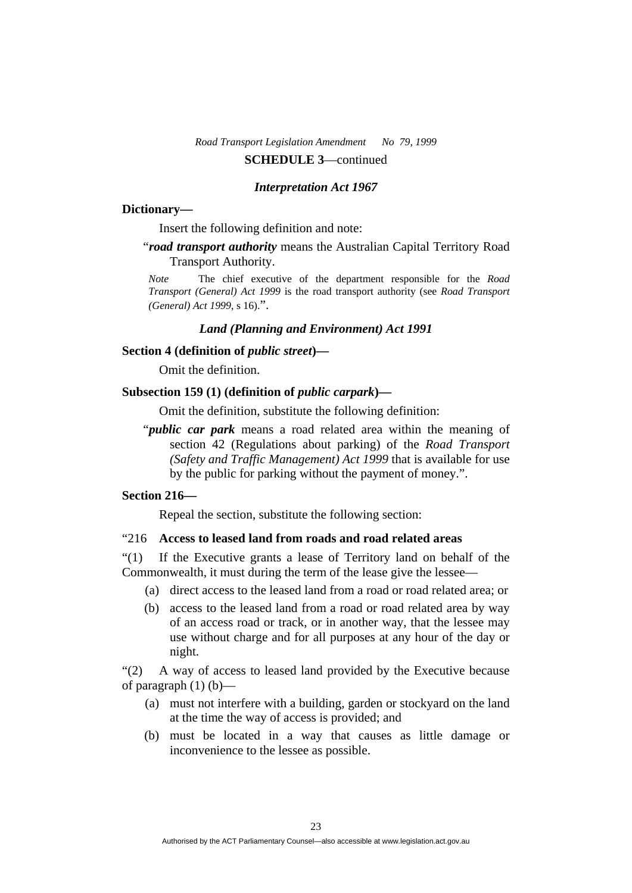#### *Interpretation Act 1967*

#### **Dictionary—**

Insert the following definition and note:

"*road transport authority* means the Australian Capital Territory Road Transport Authority.

*Note* The chief executive of the department responsible for the *Road Transport (General) Act 1999* is the road transport authority (see *Road Transport (General) Act 1999*, s 16).".

## *Land (Planning and Environment) Act 1991*

# **Section 4 (definition of** *public street***)—**

Omit the definition.

## Subsection 159 (1) (definition of *public carpark*)—

Omit the definition, substitute the following definition:

"*public car park* means a road related area within the meaning of section 42 (Regulations about parking) of the *Road Transport (Safety and Traffic Management) Act 1999* that is available for use by the public for parking without the payment of money.".

## **Section 216—**

Repeal the section, substitute the following section:

#### "216 **Access to leased land from roads and road related areas**

"(1) If the Executive grants a lease of Territory land on behalf of the Commonwealth, it must during the term of the lease give the lessee—

- (a) direct access to the leased land from a road or road related area; or
- (b) access to the leased land from a road or road related area by way of an access road or track, or in another way, that the lessee may use without charge and for all purposes at any hour of the day or night.

"(2) A way of access to leased land provided by the Executive because of paragraph  $(1)$  (b)—

- (a) must not interfere with a building, garden or stockyard on the land at the time the way of access is provided; and
- (b) must be located in a way that causes as little damage or inconvenience to the lessee as possible.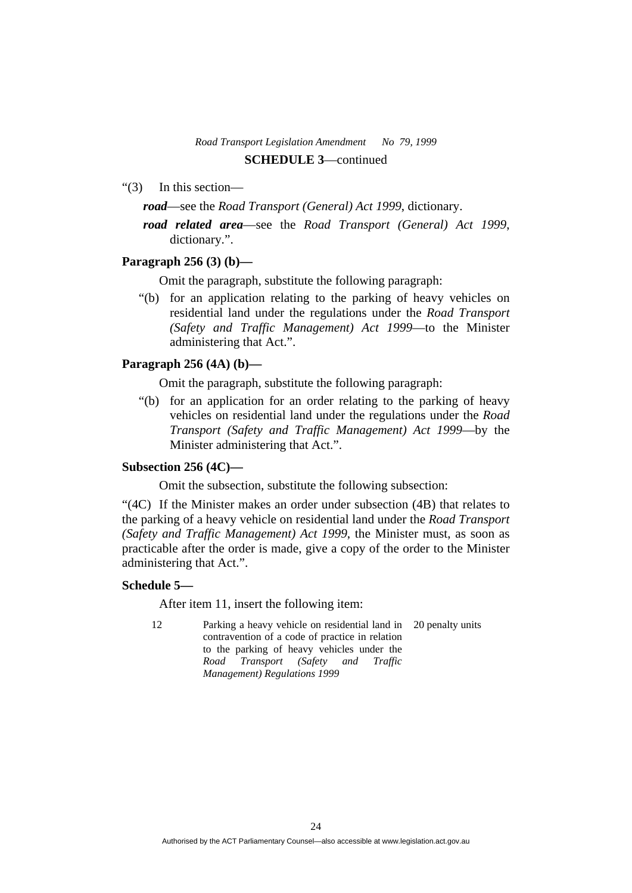- "(3) In this section
	- *road*—see the *Road Transport (General) Act 1999*, dictionary.
	- *road related area*—see the *Road Transport (General) Act 1999*, dictionary.".

#### **Paragraph 256 (3) (b)—**

Omit the paragraph, substitute the following paragraph:

 "(b) for an application relating to the parking of heavy vehicles on residential land under the regulations under the *Road Transport (Safety and Traffic Management) Act 1999*—to the Minister administering that Act.".

#### **Paragraph 256 (4A) (b)—**

Omit the paragraph, substitute the following paragraph:

 "(b) for an application for an order relating to the parking of heavy vehicles on residential land under the regulations under the *Road Transport (Safety and Traffic Management) Act 1999*—by the Minister administering that Act.".

## **Subsection 256 (4C)—**

Omit the subsection, substitute the following subsection:

"(4C) If the Minister makes an order under subsection (4B) that relates to the parking of a heavy vehicle on residential land under the *Road Transport (Safety and Traffic Management) Act 1999*, the Minister must, as soon as practicable after the order is made, give a copy of the order to the Minister administering that Act.".

#### **Schedule 5—**

After item 11, insert the following item:

12 Parking a heavy vehicle on residential land in 20 penalty units contravention of a code of practice in relation to the parking of heavy vehicles under the *Road Transport (Safety and Traffic Management) Regulations 1999*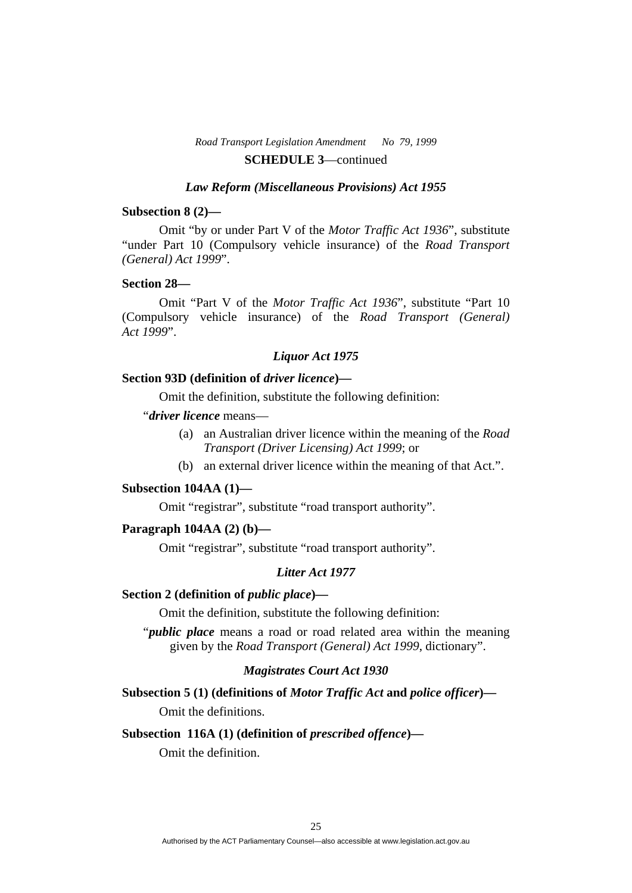#### *Law Reform (Miscellaneous Provisions) Act 1955*

#### **Subsection 8 (2)—**

 Omit "by or under Part V of the *Motor Traffic Act 1936*", substitute "under Part 10 (Compulsory vehicle insurance) of the *Road Transport (General) Act 1999*".

#### **Section 28—**

 Omit "Part V of the *Motor Traffic Act 1936*", substitute "Part 10 (Compulsory vehicle insurance) of the *Road Transport (General) Act 1999*".

# *Liquor Act 1975*

#### **Section 93D (definition of** *driver licence***)—**

Omit the definition, substitute the following definition:

## "*driver licence* means—

- (a) an Australian driver licence within the meaning of the *Road Transport (Driver Licensing) Act 1999*; or
- (b) an external driver licence within the meaning of that Act.".

#### **Subsection 104AA (1)—**

Omit "registrar", substitute "road transport authority".

#### **Paragraph 104AA (2) (b)—**

Omit "registrar", substitute "road transport authority".

#### *Litter Act 1977*

#### **Section 2 (definition of** *public place***)—**

Omit the definition, substitute the following definition:

"*public place* means a road or road related area within the meaning given by the *Road Transport (General) Act 1999*, dictionary".

# *Magistrates Court Act 1930*

**Subsection 5 (1) (definitions of** *Motor Traffic Act* **and** *police officer***)—**  Omit the definitions.

#### Subsection 116A (1) (definition of *prescribed offence*)—

Omit the definition.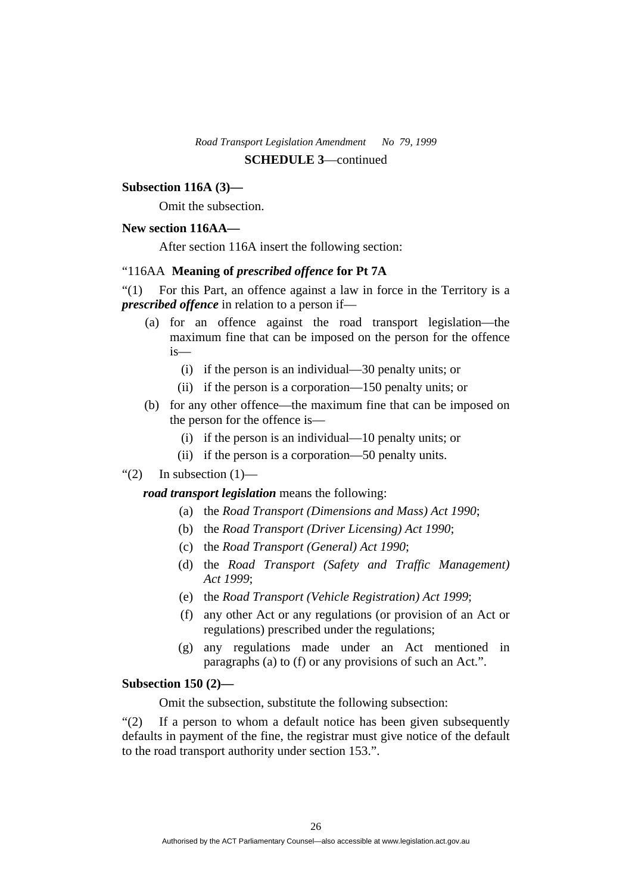#### **Subsection 116A (3)—**

Omit the subsection.

## **New section 116AA—**

After section 116A insert the following section:

#### "116AA **Meaning of** *prescribed offence* **for Pt 7A**

"(1) For this Part, an offence against a law in force in the Territory is a *prescribed offence* in relation to a person if—

- (a) for an offence against the road transport legislation—the maximum fine that can be imposed on the person for the offence is—
	- (i) if the person is an individual—30 penalty units; or
	- (ii) if the person is a corporation—150 penalty units; or
- (b) for any other offence—the maximum fine that can be imposed on the person for the offence is—
	- (i) if the person is an individual—10 penalty units; or
	- (ii) if the person is a corporation—50 penalty units.

#### "(2) In subsection  $(1)$ —

*road transport legislation* means the following:

- (a) the *Road Transport (Dimensions and Mass) Act 1990*;
- (b) the *Road Transport (Driver Licensing) Act 1990*;
- (c) the *Road Transport (General) Act 1990*;
- (d) the *Road Transport (Safety and Traffic Management) Act 1999*;
- (e) the *Road Transport (Vehicle Registration) Act 1999*;
- (f) any other Act or any regulations (or provision of an Act or regulations) prescribed under the regulations;
- (g) any regulations made under an Act mentioned in paragraphs (a) to (f) or any provisions of such an Act.".

#### **Subsection 150 (2)—**

Omit the subsection, substitute the following subsection:

"(2) If a person to whom a default notice has been given subsequently defaults in payment of the fine, the registrar must give notice of the default to the road transport authority under section 153.".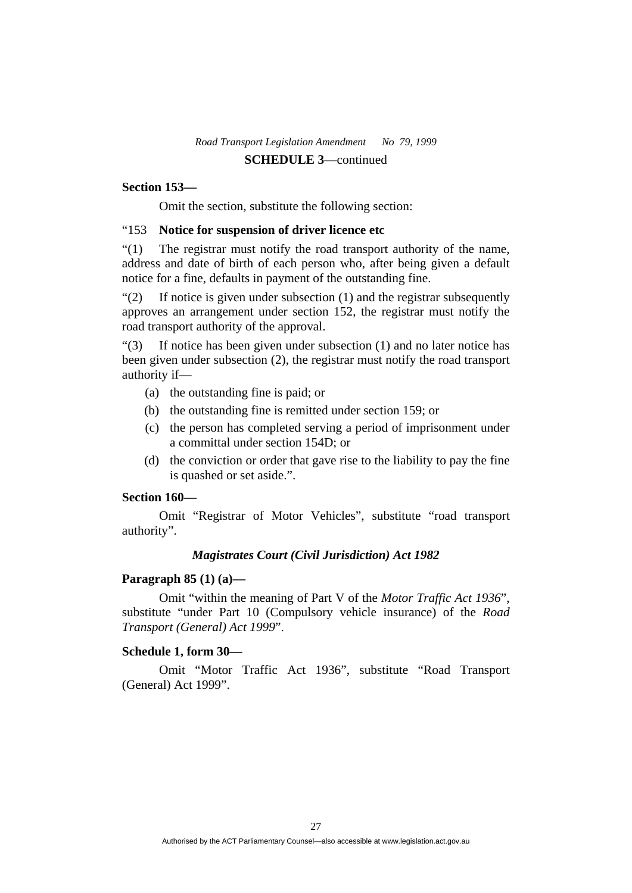## **Section 153—**

Omit the section, substitute the following section:

#### "153 **Notice for suspension of driver licence etc**

"(1) The registrar must notify the road transport authority of the name, address and date of birth of each person who, after being given a default notice for a fine, defaults in payment of the outstanding fine.

 $\degree$ (2) If notice is given under subsection (1) and the registrar subsequently approves an arrangement under section 152, the registrar must notify the road transport authority of the approval.

"(3) If notice has been given under subsection (1) and no later notice has been given under subsection (2), the registrar must notify the road transport authority if—

- (a) the outstanding fine is paid; or
- (b) the outstanding fine is remitted under section 159; or
- (c) the person has completed serving a period of imprisonment under a committal under section 154D; or
- (d) the conviction or order that gave rise to the liability to pay the fine is quashed or set aside.".

## **Section 160—**

 Omit "Registrar of Motor Vehicles", substitute "road transport authority".

# *Magistrates Court (Civil Jurisdiction) Act 1982*

#### **Paragraph 85 (1) (a)—**

 Omit "within the meaning of Part V of the *Motor Traffic Act 1936*", substitute "under Part 10 (Compulsory vehicle insurance) of the *Road Transport (General) Act 1999*".

#### **Schedule 1, form 30—**

 Omit "Motor Traffic Act 1936", substitute "Road Transport (General) Act 1999".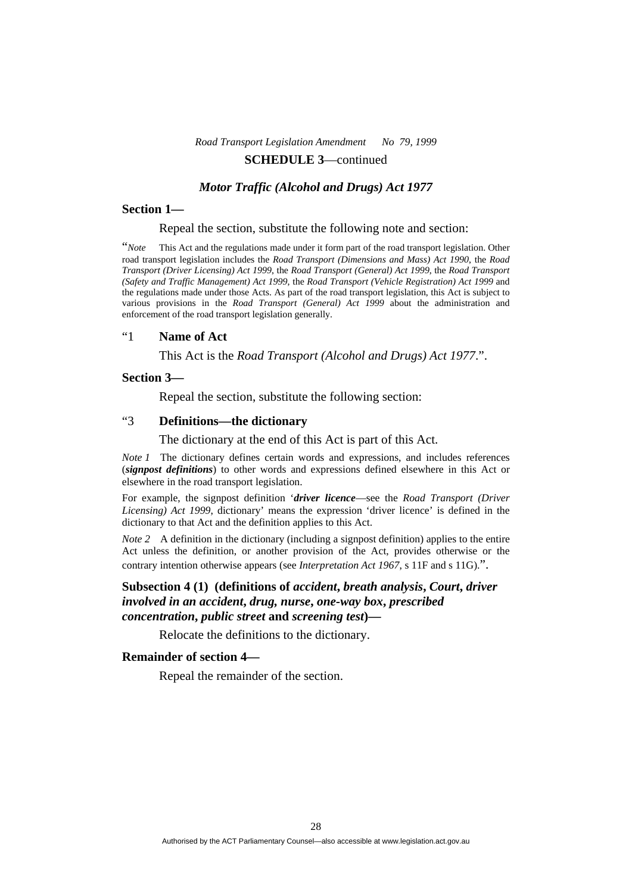#### *Motor Traffic (Alcohol and Drugs) Act 1977*

#### **Section 1—**

#### Repeal the section, substitute the following note and section:

"*Note* This Act and the regulations made under it form part of the road transport legislation. Other road transport legislation includes the *Road Transport (Dimensions and Mass) Act 1990*, the *Road Transport (Driver Licensing) Act 1999*, the *Road Transport (General) Act 1999*, the *Road Transport (Safety and Traffic Management) Act 1999*, the *Road Transport (Vehicle Registration) Act 1999* and the regulations made under those Acts. As part of the road transport legislation, this Act is subject to various provisions in the *Road Transport (General) Act 1999* about the administration and enforcement of the road transport legislation generally.

#### "1 **Name of Act**

This Act is the *Road Transport (Alcohol and Drugs) Act 1977*.".

#### **Section 3—**

Repeal the section, substitute the following section:

#### "3 **Definitions—the dictionary**

The dictionary at the end of this Act is part of this Act.

*Note 1* The dictionary defines certain words and expressions, and includes references (*signpost definitions*) to other words and expressions defined elsewhere in this Act or elsewhere in the road transport legislation.

For example, the signpost definition '*driver licence*—see the *Road Transport (Driver Licensing) Act 1999*, dictionary' means the expression 'driver licence' is defined in the dictionary to that Act and the definition applies to this Act.

*Note 2* A definition in the dictionary (including a signpost definition) applies to the entire Act unless the definition, or another provision of the Act, provides otherwise or the contrary intention otherwise appears (see *Interpretation Act 1967*, s 11F and s 11G).".

## **Subsection 4 (1) (definitions of** *accident***,** *breath analysis***,** *Court***,** *driver involved in an accident***,** *drug, nurse***,** *one-way box***,** *prescribed concentration***,** *public street* **and** *screening test***)—**

Relocate the definitions to the dictionary.

#### **Remainder of section 4—**

Repeal the remainder of the section.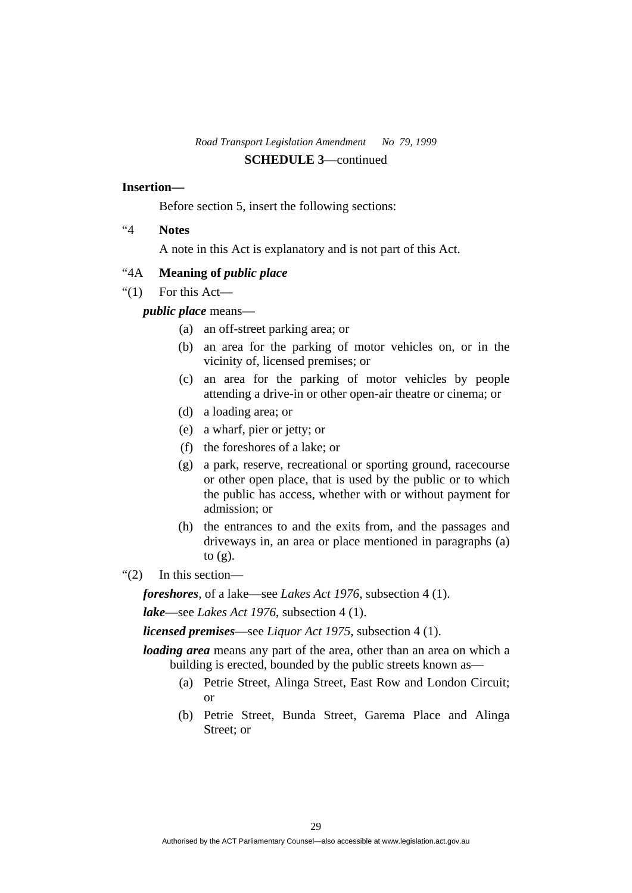#### **Insertion—**

Before section 5, insert the following sections:

"4 **Notes** 

A note in this Act is explanatory and is not part of this Act.

## "4A **Meaning of** *public place*

" $(1)$  For this Act—

## *public place* means—

- (a) an off-street parking area; or
- (b) an area for the parking of motor vehicles on, or in the vicinity of, licensed premises; or
- (c) an area for the parking of motor vehicles by people attending a drive-in or other open-air theatre or cinema; or
- (d) a loading area; or
- (e) a wharf, pier or jetty; or
- (f) the foreshores of a lake; or
- (g) a park, reserve, recreational or sporting ground, racecourse or other open place, that is used by the public or to which the public has access, whether with or without payment for admission; or
- (h) the entrances to and the exits from, and the passages and driveways in, an area or place mentioned in paragraphs (a) to  $(g)$ .
- "(2) In this section—

*foreshores*, of a lake—see *Lakes Act 1976*, subsection 4 (1).

*lake*—see *Lakes Act 1976*, subsection 4 (1).

*licensed premises*—see *Liquor Act 1975*, subsection 4 (1).

*loading area* means any part of the area, other than an area on which a building is erected, bounded by the public streets known as—

- (a) Petrie Street, Alinga Street, East Row and London Circuit; or
- (b) Petrie Street, Bunda Street, Garema Place and Alinga Street; or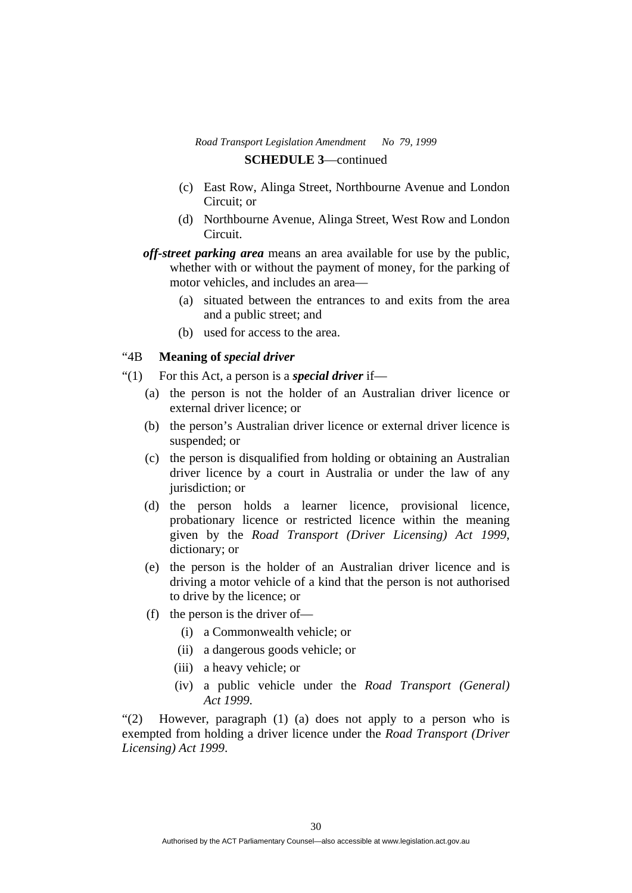- (c) East Row, Alinga Street, Northbourne Avenue and London Circuit; or
- (d) Northbourne Avenue, Alinga Street, West Row and London Circuit.

*off-street parking area* means an area available for use by the public, whether with or without the payment of money, for the parking of motor vehicles, and includes an area—

- (a) situated between the entrances to and exits from the area and a public street; and
- (b) used for access to the area.

## "4B **Meaning of** *special driver*

- "(1) For this Act, a person is a *special driver* if—
	- (a) the person is not the holder of an Australian driver licence or external driver licence; or
	- (b) the person's Australian driver licence or external driver licence is suspended; or
	- (c) the person is disqualified from holding or obtaining an Australian driver licence by a court in Australia or under the law of any jurisdiction; or
	- (d) the person holds a learner licence, provisional licence, probationary licence or restricted licence within the meaning given by the *Road Transport (Driver Licensing) Act 1999*, dictionary; or
	- (e) the person is the holder of an Australian driver licence and is driving a motor vehicle of a kind that the person is not authorised to drive by the licence; or
	- (f) the person is the driver of—
		- (i) a Commonwealth vehicle; or
		- (ii) a dangerous goods vehicle; or
		- (iii) a heavy vehicle; or
		- (iv) a public vehicle under the *Road Transport (General) Act 1999*.

"(2) However, paragraph (1) (a) does not apply to a person who is exempted from holding a driver licence under the *Road Transport (Driver Licensing) Act 1999*.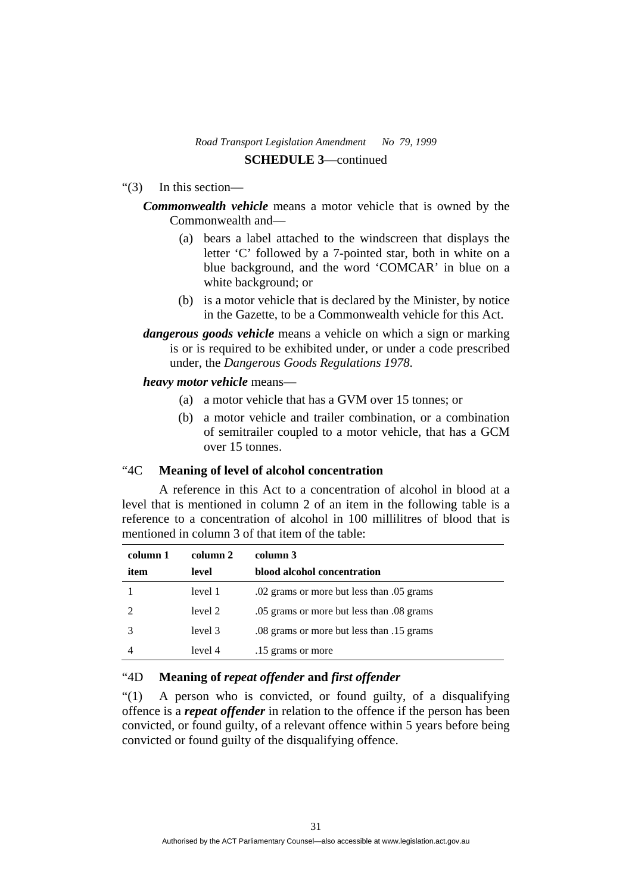"(3) In this section—

## *Commonwealth vehicle* means a motor vehicle that is owned by the Commonwealth and—

- (a) bears a label attached to the windscreen that displays the letter 'C' followed by a 7-pointed star, both in white on a blue background, and the word 'COMCAR' in blue on a white background; or
- (b) is a motor vehicle that is declared by the Minister, by notice in the Gazette, to be a Commonwealth vehicle for this Act.
- *dangerous goods vehicle* means a vehicle on which a sign or marking is or is required to be exhibited under, or under a code prescribed under, the *Dangerous Goods Regulations 1978*.

## *heavy motor vehicle* means—

- (a) a motor vehicle that has a GVM over 15 tonnes; or
- (b) a motor vehicle and trailer combination, or a combination of semitrailer coupled to a motor vehicle, that has a GCM over 15 tonnes.

# "4C **Meaning of level of alcohol concentration**

 A reference in this Act to a concentration of alcohol in blood at a level that is mentioned in column 2 of an item in the following table is a reference to a concentration of alcohol in 100 millilitres of blood that is mentioned in column 3 of that item of the table:

| column 1 | column 2 | column 3                                  |
|----------|----------|-------------------------------------------|
| item     | level    | blood alcohol concentration               |
|          | level 1  | .02 grams or more but less than .05 grams |
|          | level 2  | .05 grams or more but less than .08 grams |
|          | level 3  | .08 grams or more but less than .15 grams |
|          | level 4  | .15 grams or more                         |

## "4D **Meaning of** *repeat offender* **and** *first offender*

"(1) A person who is convicted, or found guilty, of a disqualifying offence is a *repeat offender* in relation to the offence if the person has been convicted, or found guilty, of a relevant offence within 5 years before being convicted or found guilty of the disqualifying offence.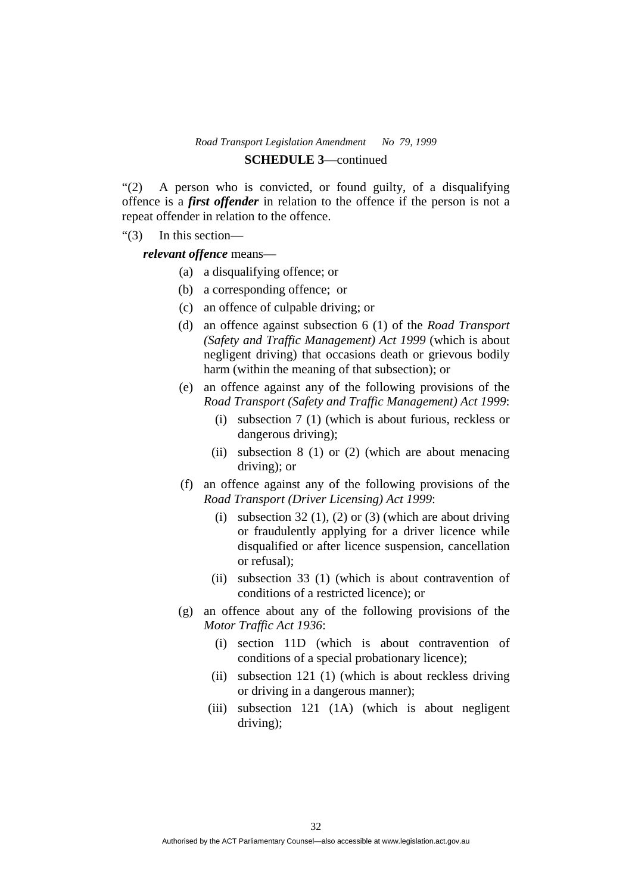# "(2) A person who is convicted, or found guilty, of a disqualifying offence is a *first offender* in relation to the offence if the person is not a repeat offender in relation to the offence.

"(3) In this section—

*relevant offence* means—

- (a) a disqualifying offence; or
- (b) a corresponding offence; or
- (c) an offence of culpable driving; or
- (d) an offence against subsection 6 (1) of the *Road Transport (Safety and Traffic Management) Act 1999* (which is about negligent driving) that occasions death or grievous bodily harm (within the meaning of that subsection); or
- (e) an offence against any of the following provisions of the *Road Transport (Safety and Traffic Management) Act 1999*:
	- (i) subsection 7 (1) (which is about furious, reckless or dangerous driving);
	- (ii) subsection 8 (1) or (2) (which are about menacing driving); or
- (f) an offence against any of the following provisions of the *Road Transport (Driver Licensing) Act 1999*:
	- (i) subsection 32 (1), (2) or (3) (which are about driving or fraudulently applying for a driver licence while disqualified or after licence suspension, cancellation or refusal);
	- (ii) subsection 33 (1) (which is about contravention of conditions of a restricted licence); or
- (g) an offence about any of the following provisions of the *Motor Traffic Act 1936*:
	- (i) section 11D (which is about contravention of conditions of a special probationary licence);
	- (ii) subsection 121 (1) (which is about reckless driving or driving in a dangerous manner);
	- (iii) subsection 121 (1A) (which is about negligent driving);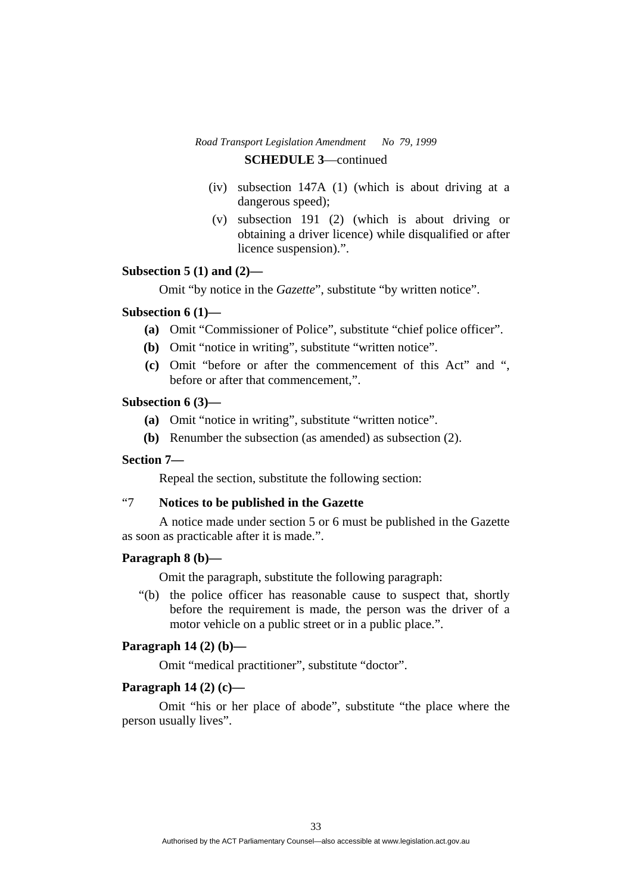- (iv) subsection 147A (1) (which is about driving at a dangerous speed);
- (v) subsection 191 (2) (which is about driving or obtaining a driver licence) while disqualified or after licence suspension).".

#### **Subsection 5 (1) and (2)—**

Omit "by notice in the *Gazette*", substitute "by written notice".

#### **Subsection 6 (1)—**

- **(a)** Omit "Commissioner of Police", substitute "chief police officer".
- **(b)** Omit "notice in writing", substitute "written notice".
- **(c)** Omit "before or after the commencement of this Act" and ", before or after that commencement,".

#### **Subsection 6 (3)—**

- **(a)** Omit "notice in writing", substitute "written notice".
- **(b)** Renumber the subsection (as amended) as subsection (2).

### **Section 7—**

Repeal the section, substitute the following section:

## "7 **Notices to be published in the Gazette**

 A notice made under section 5 or 6 must be published in the Gazette as soon as practicable after it is made.".

## **Paragraph 8 (b)—**

Omit the paragraph, substitute the following paragraph:

 "(b) the police officer has reasonable cause to suspect that, shortly before the requirement is made, the person was the driver of a motor vehicle on a public street or in a public place.".

## **Paragraph 14 (2) (b)—**

Omit "medical practitioner", substitute "doctor".

#### **Paragraph 14 (2) (c)—**

 Omit "his or her place of abode", substitute "the place where the person usually lives".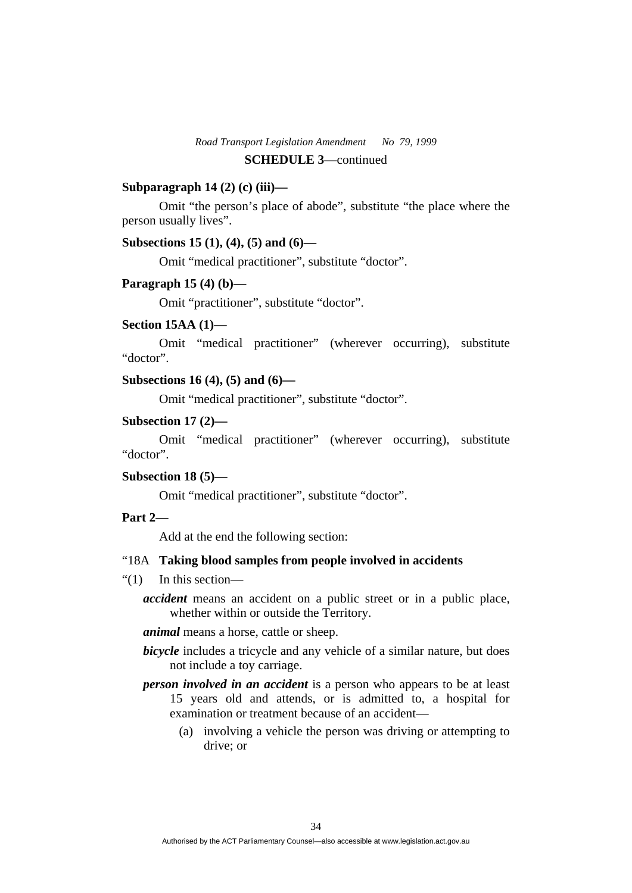#### **Subparagraph 14 (2) (c) (iii)—**

 Omit "the person's place of abode", substitute "the place where the person usually lives".

## **Subsections 15 (1), (4), (5) and (6)—**

Omit "medical practitioner", substitute "doctor".

#### **Paragraph 15 (4) (b)—**

Omit "practitioner", substitute "doctor".

#### **Section 15AA (1)—**

 Omit "medical practitioner" (wherever occurring), substitute "doctor".

## **Subsections 16 (4), (5) and (6)—**

Omit "medical practitioner", substitute "doctor".

#### **Subsection 17 (2)—**

 Omit "medical practitioner" (wherever occurring), substitute "doctor".

## **Subsection 18 (5)—**

Omit "medical practitioner", substitute "doctor".

## **Part 2—**

Add at the end the following section:

#### "18A **Taking blood samples from people involved in accidents**

- "(1) In this section
	- *accident* means an accident on a public street or in a public place, whether within or outside the Territory.

*animal* means a horse, cattle or sheep.

- *bicycle* includes a tricycle and any vehicle of a similar nature, but does not include a toy carriage.
- *person involved in an accident* is a person who appears to be at least 15 years old and attends, or is admitted to, a hospital for examination or treatment because of an accident—
	- (a) involving a vehicle the person was driving or attempting to drive; or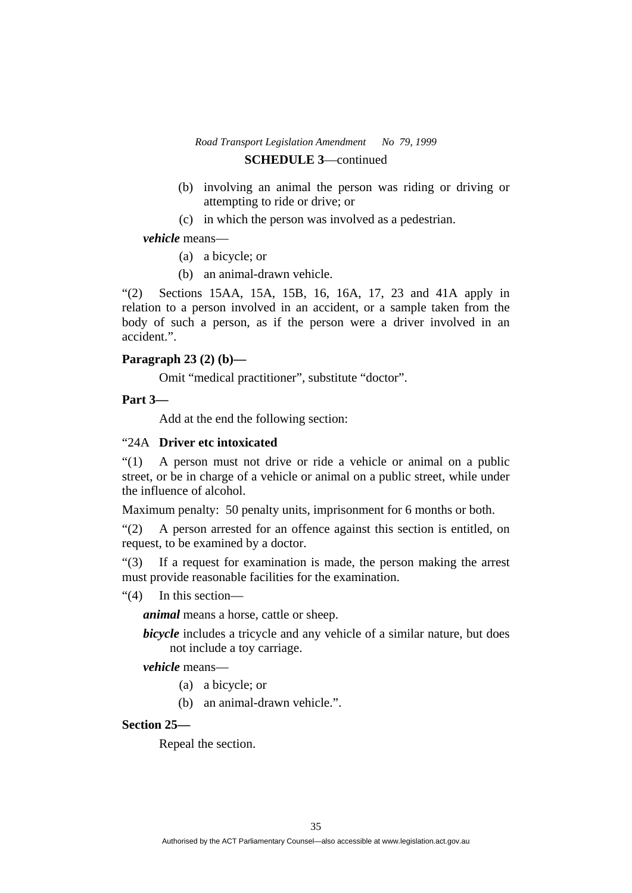- (b) involving an animal the person was riding or driving or attempting to ride or drive; or
- (c) in which the person was involved as a pedestrian.

## *vehicle* means—

- (a) a bicycle; or
- (b) an animal-drawn vehicle.

"(2) Sections 15AA, 15A, 15B, 16, 16A, 17, 23 and 41A apply in relation to a person involved in an accident, or a sample taken from the body of such a person, as if the person were a driver involved in an accident.".

## **Paragraph 23 (2) (b)—**

Omit "medical practitioner", substitute "doctor".

## **Part 3—**

Add at the end the following section:

## "24A **Driver etc intoxicated**

"(1) A person must not drive or ride a vehicle or animal on a public street, or be in charge of a vehicle or animal on a public street, while under the influence of alcohol.

Maximum penalty: 50 penalty units, imprisonment for 6 months or both.

"(2) A person arrested for an offence against this section is entitled, on request, to be examined by a doctor.

"(3) If a request for examination is made, the person making the arrest must provide reasonable facilities for the examination.

"(4) In this section—

*animal* means a horse, cattle or sheep.

*bicycle* includes a tricycle and any vehicle of a similar nature, but does not include a toy carriage.

*vehicle* means—

- (a) a bicycle; or
- (b) an animal-drawn vehicle.".

#### **Section 25—**

Repeal the section.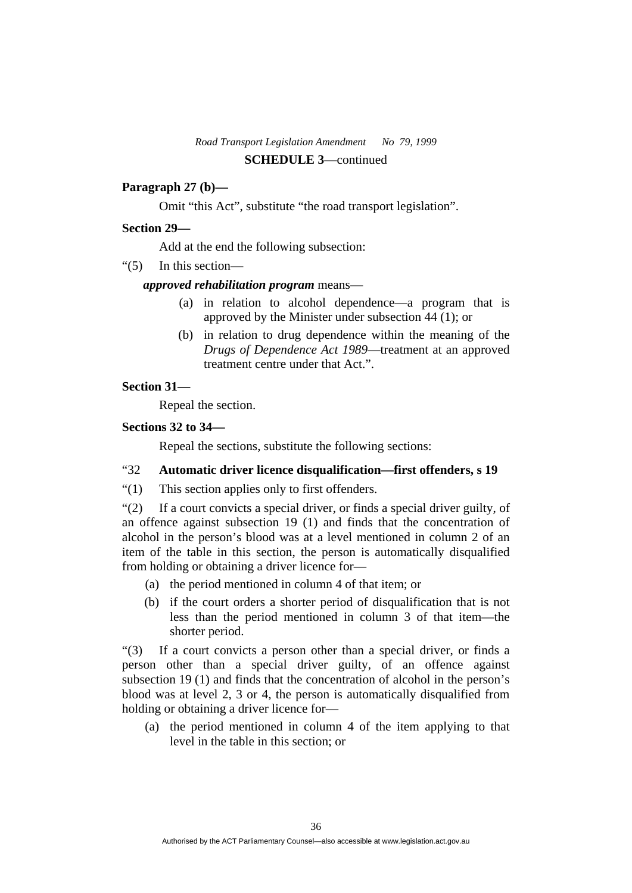# **Paragraph 27 (b)—**

Omit "this Act", substitute "the road transport legislation".

## **Section 29—**

Add at the end the following subsection:

"(5) In this section—

## *approved rehabilitation program* means—

- (a) in relation to alcohol dependence—a program that is approved by the Minister under subsection 44 (1); or
- (b) in relation to drug dependence within the meaning of the *Drugs of Dependence Act 1989*—treatment at an approved treatment centre under that Act.".

## **Section 31—**

Repeal the section.

## **Sections 32 to 34—**

Repeal the sections, substitute the following sections:

# "32 **Automatic driver licence disqualification—first offenders, s 19**

"(1) This section applies only to first offenders.

"(2) If a court convicts a special driver, or finds a special driver guilty, of an offence against subsection 19 (1) and finds that the concentration of alcohol in the person's blood was at a level mentioned in column 2 of an item of the table in this section, the person is automatically disqualified from holding or obtaining a driver licence for—

- (a) the period mentioned in column 4 of that item; or
- (b) if the court orders a shorter period of disqualification that is not less than the period mentioned in column 3 of that item—the shorter period.

"(3) If a court convicts a person other than a special driver, or finds a person other than a special driver guilty, of an offence against subsection 19 (1) and finds that the concentration of alcohol in the person's blood was at level 2, 3 or 4, the person is automatically disqualified from holding or obtaining a driver licence for—

 (a) the period mentioned in column 4 of the item applying to that level in the table in this section; or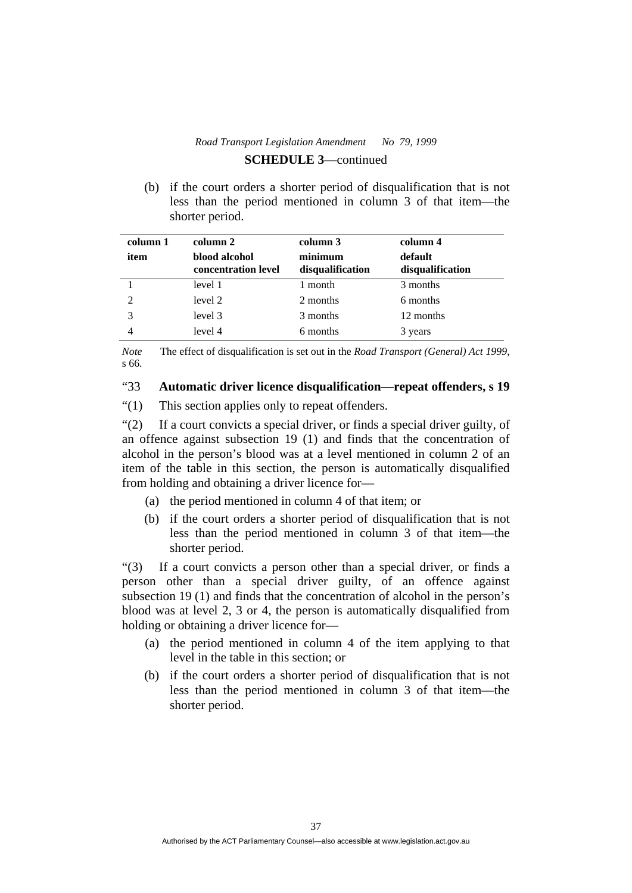(b) if the court orders a shorter period of disqualification that is not less than the period mentioned in column 3 of that item—the shorter period.

| column 1       | column 2                             | column 3                    | column 4                    |
|----------------|--------------------------------------|-----------------------------|-----------------------------|
| item           | blood alcohol<br>concentration level | minimum<br>disqualification | default<br>disqualification |
|                | level 1                              | 1 month                     | 3 months                    |
| $\mathfrak{D}$ | level 2                              | 2 months                    | 6 months                    |
|                | level 3                              | 3 months                    | 12 months                   |
|                | level 4                              | 6 months                    | 3 years                     |

*Note* The effect of disqualification is set out in the *Road Transport (General) Act 1999*, s 66.

## "33 **Automatic driver licence disqualification—repeat offenders, s 19**

"(1) This section applies only to repeat offenders.

"(2) If a court convicts a special driver, or finds a special driver guilty, of an offence against subsection 19 (1) and finds that the concentration of alcohol in the person's blood was at a level mentioned in column 2 of an item of the table in this section, the person is automatically disqualified from holding and obtaining a driver licence for—

- (a) the period mentioned in column 4 of that item; or
- (b) if the court orders a shorter period of disqualification that is not less than the period mentioned in column 3 of that item—the shorter period.

"(3) If a court convicts a person other than a special driver, or finds a person other than a special driver guilty, of an offence against subsection 19 (1) and finds that the concentration of alcohol in the person's blood was at level 2, 3 or 4, the person is automatically disqualified from holding or obtaining a driver licence for—

- (a) the period mentioned in column 4 of the item applying to that level in the table in this section; or
- (b) if the court orders a shorter period of disqualification that is not less than the period mentioned in column 3 of that item—the shorter period.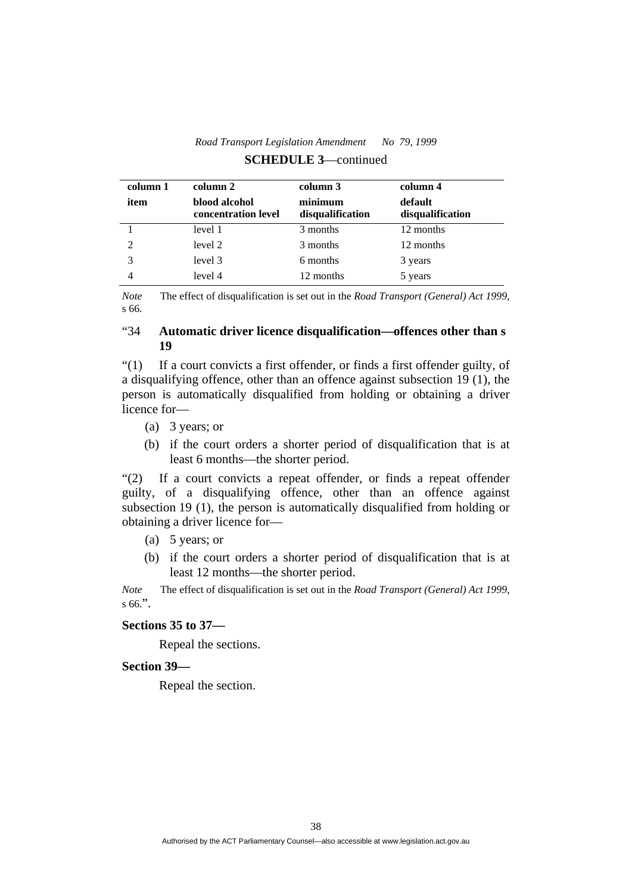| column 1                    | column 2                             | column 3                    | column 4                    |
|-----------------------------|--------------------------------------|-----------------------------|-----------------------------|
| item                        | blood alcohol<br>concentration level | minimum<br>disqualification | default<br>disqualification |
|                             | level 1                              | 3 months                    | 12 months                   |
| $\mathcal{D}_{\mathcal{L}}$ | level 2                              | 3 months                    | 12 months                   |
| 3                           | level 3                              | 6 months                    | 3 years                     |
|                             | level 4                              | 12 months                   | 5 years                     |

*Note* The effect of disqualification is set out in the *Road Transport (General) Act 1999*, s 66.

# "34 **Automatic driver licence disqualification—offences other than s 19**

"(1) If a court convicts a first offender, or finds a first offender guilty, of a disqualifying offence, other than an offence against subsection 19 (1), the person is automatically disqualified from holding or obtaining a driver licence for—

- (a) 3 years; or
- (b) if the court orders a shorter period of disqualification that is at least 6 months—the shorter period.

"(2) If a court convicts a repeat offender, or finds a repeat offender guilty, of a disqualifying offence, other than an offence against subsection 19 (1), the person is automatically disqualified from holding or obtaining a driver licence for—

- (a) 5 years; or
- (b) if the court orders a shorter period of disqualification that is at least 12 months—the shorter period.

*Note* The effect of disqualification is set out in the *Road Transport (General) Act 1999*, s  $66$ .".

#### **Sections 35 to 37—**

Repeal the sections.

#### **Section 39—**

Repeal the section.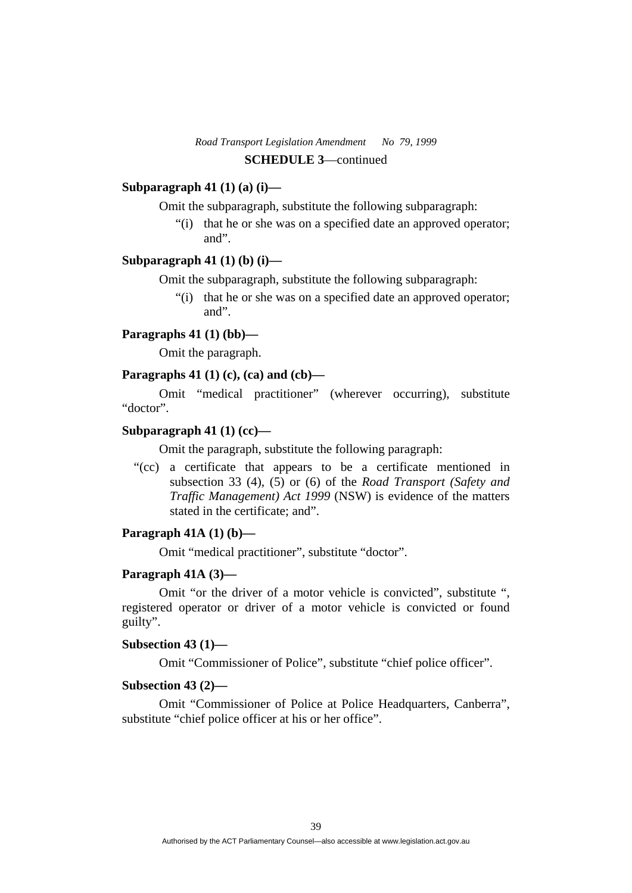## **Subparagraph 41 (1) (a) (i)—**

Omit the subparagraph, substitute the following subparagraph:

 "(i) that he or she was on a specified date an approved operator; and".

## **Subparagraph 41 (1) (b) (i)—**

Omit the subparagraph, substitute the following subparagraph:

 "(i) that he or she was on a specified date an approved operator; and".

## **Paragraphs 41 (1) (bb)—**

Omit the paragraph.

#### **Paragraphs 41 (1) (c), (ca) and (cb)—**

 Omit "medical practitioner" (wherever occurring), substitute "doctor".

## **Subparagraph 41 (1) (cc)—**

Omit the paragraph, substitute the following paragraph:

 "(cc) a certificate that appears to be a certificate mentioned in subsection 33 (4), (5) or (6) of the *Road Transport (Safety and Traffic Management) Act 1999* (NSW) is evidence of the matters stated in the certificate; and".

#### **Paragraph 41A (1) (b)—**

Omit "medical practitioner", substitute "doctor".

#### **Paragraph 41A (3)—**

 Omit "or the driver of a motor vehicle is convicted", substitute ", registered operator or driver of a motor vehicle is convicted or found guilty".

#### **Subsection 43 (1)—**

Omit "Commissioner of Police", substitute "chief police officer".

#### **Subsection 43 (2)—**

 Omit "Commissioner of Police at Police Headquarters, Canberra", substitute "chief police officer at his or her office".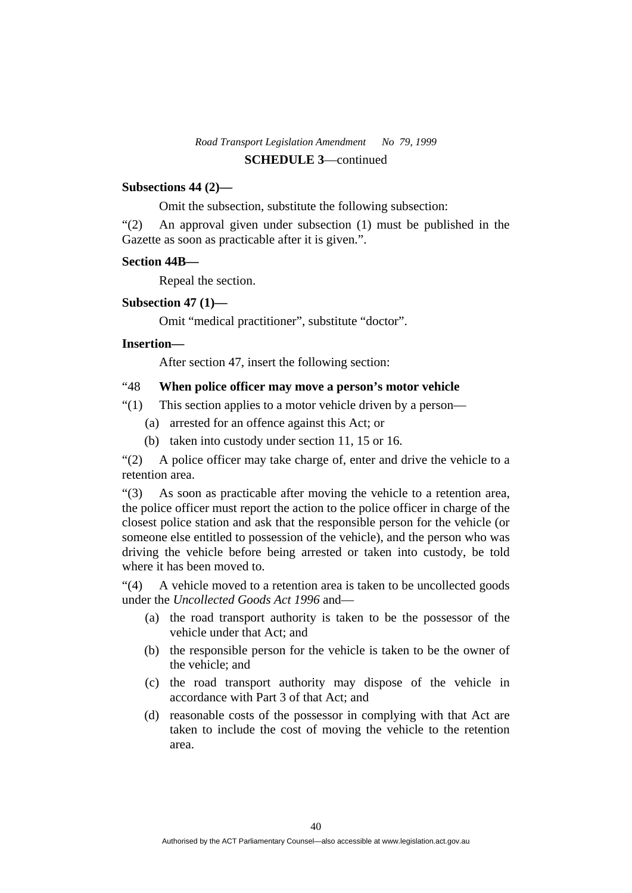## **Subsections 44 (2)—**

Omit the subsection, substitute the following subsection:

"(2) An approval given under subsection (1) must be published in the Gazette as soon as practicable after it is given.".

## **Section 44B—**

Repeal the section.

## **Subsection 47 (1)—**

Omit "medical practitioner", substitute "doctor".

## **Insertion—**

After section 47, insert the following section:

#### "48 **When police officer may move a person's motor vehicle**

"(1) This section applies to a motor vehicle driven by a person—

- (a) arrested for an offence against this Act; or
- (b) taken into custody under section 11, 15 or 16.

"(2) A police officer may take charge of, enter and drive the vehicle to a retention area.

"(3) As soon as practicable after moving the vehicle to a retention area, the police officer must report the action to the police officer in charge of the closest police station and ask that the responsible person for the vehicle (or someone else entitled to possession of the vehicle), and the person who was driving the vehicle before being arrested or taken into custody, be told where it has been moved to.

"(4) A vehicle moved to a retention area is taken to be uncollected goods under the *Uncollected Goods Act 1996* and—

- (a) the road transport authority is taken to be the possessor of the vehicle under that Act; and
- (b) the responsible person for the vehicle is taken to be the owner of the vehicle; and
- (c) the road transport authority may dispose of the vehicle in accordance with Part 3 of that Act; and
- (d) reasonable costs of the possessor in complying with that Act are taken to include the cost of moving the vehicle to the retention area.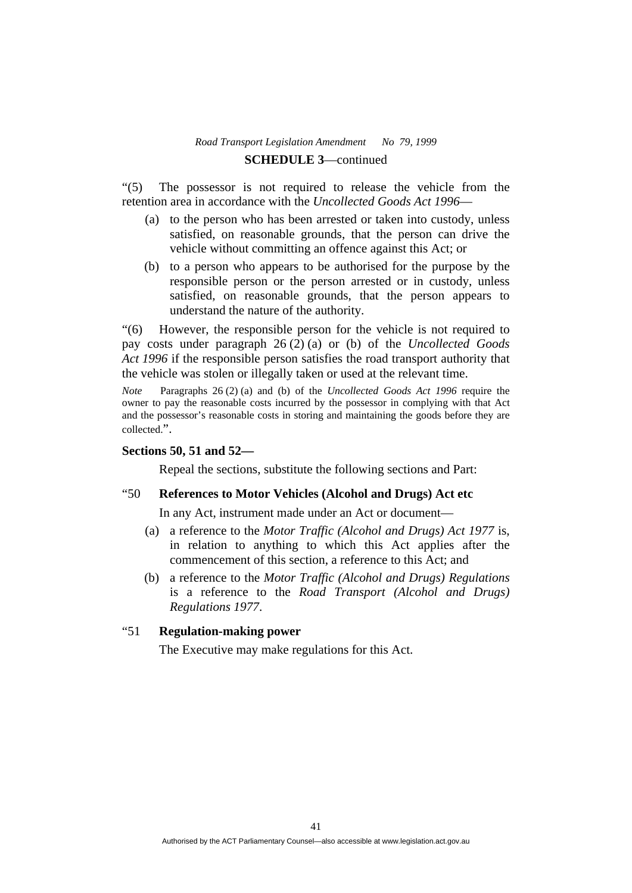"(5) The possessor is not required to release the vehicle from the retention area in accordance with the *Uncollected Goods Act 1996*—

- (a) to the person who has been arrested or taken into custody, unless satisfied, on reasonable grounds, that the person can drive the vehicle without committing an offence against this Act; or
- (b) to a person who appears to be authorised for the purpose by the responsible person or the person arrested or in custody, unless satisfied, on reasonable grounds, that the person appears to understand the nature of the authority.

"(6) However, the responsible person for the vehicle is not required to pay costs under paragraph 26 (2) (a) or (b) of the *Uncollected Goods Act 1996* if the responsible person satisfies the road transport authority that the vehicle was stolen or illegally taken or used at the relevant time.

*Note* Paragraphs 26 (2) (a) and (b) of the *Uncollected Goods Act 1996* require the owner to pay the reasonable costs incurred by the possessor in complying with that Act and the possessor's reasonable costs in storing and maintaining the goods before they are collected.".

#### **Sections 50, 51 and 52—**

Repeal the sections, substitute the following sections and Part:

# "50 **References to Motor Vehicles (Alcohol and Drugs) Act etc**

In any Act, instrument made under an Act or document—

- (a) a reference to the *Motor Traffic (Alcohol and Drugs) Act 1977* is, in relation to anything to which this Act applies after the commencement of this section, a reference to this Act; and
- (b) a reference to the *Motor Traffic (Alcohol and Drugs) Regulations*  is a reference to the *Road Transport (Alcohol and Drugs) Regulations 1977*.

#### "51 **Regulation-making power**

The Executive may make regulations for this Act.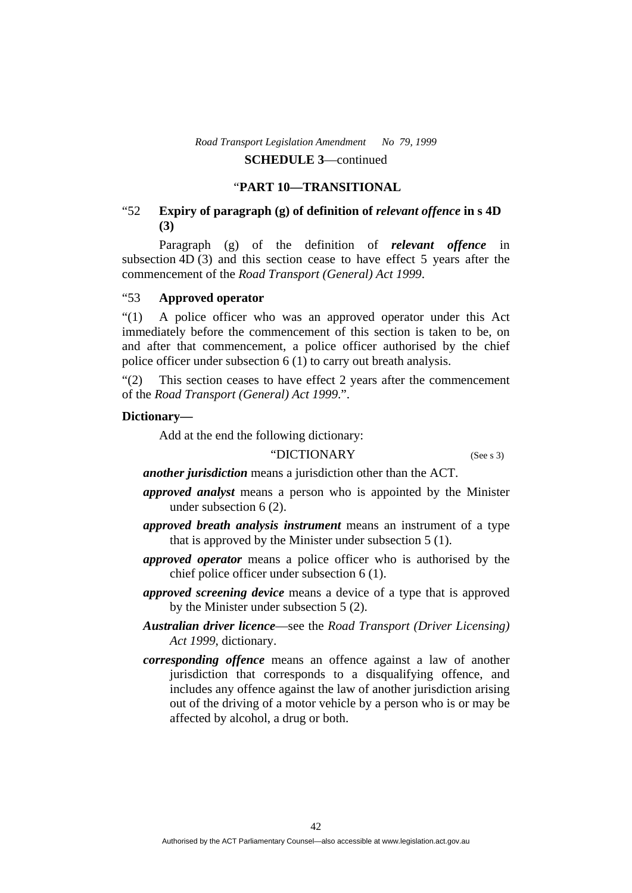#### "**PART 10—TRANSITIONAL**

# "52 **Expiry of paragraph (g) of definition of** *relevant offence* **in s 4D (3)**

 Paragraph (g) of the definition of *relevant offence* in subsection 4D (3) and this section cease to have effect 5 years after the commencement of the *Road Transport (General) Act 1999*.

#### "53 **Approved operator**

"(1) A police officer who was an approved operator under this Act immediately before the commencement of this section is taken to be, on and after that commencement, a police officer authorised by the chief police officer under subsection 6 (1) to carry out breath analysis.

"(2) This section ceases to have effect 2 years after the commencement of the *Road Transport (General) Act 1999*.".

#### **Dictionary—**

Add at the end the following dictionary:

# "DICTIONARY(See s 3)

*another jurisdiction* means a jurisdiction other than the ACT.

- *approved analyst* means a person who is appointed by the Minister under subsection 6 (2).
- *approved breath analysis instrument* means an instrument of a type that is approved by the Minister under subsection 5 (1).
- *approved operator* means a police officer who is authorised by the chief police officer under subsection 6 (1).
- *approved screening device* means a device of a type that is approved by the Minister under subsection 5 (2).
- *Australian driver licence*—see the *Road Transport (Driver Licensing) Act 1999*, dictionary.
- *corresponding offence* means an offence against a law of another jurisdiction that corresponds to a disqualifying offence, and includes any offence against the law of another jurisdiction arising out of the driving of a motor vehicle by a person who is or may be affected by alcohol, a drug or both.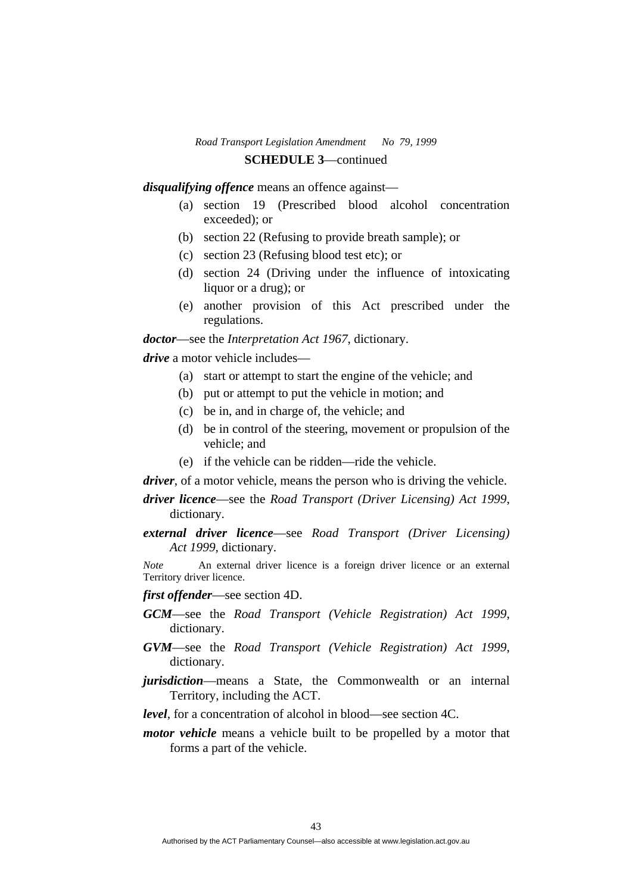*disqualifying offence* means an offence against—

- (a) section 19 (Prescribed blood alcohol concentration exceeded); or
- (b) section 22 (Refusing to provide breath sample); or
- (c) section 23 (Refusing blood test etc); or
- (d) section 24 (Driving under the influence of intoxicating liquor or a drug); or
- (e) another provision of this Act prescribed under the regulations.

*doctor*—see the *Interpretation Act 1967*, dictionary.

*drive* a motor vehicle includes—

- (a) start or attempt to start the engine of the vehicle; and
- (b) put or attempt to put the vehicle in motion; and
- (c) be in, and in charge of, the vehicle; and
- (d) be in control of the steering, movement or propulsion of the vehicle; and
- (e) if the vehicle can be ridden—ride the vehicle.

*driver*, of a motor vehicle, means the person who is driving the vehicle.

- *driver licence*—see the *Road Transport (Driver Licensing) Act 1999*, dictionary.
- *external driver licence*—see *Road Transport (Driver Licensing) Act 1999*, dictionary.

*Note* An external driver licence is a foreign driver licence or an external Territory driver licence.

- *first offender*—see section 4D.
- *GCM*—see the *Road Transport (Vehicle Registration) Act 1999*, dictionary.
- *GVM*—see the *Road Transport (Vehicle Registration) Act 1999*, dictionary.
- *jurisdiction*—means a State, the Commonwealth or an internal Territory, including the ACT.

*level*, for a concentration of alcohol in blood—see section 4C.

*motor vehicle* means a vehicle built to be propelled by a motor that forms a part of the vehicle.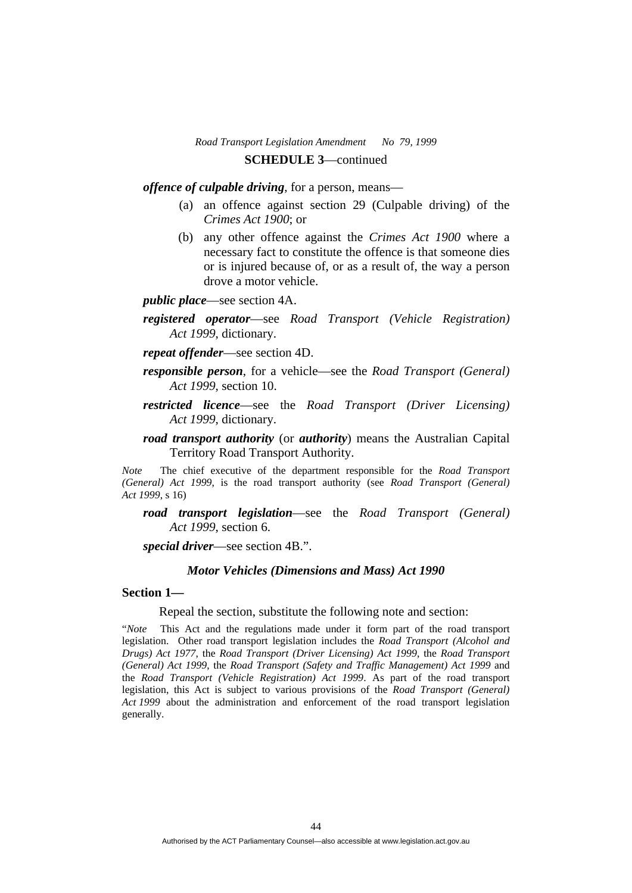*offence of culpable driving*, for a person, means—

- (a) an offence against section 29 (Culpable driving) of the *Crimes Act 1900*; or
- (b) any other offence against the *Crimes Act 1900* where a necessary fact to constitute the offence is that someone dies or is injured because of, or as a result of, the way a person drove a motor vehicle.

*public place*—see section 4A.

- *registered operator*—see *Road Transport (Vehicle Registration) Act 1999*, dictionary.
- *repeat offender*—see section 4D.
- *responsible person*, for a vehicle—see the *Road Transport (General) Act 1999*, section 10.
- *restricted licence*—see the *Road Transport (Driver Licensing) Act 1999*, dictionary.
- *road transport authority* (or *authority*) means the Australian Capital Territory Road Transport Authority.

*Note* The chief executive of the department responsible for the *Road Transport (General) Act 1999*, is the road transport authority (see *Road Transport (General) Act 1999*, s 16)

*road transport legislation*—see the *Road Transport (General) Act 1999*, section 6.

*special driver*—see section 4B.".

#### *Motor Vehicles (Dimensions and Mass) Act 1990*

#### **Section 1—**

Repeal the section, substitute the following note and section:

"*Note* This Act and the regulations made under it form part of the road transport legislation. Other road transport legislation includes the *Road Transport (Alcohol and Drugs) Act 1977*, the *Road Transport (Driver Licensing) Act 1999*, the *Road Transport (General) Act 1999*, the *Road Transport (Safety and Traffic Management) Act 1999* and the *Road Transport (Vehicle Registration) Act 1999*. As part of the road transport legislation, this Act is subject to various provisions of the *Road Transport (General) Act 1999* about the administration and enforcement of the road transport legislation generally.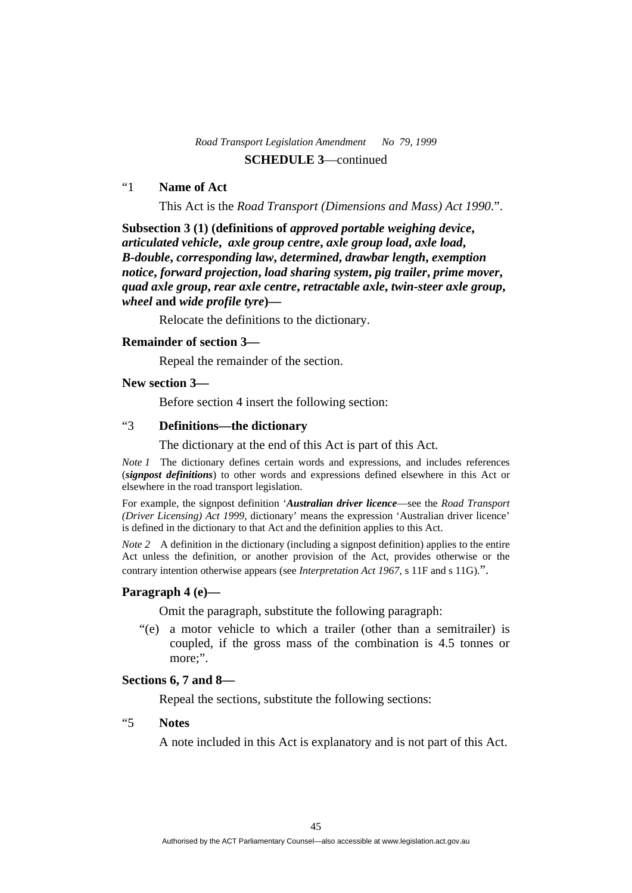# "1 **Name of Act**

This Act is the *Road Transport (Dimensions and Mass) Act 1990*.".

**Subsection 3 (1) (definitions of** *approved portable weighing device***,**  *articulated vehicle***,** *axle group centre***,** *axle group load***,** *axle load***,**  *B-double***,** *corresponding law***,** *determined***,** *drawbar length***,** *exemption notice***,** *forward projection***,** *load sharing system***,** *pig trailer***,** *prime mover***,**  *quad axle group***,** *rear axle centre***,** *retractable axle***,** *twin-steer axle group***,**  *wheel* **and** *wide profile tyre***)—** 

Relocate the definitions to the dictionary.

#### **Remainder of section 3—**

Repeal the remainder of the section.

## **New section 3—**

Before section 4 insert the following section:

# "3 **Definitions—the dictionary**

The dictionary at the end of this Act is part of this Act.

*Note 1* The dictionary defines certain words and expressions, and includes references (*signpost definitions*) to other words and expressions defined elsewhere in this Act or elsewhere in the road transport legislation.

For example, the signpost definition '*Australian driver licence*—see the *Road Transport (Driver Licensing) Act 1999*, dictionary' means the expression 'Australian driver licence' is defined in the dictionary to that Act and the definition applies to this Act.

*Note 2* A definition in the dictionary (including a signpost definition) applies to the entire Act unless the definition, or another provision of the Act, provides otherwise or the contrary intention otherwise appears (see *Interpretation Act 1967*, s 11F and s 11G).".

#### **Paragraph 4 (e)—**

Omit the paragraph, substitute the following paragraph:

 "(e) a motor vehicle to which a trailer (other than a semitrailer) is coupled, if the gross mass of the combination is 4.5 tonnes or more:".

## **Sections 6, 7 and 8—**

Repeal the sections, substitute the following sections:

#### "5 **Notes**

A note included in this Act is explanatory and is not part of this Act.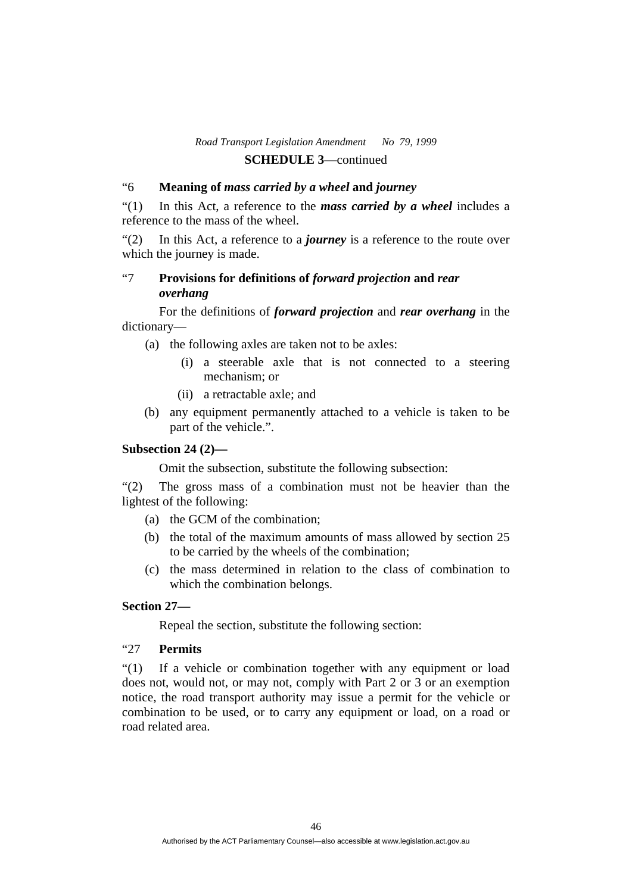## "6 **Meaning of** *mass carried by a wheel* **and** *journey*

"(1) In this Act, a reference to the *mass carried by a wheel* includes a reference to the mass of the wheel.

"(2) In this Act, a reference to a *journey* is a reference to the route over which the journey is made.

# "7 **Provisions for definitions of** *forward projection* **and** *rear overhang*

 For the definitions of *forward projection* and *rear overhang* in the dictionary—

- (a) the following axles are taken not to be axles:
	- (i) a steerable axle that is not connected to a steering mechanism; or
	- (ii) a retractable axle; and
- (b) any equipment permanently attached to a vehicle is taken to be part of the vehicle.".

## **Subsection 24 (2)—**

Omit the subsection, substitute the following subsection:

"(2) The gross mass of a combination must not be heavier than the lightest of the following:

- (a) the GCM of the combination;
- (b) the total of the maximum amounts of mass allowed by section 25 to be carried by the wheels of the combination;
- (c) the mass determined in relation to the class of combination to which the combination belongs.

#### **Section 27—**

Repeal the section, substitute the following section:

## "27 **Permits**

"(1) If a vehicle or combination together with any equipment or load does not, would not, or may not, comply with Part 2 or 3 or an exemption notice, the road transport authority may issue a permit for the vehicle or combination to be used, or to carry any equipment or load, on a road or road related area.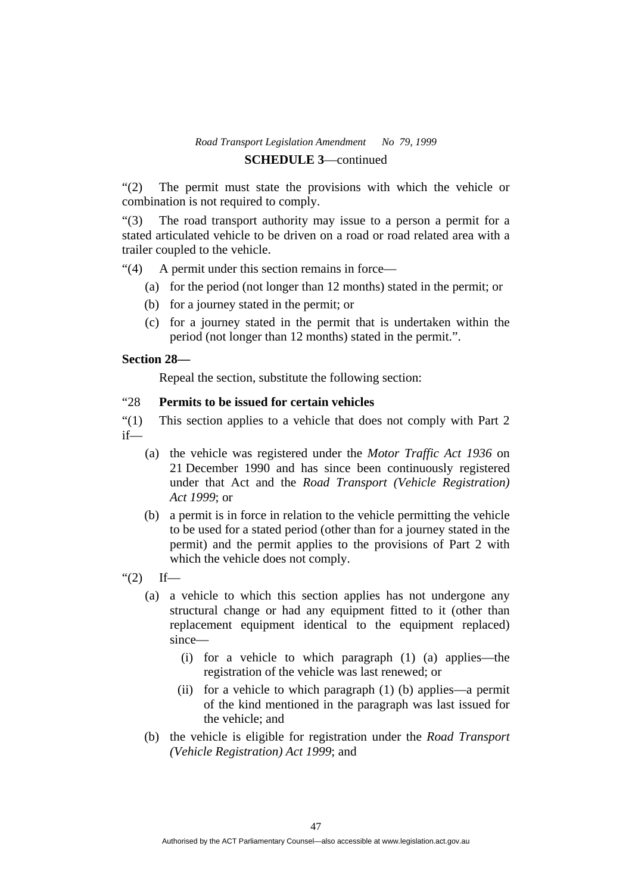# *Road Transport Legislation Amendment No 79, 1999*

# **SCHEDULE 3**—continued

"(2) The permit must state the provisions with which the vehicle or combination is not required to comply.

"(3) The road transport authority may issue to a person a permit for a stated articulated vehicle to be driven on a road or road related area with a trailer coupled to the vehicle.

"(4) A permit under this section remains in force—

- (a) for the period (not longer than 12 months) stated in the permit; or
- (b) for a journey stated in the permit; or
- (c) for a journey stated in the permit that is undertaken within the period (not longer than 12 months) stated in the permit.".

## **Section 28—**

Repeal the section, substitute the following section:

## "28 **Permits to be issued for certain vehicles**

"(1) This section applies to a vehicle that does not comply with Part 2 if—

- (a) the vehicle was registered under the *Motor Traffic Act 1936* on 21 December 1990 and has since been continuously registered under that Act and the *Road Transport (Vehicle Registration) Act 1999*; or
- (b) a permit is in force in relation to the vehicle permitting the vehicle to be used for a stated period (other than for a journey stated in the permit) and the permit applies to the provisions of Part 2 with which the vehicle does not comply.
- " $(2)$  If—
	- (a) a vehicle to which this section applies has not undergone any structural change or had any equipment fitted to it (other than replacement equipment identical to the equipment replaced) since—
		- (i) for a vehicle to which paragraph (1) (a) applies—the registration of the vehicle was last renewed; or
		- (ii) for a vehicle to which paragraph (1) (b) applies—a permit of the kind mentioned in the paragraph was last issued for the vehicle; and
	- (b) the vehicle is eligible for registration under the *Road Transport (Vehicle Registration) Act 1999*; and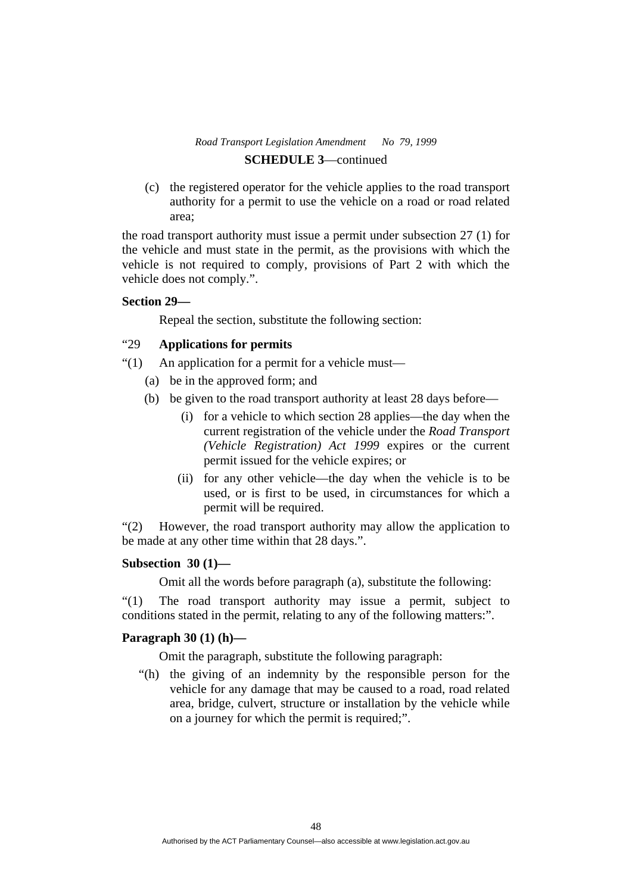(c) the registered operator for the vehicle applies to the road transport authority for a permit to use the vehicle on a road or road related area;

the road transport authority must issue a permit under subsection 27 (1) for the vehicle and must state in the permit, as the provisions with which the vehicle is not required to comply, provisions of Part 2 with which the vehicle does not comply.".

#### **Section 29—**

Repeal the section, substitute the following section:

## "29 **Applications for permits**

- "(1) An application for a permit for a vehicle must—
	- (a) be in the approved form; and
	- (b) be given to the road transport authority at least 28 days before—
		- (i) for a vehicle to which section 28 applies—the day when the current registration of the vehicle under the *Road Transport (Vehicle Registration) Act 1999* expires or the current permit issued for the vehicle expires; or
		- (ii) for any other vehicle—the day when the vehicle is to be used, or is first to be used, in circumstances for which a permit will be required.

"(2) However, the road transport authority may allow the application to be made at any other time within that 28 days.".

## **Subsection 30 (1)—**

Omit all the words before paragraph (a), substitute the following:

"(1) The road transport authority may issue a permit, subject to conditions stated in the permit, relating to any of the following matters:".

## **Paragraph 30 (1) (h)—**

Omit the paragraph, substitute the following paragraph:

 "(h) the giving of an indemnity by the responsible person for the vehicle for any damage that may be caused to a road, road related area, bridge, culvert, structure or installation by the vehicle while on a journey for which the permit is required;".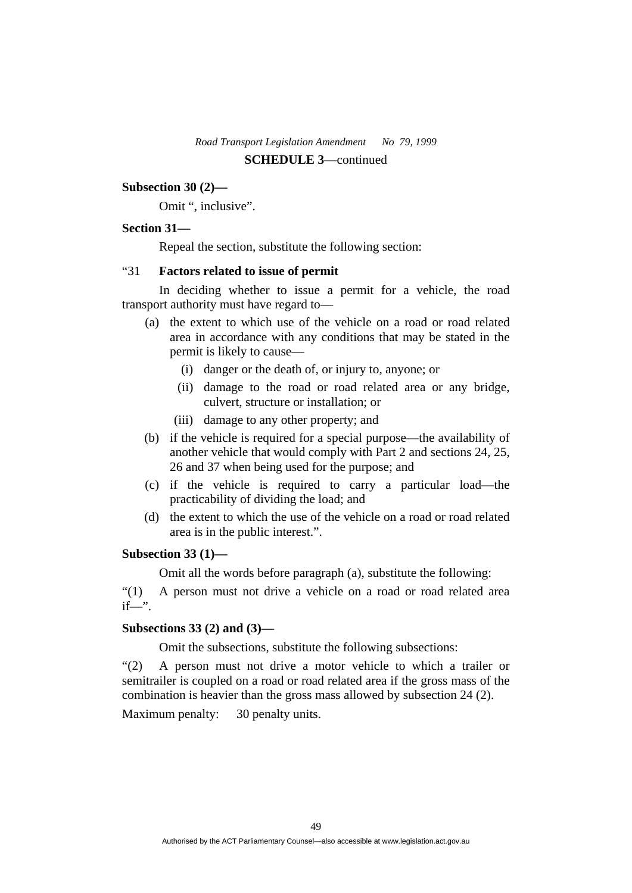#### **Subsection 30 (2)—**

Omit ", inclusive".

## **Section 31—**

Repeal the section, substitute the following section:

## "31 **Factors related to issue of permit**

 In deciding whether to issue a permit for a vehicle, the road transport authority must have regard to—

- (a) the extent to which use of the vehicle on a road or road related area in accordance with any conditions that may be stated in the permit is likely to cause—
	- (i) danger or the death of, or injury to, anyone; or
	- (ii) damage to the road or road related area or any bridge, culvert, structure or installation; or
	- (iii) damage to any other property; and
- (b) if the vehicle is required for a special purpose—the availability of another vehicle that would comply with Part 2 and sections 24, 25, 26 and 37 when being used for the purpose; and
- (c) if the vehicle is required to carry a particular load—the practicability of dividing the load; and
- (d) the extent to which the use of the vehicle on a road or road related area is in the public interest.".

#### **Subsection 33 (1)—**

Omit all the words before paragraph (a), substitute the following:

"(1) A person must not drive a vehicle on a road or road related area  $if$ —".

## **Subsections 33 (2) and (3)—**

Omit the subsections, substitute the following subsections:

"(2) A person must not drive a motor vehicle to which a trailer or semitrailer is coupled on a road or road related area if the gross mass of the combination is heavier than the gross mass allowed by subsection 24 (2). Maximum penalty: 30 penalty units.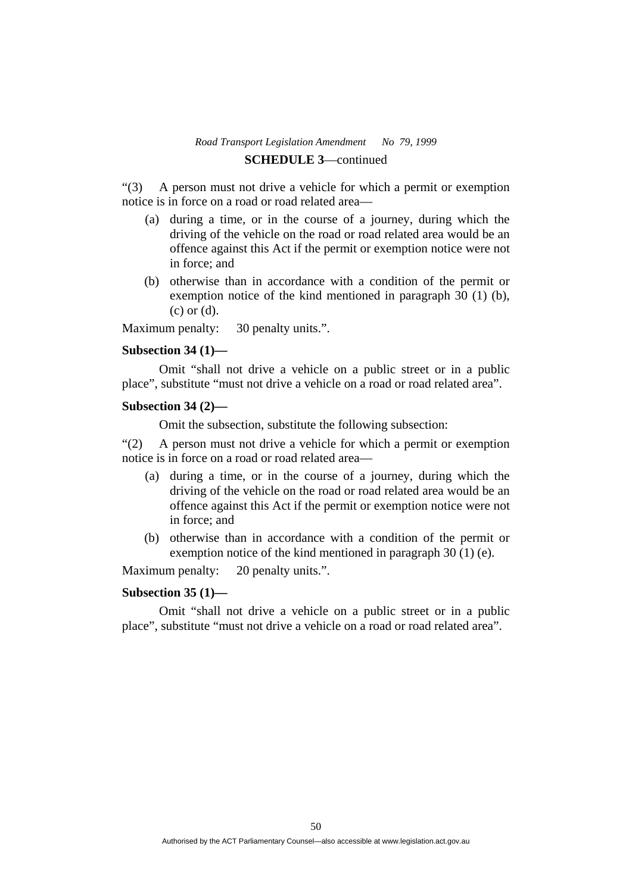"(3) A person must not drive a vehicle for which a permit or exemption notice is in force on a road or road related area—

- (a) during a time, or in the course of a journey, during which the driving of the vehicle on the road or road related area would be an offence against this Act if the permit or exemption notice were not in force; and
- (b) otherwise than in accordance with a condition of the permit or exemption notice of the kind mentioned in paragraph 30 (1) (b), (c) or (d).

Maximum penalty: 30 penalty units.".

#### **Subsection 34 (1)—**

 Omit "shall not drive a vehicle on a public street or in a public place", substitute "must not drive a vehicle on a road or road related area".

#### **Subsection 34 (2)—**

Omit the subsection, substitute the following subsection:

"(2) A person must not drive a vehicle for which a permit or exemption notice is in force on a road or road related area—

- (a) during a time, or in the course of a journey, during which the driving of the vehicle on the road or road related area would be an offence against this Act if the permit or exemption notice were not in force; and
- (b) otherwise than in accordance with a condition of the permit or exemption notice of the kind mentioned in paragraph 30 (1) (e).

Maximum penalty: 20 penalty units.".

#### **Subsection 35 (1)—**

 Omit "shall not drive a vehicle on a public street or in a public place", substitute "must not drive a vehicle on a road or road related area".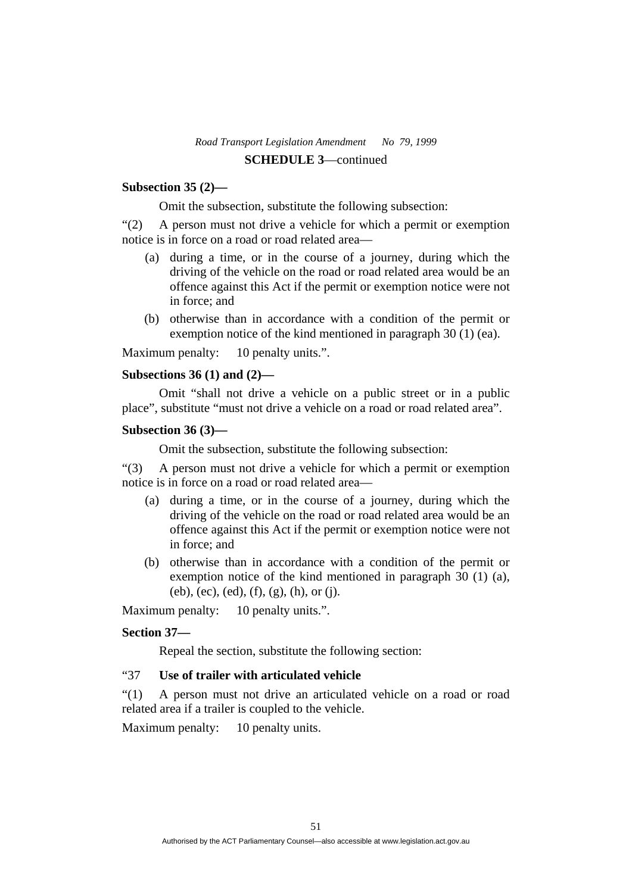## **Subsection 35 (2)—**

Omit the subsection, substitute the following subsection:

"(2) A person must not drive a vehicle for which a permit or exemption notice is in force on a road or road related area—

- (a) during a time, or in the course of a journey, during which the driving of the vehicle on the road or road related area would be an offence against this Act if the permit or exemption notice were not in force; and
- (b) otherwise than in accordance with a condition of the permit or exemption notice of the kind mentioned in paragraph 30 (1) (ea).

Maximum penalty: 10 penalty units.".

#### **Subsections 36 (1) and (2)—**

 Omit "shall not drive a vehicle on a public street or in a public place", substitute "must not drive a vehicle on a road or road related area".

## **Subsection 36 (3)—**

Omit the subsection, substitute the following subsection:

"(3) A person must not drive a vehicle for which a permit or exemption notice is in force on a road or road related area—

- (a) during a time, or in the course of a journey, during which the driving of the vehicle on the road or road related area would be an offence against this Act if the permit or exemption notice were not in force; and
- (b) otherwise than in accordance with a condition of the permit or exemption notice of the kind mentioned in paragraph 30 (1) (a),  $(eb)$ ,  $(ec)$ ,  $(ed)$ ,  $(f)$ ,  $(g)$ ,  $(h)$ , or  $(j)$ .

Maximum penalty: 10 penalty units.".

#### **Section 37—**

Repeal the section, substitute the following section:

## "37 **Use of trailer with articulated vehicle**

"(1) A person must not drive an articulated vehicle on a road or road related area if a trailer is coupled to the vehicle.

Maximum penalty: 10 penalty units.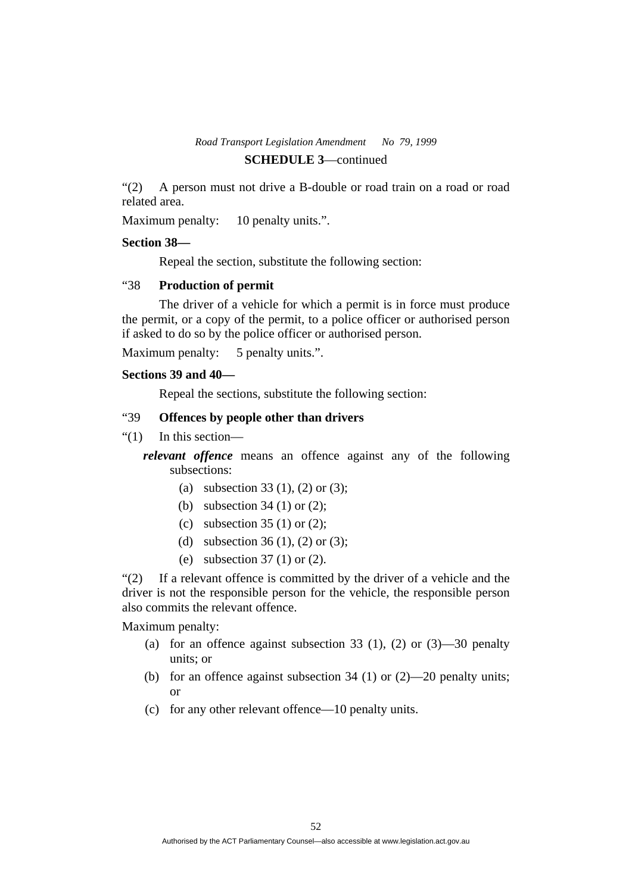# *Road Transport Legislation Amendment No 79, 1999*

# **SCHEDULE 3**—continued

"(2) A person must not drive a B-double or road train on a road or road related area.

Maximum penalty: 10 penalty units.".

## **Section 38—**

Repeal the section, substitute the following section:

# "38 **Production of permit**

 The driver of a vehicle for which a permit is in force must produce the permit, or a copy of the permit, to a police officer or authorised person if asked to do so by the police officer or authorised person.

Maximum penalty: 5 penalty units.".

## **Sections 39 and 40—**

Repeal the sections, substitute the following section:

# "39 **Offences by people other than drivers**

"(1) In this section—

*relevant offence* means an offence against any of the following subsections:

- (a) subsection 33 (1), (2) or (3);
- (b) subsection 34 (1) or (2);
- (c) subsection 35 (1) or (2);
- (d) subsection 36 (1), (2) or (3);
- (e) subsection 37 (1) or (2).

"(2) If a relevant offence is committed by the driver of a vehicle and the driver is not the responsible person for the vehicle, the responsible person also commits the relevant offence.

Maximum penalty:

- (a) for an offence against subsection 33 (1), (2) or  $(3)$ —30 penalty units; or
- (b) for an offence against subsection  $34$  (1) or (2)—20 penalty units; or
- (c) for any other relevant offence—10 penalty units.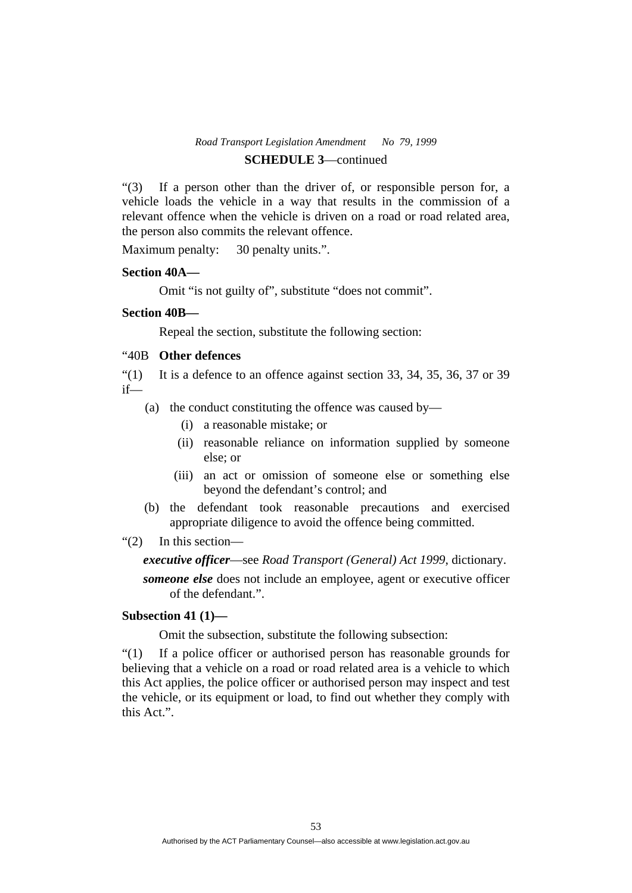"(3) If a person other than the driver of, or responsible person for, a vehicle loads the vehicle in a way that results in the commission of a relevant offence when the vehicle is driven on a road or road related area, the person also commits the relevant offence.

Maximum penalty: 30 penalty units.".

#### **Section 40A—**

Omit "is not guilty of", substitute "does not commit".

## **Section 40B—**

Repeal the section, substitute the following section:

## "40B **Other defences**

 $\cdot$  (1) It is a defence to an offence against section 33, 34, 35, 36, 37 or 39 if—

- (a) the conduct constituting the offence was caused by—
	- (i) a reasonable mistake; or
	- (ii) reasonable reliance on information supplied by someone else; or
	- (iii) an act or omission of someone else or something else beyond the defendant's control; and
- (b) the defendant took reasonable precautions and exercised appropriate diligence to avoid the offence being committed.

#### "(2) In this section—

#### *executive officer*—see *Road Transport (General) Act 1999*, dictionary.

*someone else* does not include an employee, agent or executive officer of the defendant.".

# **Subsection 41 (1)—**

Omit the subsection, substitute the following subsection:

"(1) If a police officer or authorised person has reasonable grounds for believing that a vehicle on a road or road related area is a vehicle to which this Act applies, the police officer or authorised person may inspect and test the vehicle, or its equipment or load, to find out whether they comply with this Act.".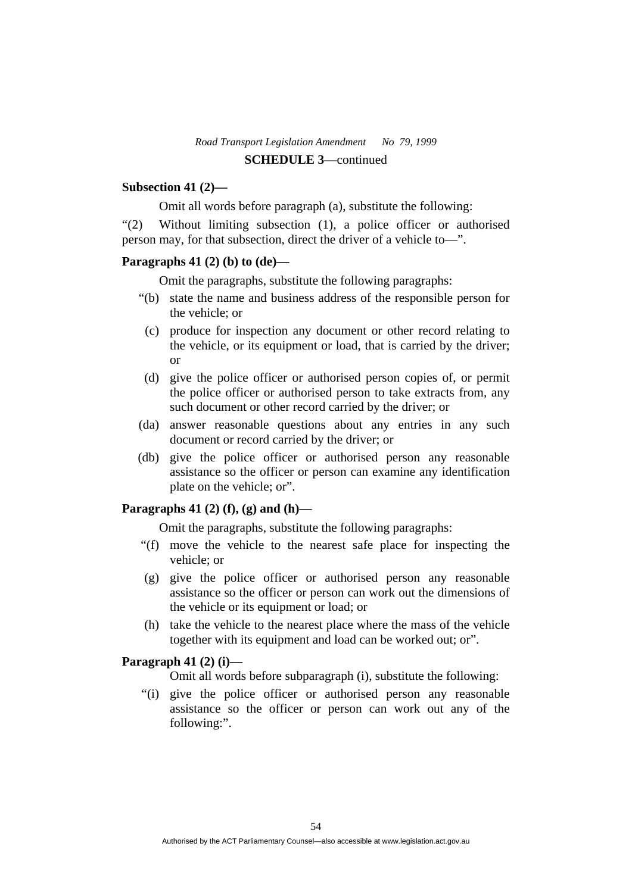#### **Subsection 41 (2)—**

Omit all words before paragraph (a), substitute the following:

"(2) Without limiting subsection (1), a police officer or authorised person may, for that subsection, direct the driver of a vehicle to—".

#### **Paragraphs 41 (2) (b) to (de)—**

Omit the paragraphs, substitute the following paragraphs:

- "(b) state the name and business address of the responsible person for the vehicle; or
- (c) produce for inspection any document or other record relating to the vehicle, or its equipment or load, that is carried by the driver; or
- (d) give the police officer or authorised person copies of, or permit the police officer or authorised person to take extracts from, any such document or other record carried by the driver; or
- (da) answer reasonable questions about any entries in any such document or record carried by the driver; or
- (db) give the police officer or authorised person any reasonable assistance so the officer or person can examine any identification plate on the vehicle; or".

## **Paragraphs 41 (2) (f), (g) and (h)—**

Omit the paragraphs, substitute the following paragraphs:

- "(f) move the vehicle to the nearest safe place for inspecting the vehicle; or
- (g) give the police officer or authorised person any reasonable assistance so the officer or person can work out the dimensions of the vehicle or its equipment or load; or
- (h) take the vehicle to the nearest place where the mass of the vehicle together with its equipment and load can be worked out; or".

### **Paragraph 41 (2) (i)—**

Omit all words before subparagraph (i), substitute the following:

 "(i) give the police officer or authorised person any reasonable assistance so the officer or person can work out any of the following:".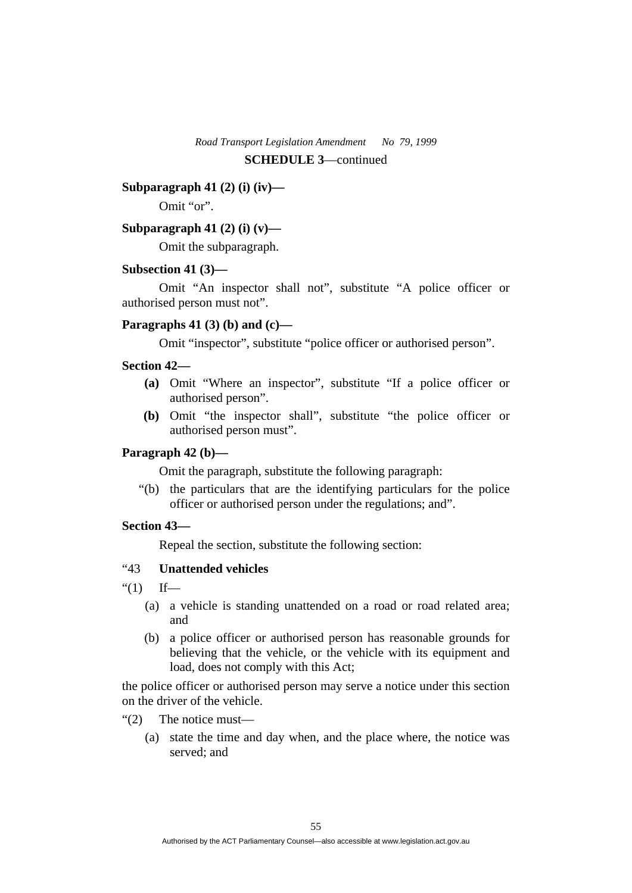#### **Subparagraph 41 (2) (i) (iv)—**

Omit "or".

## **Subparagraph 41 (2) (i) (v)—**

Omit the subparagraph.

#### **Subsection 41 (3)—**

 Omit "An inspector shall not", substitute "A police officer or authorised person must not".

#### **Paragraphs 41 (3) (b) and (c)—**

Omit "inspector", substitute "police officer or authorised person".

## **Section 42—**

- **(a)** Omit "Where an inspector", substitute "If a police officer or authorised person".
- **(b)** Omit "the inspector shall", substitute "the police officer or authorised person must".

## **Paragraph 42 (b)—**

Omit the paragraph, substitute the following paragraph:

 "(b) the particulars that are the identifying particulars for the police officer or authorised person under the regulations; and".

### **Section 43—**

Repeal the section, substitute the following section:

# "43 **Unattended vehicles**

- " $(1)$  If—
	- (a) a vehicle is standing unattended on a road or road related area; and
	- (b) a police officer or authorised person has reasonable grounds for believing that the vehicle, or the vehicle with its equipment and load, does not comply with this Act;

the police officer or authorised person may serve a notice under this section on the driver of the vehicle.

- "(2) The notice must—
	- (a) state the time and day when, and the place where, the notice was served; and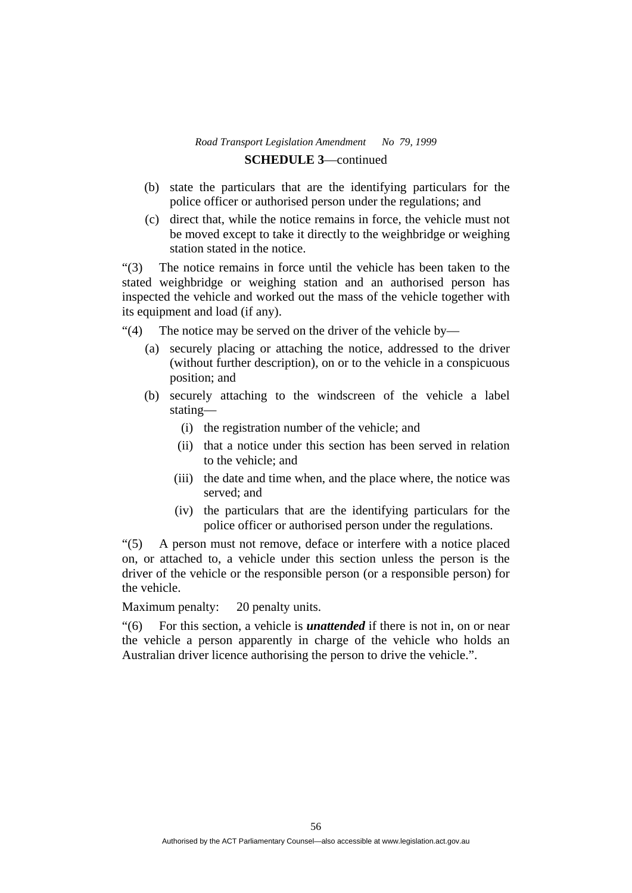- (b) state the particulars that are the identifying particulars for the police officer or authorised person under the regulations; and
- (c) direct that, while the notice remains in force, the vehicle must not be moved except to take it directly to the weighbridge or weighing station stated in the notice.

"(3) The notice remains in force until the vehicle has been taken to the stated weighbridge or weighing station and an authorised person has inspected the vehicle and worked out the mass of the vehicle together with its equipment and load (if any).

- "(4) The notice may be served on the driver of the vehicle by—
	- (a) securely placing or attaching the notice, addressed to the driver (without further description), on or to the vehicle in a conspicuous position; and
	- (b) securely attaching to the windscreen of the vehicle a label stating—
		- (i) the registration number of the vehicle; and
		- (ii) that a notice under this section has been served in relation to the vehicle; and
		- (iii) the date and time when, and the place where, the notice was served; and
		- (iv) the particulars that are the identifying particulars for the police officer or authorised person under the regulations.

"(5) A person must not remove, deface or interfere with a notice placed on, or attached to, a vehicle under this section unless the person is the driver of the vehicle or the responsible person (or a responsible person) for the vehicle.

Maximum penalty: 20 penalty units.

"(6) For this section, a vehicle is *unattended* if there is not in, on or near the vehicle a person apparently in charge of the vehicle who holds an Australian driver licence authorising the person to drive the vehicle.".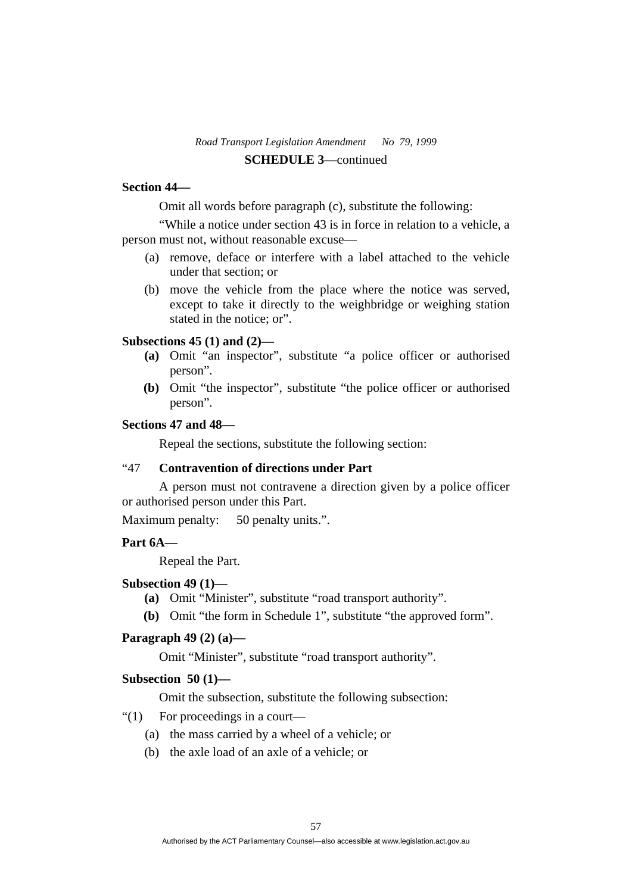#### **Section 44—**

Omit all words before paragraph (c), substitute the following:

 "While a notice under section 43 is in force in relation to a vehicle, a person must not, without reasonable excuse—

- (a) remove, deface or interfere with a label attached to the vehicle under that section; or
- (b) move the vehicle from the place where the notice was served, except to take it directly to the weighbridge or weighing station stated in the notice; or".

## **Subsections 45 (1) and (2)—**

- **(a)** Omit "an inspector", substitute "a police officer or authorised person".
- **(b)** Omit "the inspector", substitute "the police officer or authorised person".

## **Sections 47 and 48—**

Repeal the sections, substitute the following section:

## "47 **Contravention of directions under Part**

 A person must not contravene a direction given by a police officer or authorised person under this Part.

Maximum penalty: 50 penalty units.".

## **Part 6A—**

Repeal the Part.

#### **Subsection 49 (1)—**

- **(a)** Omit "Minister", substitute "road transport authority".
- **(b)** Omit "the form in Schedule 1", substitute "the approved form".

## **Paragraph 49 (2) (a)—**

Omit "Minister", substitute "road transport authority".

#### **Subsection 50 (1)—**

Omit the subsection, substitute the following subsection:

- "(1) For proceedings in a court—
	- (a) the mass carried by a wheel of a vehicle; or
	- (b) the axle load of an axle of a vehicle; or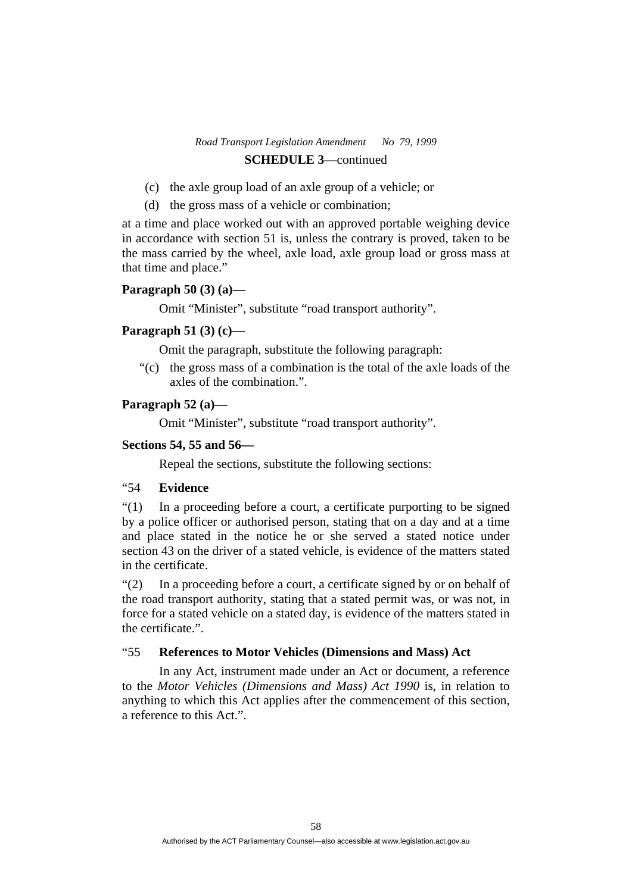- (c) the axle group load of an axle group of a vehicle; or
- (d) the gross mass of a vehicle or combination;

at a time and place worked out with an approved portable weighing device in accordance with section 51 is, unless the contrary is proved, taken to be the mass carried by the wheel, axle load, axle group load or gross mass at that time and place."

#### **Paragraph 50 (3) (a)—**

Omit "Minister", substitute "road transport authority".

## **Paragraph 51 (3) (c)—**

Omit the paragraph, substitute the following paragraph:

 "(c) the gross mass of a combination is the total of the axle loads of the axles of the combination.".

### **Paragraph 52 (a)—**

Omit "Minister", substitute "road transport authority".

## **Sections 54, 55 and 56—**

Repeal the sections, substitute the following sections:

## "54 **Evidence**

"(1) In a proceeding before a court, a certificate purporting to be signed by a police officer or authorised person, stating that on a day and at a time and place stated in the notice he or she served a stated notice under section 43 on the driver of a stated vehicle, is evidence of the matters stated in the certificate.

"(2) In a proceeding before a court, a certificate signed by or on behalf of the road transport authority, stating that a stated permit was, or was not, in force for a stated vehicle on a stated day, is evidence of the matters stated in the certificate.".

## "55 **References to Motor Vehicles (Dimensions and Mass) Act**

 In any Act, instrument made under an Act or document, a reference to the *Motor Vehicles (Dimensions and Mass) Act 1990* is, in relation to anything to which this Act applies after the commencement of this section, a reference to this Act.".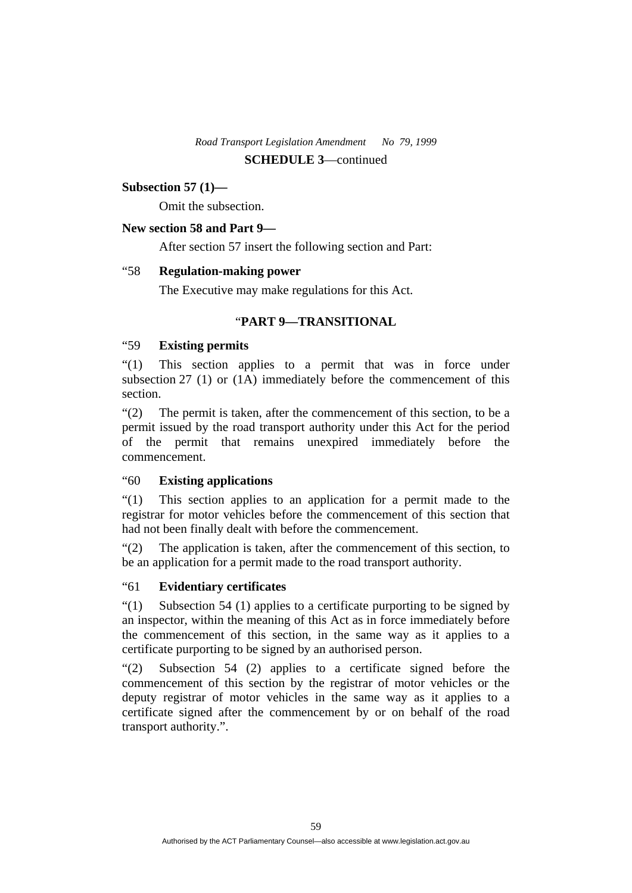# **Subsection 57 (1)—**

Omit the subsection.

## **New section 58 and Part 9—**

After section 57 insert the following section and Part:

## "58 **Regulation-making power**

The Executive may make regulations for this Act.

## "**PART 9—TRANSITIONAL**

## "59 **Existing permits**

"(1) This section applies to a permit that was in force under subsection 27 (1) or (1A) immediately before the commencement of this section.

"(2) The permit is taken, after the commencement of this section, to be a permit issued by the road transport authority under this Act for the period of the permit that remains unexpired immediately before the commencement.

## "60 **Existing applications**

"(1) This section applies to an application for a permit made to the registrar for motor vehicles before the commencement of this section that had not been finally dealt with before the commencement.

"(2) The application is taken, after the commencement of this section, to be an application for a permit made to the road transport authority.

## "61 **Evidentiary certificates**

"(1) Subsection 54 (1) applies to a certificate purporting to be signed by an inspector, within the meaning of this Act as in force immediately before the commencement of this section, in the same way as it applies to a certificate purporting to be signed by an authorised person.

"(2) Subsection 54 (2) applies to a certificate signed before the commencement of this section by the registrar of motor vehicles or the deputy registrar of motor vehicles in the same way as it applies to a certificate signed after the commencement by or on behalf of the road transport authority.".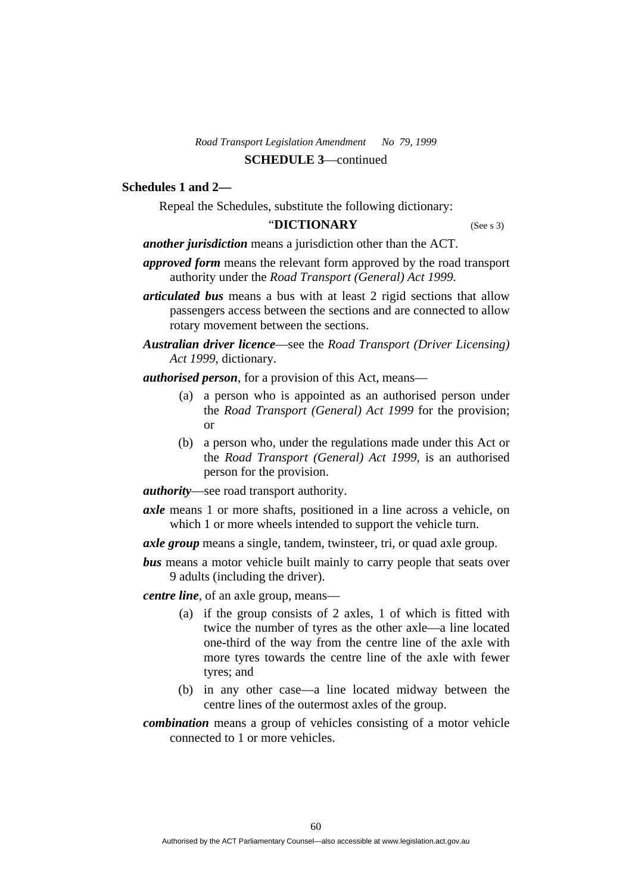## **Schedules 1 and 2—**

Repeal the Schedules, substitute the following dictionary:

#### "**DICTIONARY** (See s 3)

*another jurisdiction* means a jurisdiction other than the ACT.

- *approved form* means the relevant form approved by the road transport authority under the *Road Transport (General) Act 1999.*
- *articulated bus* means a bus with at least 2 rigid sections that allow passengers access between the sections and are connected to allow rotary movement between the sections.
- *Australian driver licence*—see the *Road Transport (Driver Licensing) Act 1999*, dictionary.
- *authorised person*, for a provision of this Act, means—
	- (a) a person who is appointed as an authorised person under the *Road Transport (General) Act 1999* for the provision; or
	- (b) a person who, under the regulations made under this Act or the *Road Transport (General) Act 1999*, is an authorised person for the provision.
- *authority*—see road transport authority.
- *axle* means 1 or more shafts, positioned in a line across a vehicle, on which 1 or more wheels intended to support the vehicle turn.
- *axle group* means a single, tandem, twinsteer, tri, or quad axle group.
- *bus* means a motor vehicle built mainly to carry people that seats over 9 adults (including the driver).

*centre line*, of an axle group, means—

- (a) if the group consists of 2 axles, 1 of which is fitted with twice the number of tyres as the other axle—a line located one-third of the way from the centre line of the axle with more tyres towards the centre line of the axle with fewer tyres; and
- (b) in any other case—a line located midway between the centre lines of the outermost axles of the group.
- *combination* means a group of vehicles consisting of a motor vehicle connected to 1 or more vehicles.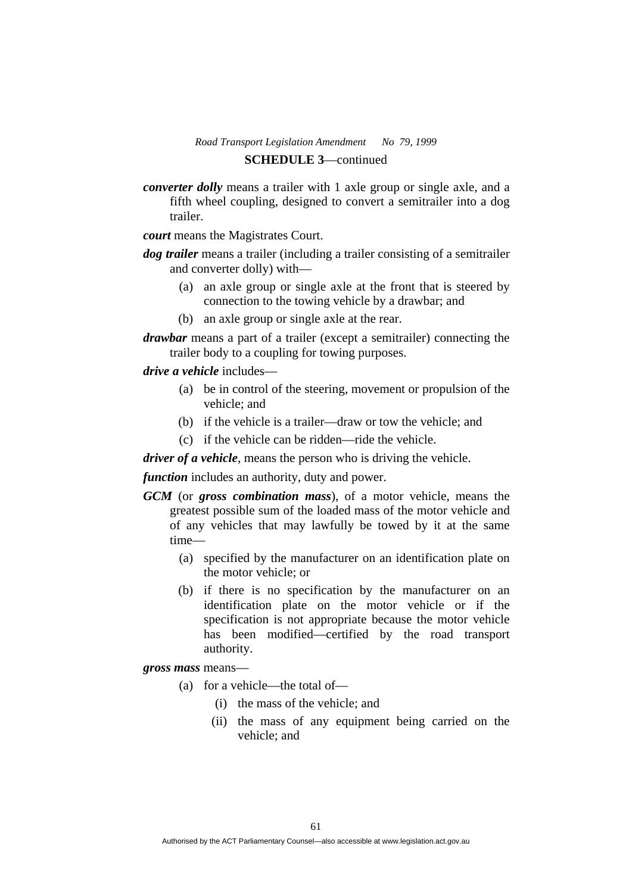# *Road Transport Legislation Amendment No 79, 1999*

# **SCHEDULE 3**—continued

*converter dolly* means a trailer with 1 axle group or single axle, and a fifth wheel coupling, designed to convert a semitrailer into a dog trailer.

*court* means the Magistrates Court.

- *dog trailer* means a trailer (including a trailer consisting of a semitrailer and converter dolly) with—
	- (a) an axle group or single axle at the front that is steered by connection to the towing vehicle by a drawbar; and
	- (b) an axle group or single axle at the rear.
- *drawbar* means a part of a trailer (except a semitrailer) connecting the trailer body to a coupling for towing purposes.

## *drive a vehicle* includes—

- (a) be in control of the steering, movement or propulsion of the vehicle; and
- (b) if the vehicle is a trailer—draw or tow the vehicle; and
- (c) if the vehicle can be ridden—ride the vehicle.

*driver of a vehicle*, means the person who is driving the vehicle.

*function* includes an authority, duty and power.

- *GCM* (or *gross combination mass*), of a motor vehicle, means the greatest possible sum of the loaded mass of the motor vehicle and of any vehicles that may lawfully be towed by it at the same time—
	- (a) specified by the manufacturer on an identification plate on the motor vehicle; or
	- (b) if there is no specification by the manufacturer on an identification plate on the motor vehicle or if the specification is not appropriate because the motor vehicle has been modified—certified by the road transport authority.

*gross mass* means—

- (a) for a vehicle—the total of—
	- (i) the mass of the vehicle; and
	- (ii) the mass of any equipment being carried on the vehicle; and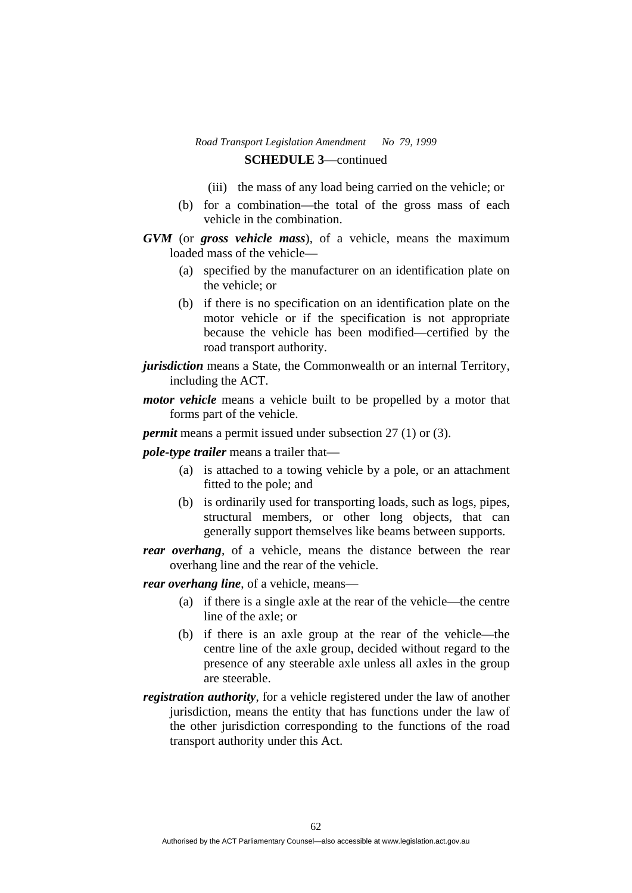- (iii) the mass of any load being carried on the vehicle; or
- (b) for a combination—the total of the gross mass of each vehicle in the combination.
- *GVM* (or *gross vehicle mass*), of a vehicle, means the maximum loaded mass of the vehicle—
	- (a) specified by the manufacturer on an identification plate on the vehicle; or
	- (b) if there is no specification on an identification plate on the motor vehicle or if the specification is not appropriate because the vehicle has been modified—certified by the road transport authority.
- *jurisdiction* means a State, the Commonwealth or an internal Territory, including the ACT.
- *motor vehicle* means a vehicle built to be propelled by a motor that forms part of the vehicle.

*permit* means a permit issued under subsection 27 (1) or (3).

*pole-type trailer* means a trailer that—

- (a) is attached to a towing vehicle by a pole, or an attachment fitted to the pole; and
- (b) is ordinarily used for transporting loads, such as logs, pipes, structural members, or other long objects, that can generally support themselves like beams between supports.
- *rear overhang*, of a vehicle, means the distance between the rear overhang line and the rear of the vehicle.

*rear overhang line*, of a vehicle, means—

- (a) if there is a single axle at the rear of the vehicle—the centre line of the axle; or
- (b) if there is an axle group at the rear of the vehicle—the centre line of the axle group, decided without regard to the presence of any steerable axle unless all axles in the group are steerable.
- *registration authority*, for a vehicle registered under the law of another jurisdiction, means the entity that has functions under the law of the other jurisdiction corresponding to the functions of the road transport authority under this Act.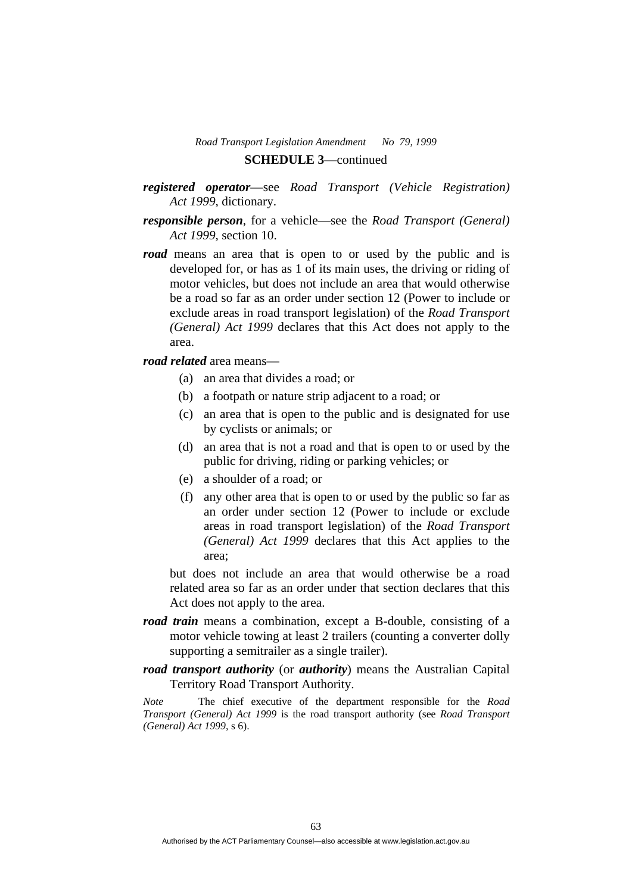- *registered operator*—see *Road Transport (Vehicle Registration) Act 1999*, dictionary.
- *responsible person*, for a vehicle—see the *Road Transport (General) Act 1999*, section 10.
- *road* means an area that is open to or used by the public and is developed for, or has as 1 of its main uses, the driving or riding of motor vehicles, but does not include an area that would otherwise be a road so far as an order under section 12 (Power to include or exclude areas in road transport legislation) of the *Road Transport (General) Act 1999* declares that this Act does not apply to the area.

*road related* area means—

- (a) an area that divides a road; or
- (b) a footpath or nature strip adjacent to a road; or
- (c) an area that is open to the public and is designated for use by cyclists or animals; or
- (d) an area that is not a road and that is open to or used by the public for driving, riding or parking vehicles; or
- (e) a shoulder of a road; or
- (f) any other area that is open to or used by the public so far as an order under section 12 (Power to include or exclude areas in road transport legislation) of the *Road Transport (General) Act 1999* declares that this Act applies to the area;

but does not include an area that would otherwise be a road related area so far as an order under that section declares that this Act does not apply to the area.

- *road train* means a combination, except a B-double, consisting of a motor vehicle towing at least 2 trailers (counting a converter dolly supporting a semitrailer as a single trailer).
- *road transport authority* (or *authority*) means the Australian Capital Territory Road Transport Authority.

*Note* The chief executive of the department responsible for the *Road Transport (General) Act 1999* is the road transport authority (see *Road Transport (General) Act 1999*, s 6).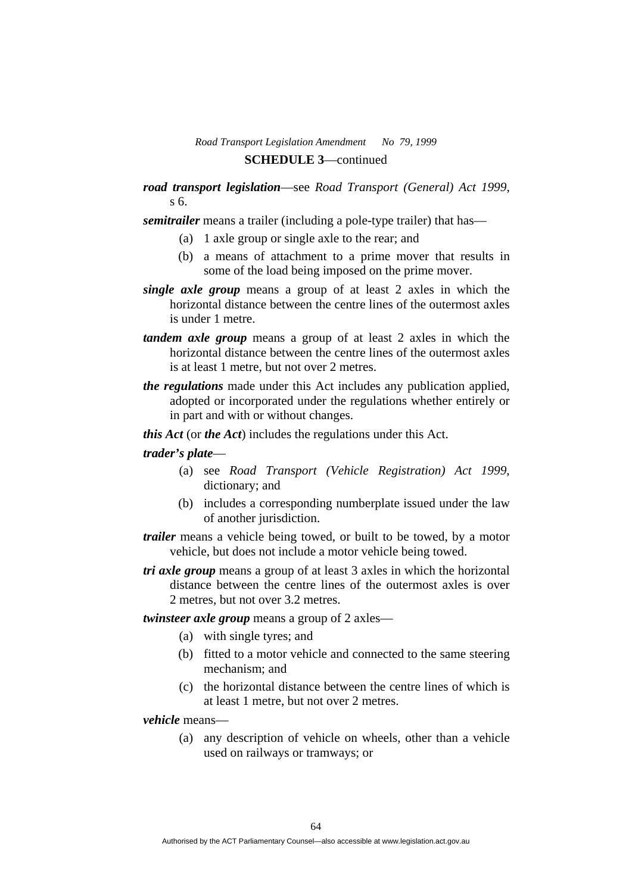## *road transport legislation*—see *Road Transport (General) Act 1999*, s 6.

*semitrailer* means a trailer (including a pole-type trailer) that has—

- (a) 1 axle group or single axle to the rear; and
- (b) a means of attachment to a prime mover that results in some of the load being imposed on the prime mover.
- *single axle group* means a group of at least 2 axles in which the horizontal distance between the centre lines of the outermost axles is under 1 metre.
- *tandem axle group* means a group of at least 2 axles in which the horizontal distance between the centre lines of the outermost axles is at least 1 metre, but not over 2 metres.
- *the regulations* made under this Act includes any publication applied, adopted or incorporated under the regulations whether entirely or in part and with or without changes.
- *this Act* (or *the Act*) includes the regulations under this Act.

## *trader's plate*—

- (a) see *Road Transport (Vehicle Registration) Act 1999*, dictionary; and
- (b) includes a corresponding numberplate issued under the law of another jurisdiction.
- *trailer* means a vehicle being towed, or built to be towed, by a motor vehicle, but does not include a motor vehicle being towed.
- *tri axle group* means a group of at least 3 axles in which the horizontal distance between the centre lines of the outermost axles is over 2 metres, but not over 3.2 metres.

*twinsteer axle group* means a group of 2 axles—

- (a) with single tyres; and
- (b) fitted to a motor vehicle and connected to the same steering mechanism; and
- (c) the horizontal distance between the centre lines of which is at least 1 metre, but not over 2 metres.

*vehicle* means—

 (a) any description of vehicle on wheels, other than a vehicle used on railways or tramways; or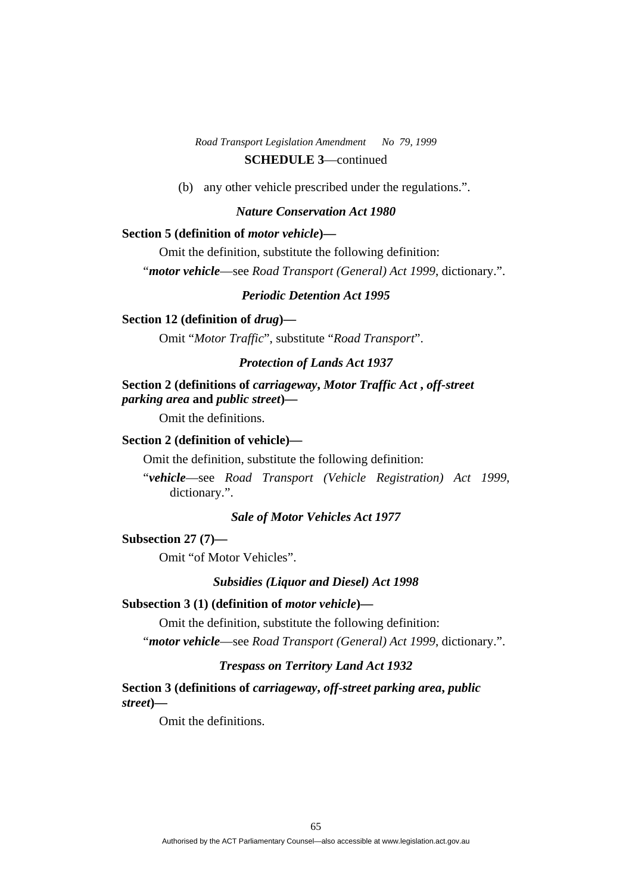(b) any other vehicle prescribed under the regulations.".

#### *Nature Conservation Act 1980*

#### **Section 5 (definition of** *motor vehicle***)—**

Omit the definition, substitute the following definition:

"*motor vehicle*—see *Road Transport (General) Act 1999*, dictionary.".

## *Periodic Detention Act 1995*

## **Section 12 (definition of** *drug***)—**

Omit "*Motor Traffic*", substitute "*Road Transport*".

#### *Protection of Lands Act 1937*

## **Section 2 (definitions of** *carriageway***,** *Motor Traffic Act* **,** *off-street parking area* **and** *public street***)—**

Omit the definitions.

## **Section 2 (definition of vehicle)—**

Omit the definition, substitute the following definition:

"*vehicle*—see *Road Transport (Vehicle Registration) Act 1999*, dictionary.".

## *Sale of Motor Vehicles Act 1977*

## **Subsection 27 (7)—**

Omit "of Motor Vehicles".

#### *Subsidies (Liquor and Diesel) Act 1998*

#### **Subsection 3 (1) (definition of** *motor vehicle***)—**

Omit the definition, substitute the following definition:

"*motor vehicle*—see *Road Transport (General) Act 1999*, dictionary.".

## *Trespass on Territory Land Act 1932*

**Section 3 (definitions of** *carriageway***,** *off-street parking area***,** *public street***)—** 

Omit the definitions.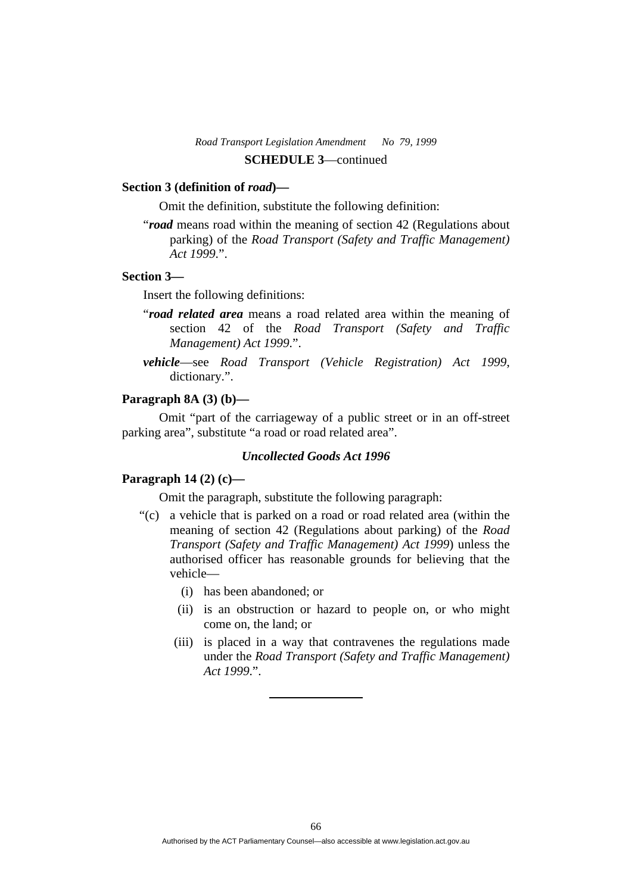#### **Section 3 (definition of** *road***)—**

Omit the definition, substitute the following definition:

"*road* means road within the meaning of section 42 (Regulations about parking) of the *Road Transport (Safety and Traffic Management) Act 1999*.".

## **Section 3—**

Insert the following definitions:

- "*road related area* means a road related area within the meaning of section 42 of the *Road Transport (Safety and Traffic Management) Act 1999*.".
- *vehicle*—see *Road Transport (Vehicle Registration) Act 1999*, dictionary.".

## **Paragraph 8A (3) (b)—**

 Omit "part of the carriageway of a public street or in an off-street parking area", substitute "a road or road related area".

#### *Uncollected Goods Act 1996*

#### **Paragraph 14 (2) (c)—**

Omit the paragraph, substitute the following paragraph:

- "(c) a vehicle that is parked on a road or road related area (within the meaning of section 42 (Regulations about parking) of the *Road Transport (Safety and Traffic Management) Act 1999*) unless the authorised officer has reasonable grounds for believing that the vehicle—
	- (i) has been abandoned; or
	- (ii) is an obstruction or hazard to people on, or who might come on, the land; or
	- (iii) is placed in a way that contravenes the regulations made under the *Road Transport (Safety and Traffic Management) Act 1999*.".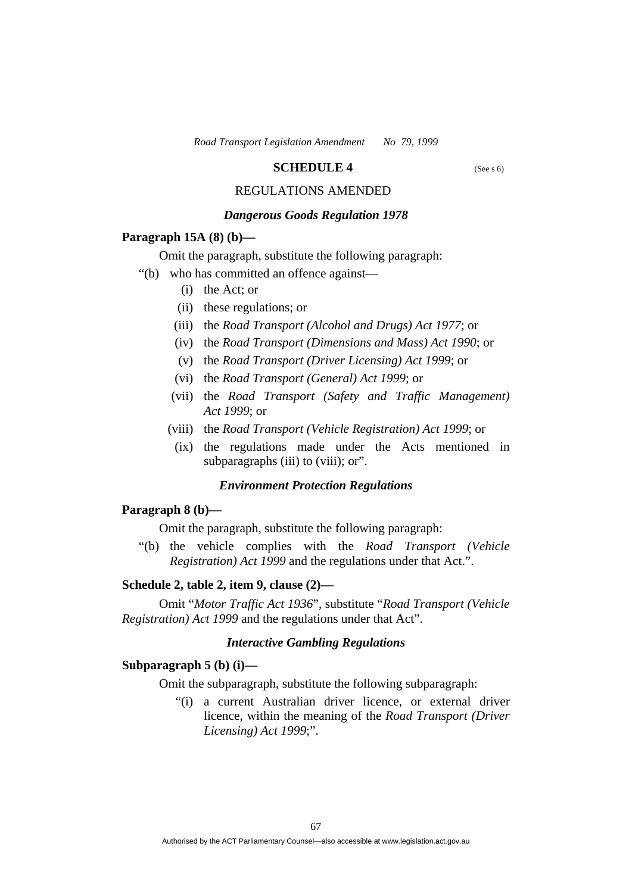#### **SCHEDULE 4** (See s 6)

# REGULATIONS AMENDED

## *Dangerous Goods Regulation 1978*

#### **Paragraph 15A (8) (b)—**

Omit the paragraph, substitute the following paragraph:

- "(b) who has committed an offence against—
	- (i) the Act; or
	- (ii) these regulations; or
	- (iii) the *Road Transport (Alcohol and Drugs) Act 1977*; or
	- (iv) the *Road Transport (Dimensions and Mass) Act 1990*; or
	- (v) the *Road Transport (Driver Licensing) Act 1999*; or
	- (vi) the *Road Transport (General) Act 1999*; or
	- (vii) the *Road Transport (Safety and Traffic Management) Act 1999*; or
	- (viii) the *Road Transport (Vehicle Registration) Act 1999*; or
	- (ix) the regulations made under the Acts mentioned in subparagraphs (iii) to (viii); or".

#### *Environment Protection Regulations*

#### **Paragraph 8 (b)—**

Omit the paragraph, substitute the following paragraph:

 "(b) the vehicle complies with the *Road Transport (Vehicle Registration) Act 1999* and the regulations under that Act.".

## **Schedule 2, table 2, item 9, clause (2)—**

 Omit "*Motor Traffic Act 1936*", substitute "*Road Transport (Vehicle Registration) Act 1999* and the regulations under that Act".

#### *Interactive Gambling Regulations*

#### **Subparagraph 5 (b) (i)—**

Omit the subparagraph, substitute the following subparagraph:

 "(i) a current Australian driver licence, or external driver licence, within the meaning of the *Road Transport (Driver Licensing) Act 1999*;".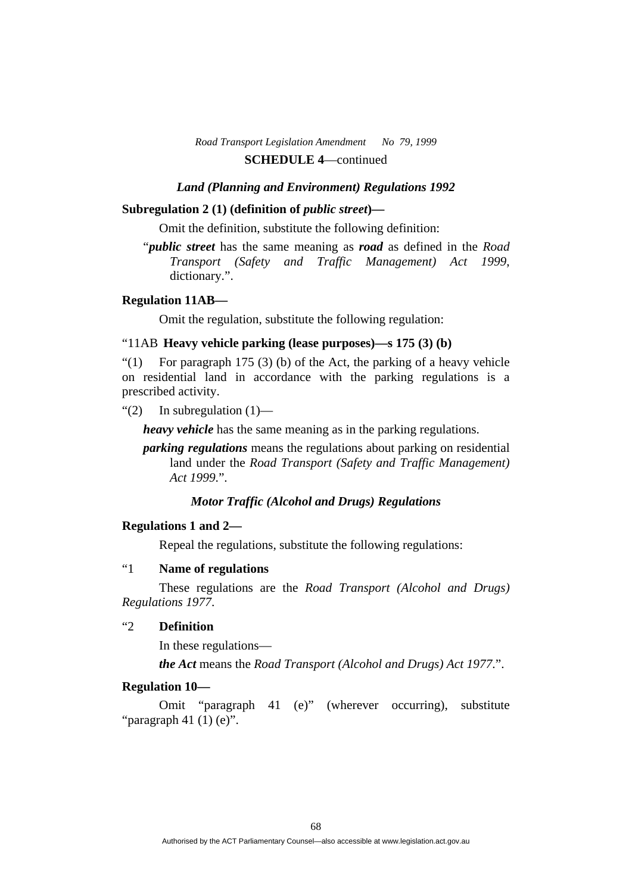#### *Land (Planning and Environment) Regulations 1992*

#### **Subregulation 2 (1) (definition of** *public street***)—**

Omit the definition, substitute the following definition:

"*public street* has the same meaning as *road* as defined in the *Road Transport (Safety and Traffic Management) Act 1999*, dictionary.".

#### **Regulation 11AB—**

Omit the regulation, substitute the following regulation:

## "11AB **Heavy vehicle parking (lease purposes)—s 175 (3) (b)**

"(1) For paragraph 175 (3) (b) of the Act, the parking of a heavy vehicle on residential land in accordance with the parking regulations is a prescribed activity.

" $(2)$  In subregulation  $(1)$ —

*heavy vehicle* has the same meaning as in the parking regulations.

*parking regulations* means the regulations about parking on residential land under the *Road Transport (Safety and Traffic Management) Act 1999*.".

## *Motor Traffic (Alcohol and Drugs) Regulations*

#### **Regulations 1 and 2—**

Repeal the regulations, substitute the following regulations:

# "1 **Name of regulations**

 These regulations are the *Road Transport (Alcohol and Drugs) Regulations 1977*.

## "2 **Definition**

In these regulations—

*the Act* means the *Road Transport (Alcohol and Drugs) Act 1977*.".

#### **Regulation 10—**

 Omit "paragraph 41 (e)" (wherever occurring), substitute "paragraph 41 $(1)$  $(e)$ ".